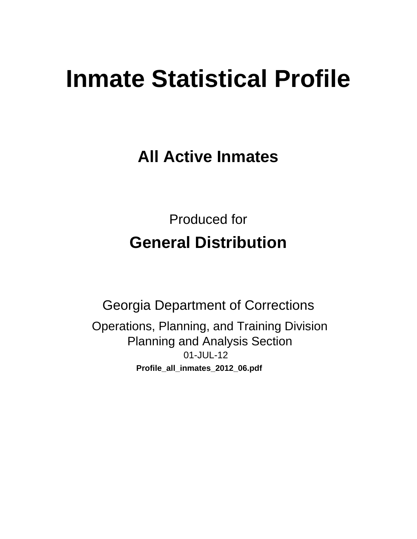# **Inmate Statistical Profile**

**All Active Inmates** 

**Produced for General Distribution** 

**Georgia Department of Corrections** Operations, Planning, and Training Division **Planning and Analysis Section** 01-JUL-12 Profile\_all\_inmates\_2012\_06.pdf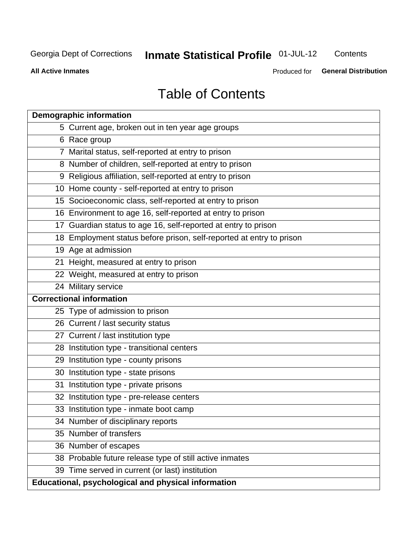# **Inmate Statistical Profile 01-JUL-12**

Contents

**All Active Inmates** 

Produced for General Distribution

# **Table of Contents**

| <b>Demographic information</b>                                       |
|----------------------------------------------------------------------|
| 5 Current age, broken out in ten year age groups                     |
| 6 Race group                                                         |
| 7 Marital status, self-reported at entry to prison                   |
| 8 Number of children, self-reported at entry to prison               |
| 9 Religious affiliation, self-reported at entry to prison            |
| 10 Home county - self-reported at entry to prison                    |
| 15 Socioeconomic class, self-reported at entry to prison             |
| 16 Environment to age 16, self-reported at entry to prison           |
| 17 Guardian status to age 16, self-reported at entry to prison       |
| 18 Employment status before prison, self-reported at entry to prison |
| 19 Age at admission                                                  |
| 21 Height, measured at entry to prison                               |
| 22 Weight, measured at entry to prison                               |
| 24 Military service                                                  |
| <b>Correctional information</b>                                      |
| 25 Type of admission to prison                                       |
| 26 Current / last security status                                    |
| 27 Current / last institution type                                   |
| 28 Institution type - transitional centers                           |
| 29 Institution type - county prisons                                 |
| 30 Institution type - state prisons                                  |
| 31 Institution type - private prisons                                |
| 32 Institution type - pre-release centers                            |
| 33 Institution type - inmate boot camp                               |
| 34 Number of disciplinary reports                                    |
| 35 Number of transfers                                               |
| 36 Number of escapes                                                 |
| 38 Probable future release type of still active inmates              |
| 39 Time served in current (or last) institution                      |
| Educational, psychological and physical information                  |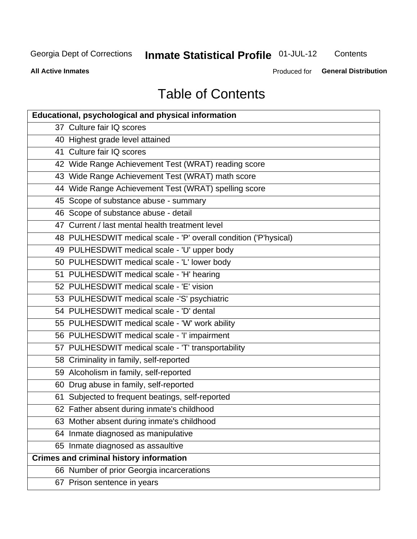# **Inmate Statistical Profile 01-JUL-12**

Contents

**All Active Inmates** 

Produced for **General Distribution** 

# **Table of Contents**

| Educational, psychological and physical information              |
|------------------------------------------------------------------|
| 37 Culture fair IQ scores                                        |
| 40 Highest grade level attained                                  |
| 41 Culture fair IQ scores                                        |
| 42 Wide Range Achievement Test (WRAT) reading score              |
| 43 Wide Range Achievement Test (WRAT) math score                 |
| 44 Wide Range Achievement Test (WRAT) spelling score             |
| 45 Scope of substance abuse - summary                            |
| 46 Scope of substance abuse - detail                             |
| 47 Current / last mental health treatment level                  |
| 48 PULHESDWIT medical scale - 'P' overall condition ('P'hysical) |
| 49 PULHESDWIT medical scale - 'U' upper body                     |
| 50 PULHESDWIT medical scale - 'L' lower body                     |
| 51 PULHESDWIT medical scale - 'H' hearing                        |
| 52 PULHESDWIT medical scale - 'E' vision                         |
| 53 PULHESDWIT medical scale -'S' psychiatric                     |
| 54 PULHESDWIT medical scale - 'D' dental                         |
| 55 PULHESDWIT medical scale - 'W' work ability                   |
| 56 PULHESDWIT medical scale - 'I' impairment                     |
| 57 PULHESDWIT medical scale - 'T' transportability               |
| 58 Criminality in family, self-reported                          |
| 59 Alcoholism in family, self-reported                           |
| 60 Drug abuse in family, self-reported                           |
| 61 Subjected to frequent beatings, self-reported                 |
| 62 Father absent during inmate's childhood                       |
| 63 Mother absent during inmate's childhood                       |
| 64 Inmate diagnosed as manipulative                              |
| 65 Inmate diagnosed as assaultive                                |
| <b>Crimes and criminal history information</b>                   |
| 66 Number of prior Georgia incarcerations                        |
| 67 Prison sentence in years                                      |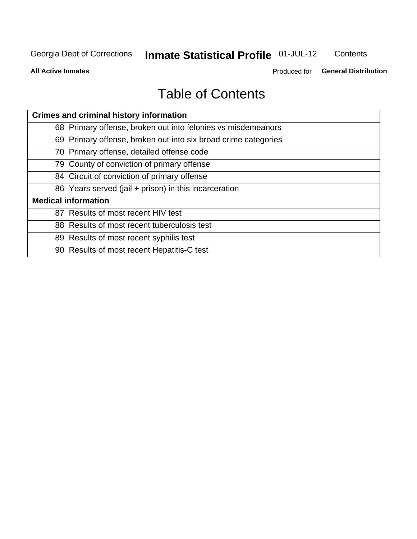# **Inmate Statistical Profile 01-JUL-12**

Contents

**All Active Inmates** 

Produced for General Distribution

# **Table of Contents**

| <b>Crimes and criminal history information</b>                 |
|----------------------------------------------------------------|
| 68 Primary offense, broken out into felonies vs misdemeanors   |
| 69 Primary offense, broken out into six broad crime categories |
| 70 Primary offense, detailed offense code                      |
| 79 County of conviction of primary offense                     |
| 84 Circuit of conviction of primary offense                    |
| 86 Years served (jail + prison) in this incarceration          |
| <b>Medical information</b>                                     |
| 87 Results of most recent HIV test                             |
| 88 Results of most recent tuberculosis test                    |
| 89 Results of most recent syphilis test                        |
| 90 Results of most recent Hepatitis-C test                     |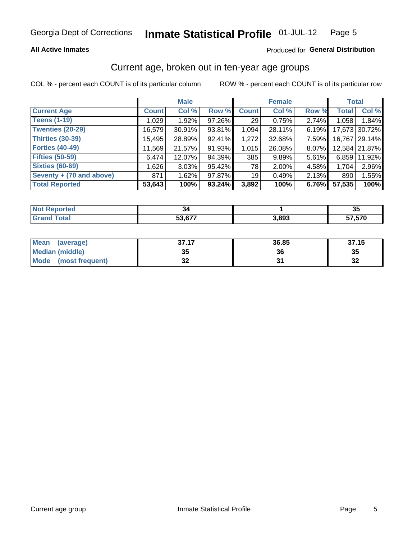### **All Active Inmates**

### Produced for General Distribution

### Current age, broken out in ten-year age groups

COL % - percent each COUNT is of its particular column

|                          |              | <b>Male</b> |        |              | <b>Female</b> |       | <b>Total</b> |               |
|--------------------------|--------------|-------------|--------|--------------|---------------|-------|--------------|---------------|
| <b>Current Age</b>       | <b>Count</b> | Col %       | Row %  | <b>Count</b> | Col %         | Row % | <b>Total</b> | Col %         |
| <b>Teens (1-19)</b>      | 1,029        | 1.92%       | 97.26% | 29           | 0.75%         | 2.74% | 1,058        | 1.84%         |
| <b>Twenties (20-29)</b>  | 16,579       | 30.91%      | 93.81% | 1,094        | 28.11%        | 6.19% | 17,673       | 30.72%        |
| <b>Thirties (30-39)</b>  | 15,495       | 28.89%      | 92.41% | 1,272        | 32.68%        | 7.59% | 16.767       | 29.14%        |
| <b>Forties (40-49)</b>   | 11,569       | 21.57%      | 91.93% | 1,015        | 26.08%        | 8.07% |              | 12,584 21.87% |
| <b>Fifties (50-59)</b>   | 6,474        | 12.07%      | 94.39% | 385          | 9.89%         | 5.61% | 6,859        | 11.92%        |
| <b>Sixties (60-69)</b>   | 1,626        | 3.03%       | 95.42% | 78           | 2.00%         | 4.58% | 1,704        | 2.96%         |
| Seventy + (70 and above) | 871          | 1.62%       | 97.87% | 19           | 0.49%         | 2.13% | 890          | 1.55%         |
| <b>Total Reported</b>    | 53,643       | 100%        | 93.24% | 3,892        | 100%          | 6.76% | 57,535       | 100%          |

| orted<br><b>NOT REPO</b> |        |       | $\sim$<br>◡ |
|--------------------------|--------|-------|-------------|
| Total                    | 53 677 | 3,893 | 57.570      |

| <b>Mean</b><br>(average)       | 37.17    | 36.85 | 37.15   |
|--------------------------------|----------|-------|---------|
| Median (middle)                | つん<br>vu | 36    | 35      |
| <b>Mode</b><br>(most frequent) | ^^<br>◡▴ |       | …<br>⊾ت |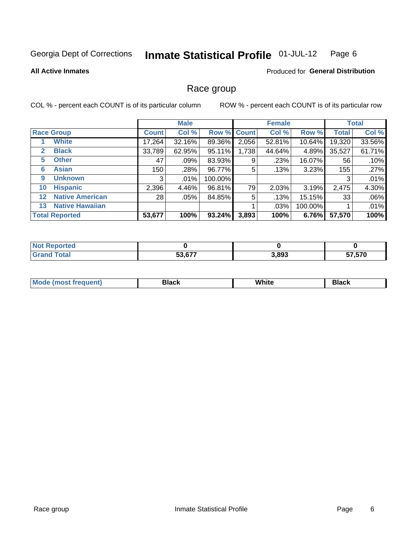#### Inmate Statistical Profile 01-JUL-12 Page 6

### **All Active Inmates**

### **Produced for General Distribution**

### Race group

COL % - percent each COUNT is of its particular column

|                   |                        |              | <b>Male</b> |             |       | <b>Female</b> |           |              | <b>Total</b> |
|-------------------|------------------------|--------------|-------------|-------------|-------|---------------|-----------|--------------|--------------|
|                   | <b>Race Group</b>      | <b>Count</b> | Col %       | Row % Count |       | Col %         | Row %     | <b>Total</b> | Col %        |
|                   | <b>White</b>           | 17,264       | 32.16%      | 89.36%      | 2,056 | 52.81%        | $10.64\%$ | 19,320       | 33.56%       |
| 2                 | <b>Black</b>           | 33,789       | 62.95%      | 95.11%      | 1,738 | 44.64%        | 4.89%     | 35,527       | 61.71%       |
| 5                 | <b>Other</b>           | 47           | .09%        | 83.93%      | 9     | .23%          | 16.07%    | 56           | .10%         |
| 6                 | <b>Asian</b>           | 150          | .28%        | 96.77%      | 5     | .13%          | 3.23%     | 155          | .27%         |
| 9                 | <b>Unknown</b>         | 3            | $.01\%$     | 100.00%     |       |               |           | 3            | .01%         |
| 10                | <b>Hispanic</b>        | 2,396        | 4.46%       | 96.81%      | 79    | 2.03%         | 3.19%     | 2,475        | 4.30%        |
| $12 \overline{ }$ | <b>Native American</b> | 28           | .05%        | 84.85%      | 5     | .13%          | 15.15%    | 33           | .06%         |
| 13                | <b>Native Hawaiian</b> |              |             |             |       | .03%          | 100.00%   |              | .01%         |
|                   | <b>Total Reported</b>  | 53,677       | 100%        | 93.24%      | 3,893 | 100%          | 6.76%     | 57,570       | 100%         |

| <b>Not Reported</b>     |        |       |        |
|-------------------------|--------|-------|--------|
| ' Total<br><b>Grand</b> | 53,677 | 3,893 | 57,570 |

| Mode (most frequent) | Black | White | Black |
|----------------------|-------|-------|-------|
|                      |       |       |       |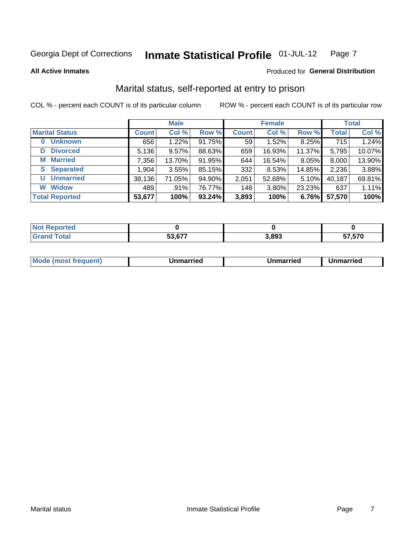#### Inmate Statistical Profile 01-JUL-12 Page 7

**All Active Inmates** 

### Produced for General Distribution

### Marital status, self-reported at entry to prison

COL % - percent each COUNT is of its particular column

|                            |              | <b>Male</b> |        |                 | <b>Female</b> |        |              | <b>Total</b> |
|----------------------------|--------------|-------------|--------|-----------------|---------------|--------|--------------|--------------|
| <b>Marital Status</b>      | <b>Count</b> | Col %       | Row %  | <b>Count</b>    | Col %         | Row %  | <b>Total</b> | Col %        |
| <b>Unknown</b><br>$\bf{0}$ | 656          | 1.22%       | 91.75% | 59 <sub>1</sub> | 1.52%         | 8.25%  | 715          | 1.24%        |
| <b>Divorced</b><br>D       | 5,136        | 9.57%       | 88.63% | 659             | 16.93%        | 11.37% | 5,795        | 10.07%       |
| <b>Married</b><br>М        | 7,356        | 13.70%      | 91.95% | 644             | 16.54%        | 8.05%  | 8,000        | 13.90%       |
| <b>Separated</b><br>S.     | 1,904        | 3.55%       | 85.15% | 332             | 8.53%         | 14.85% | 2,236        | 3.88%        |
| <b>Unmarried</b><br>U      | 38,136       | 71.05%      | 94.90% | 2,051           | 52.68%        | 5.10%  | 40,187       | 69.81%       |
| <b>Widow</b><br>W          | 489          | .91%        | 76.77% | 148             | 3.80%         | 23.23% | 637          | 1.11%        |
| <b>Total Reported</b>      | 53,677       | 100%        | 93.24% | 3,893           | 100%          | 6.76%  | 57,570       | 100%         |

| ----<br>A CHO<br>NO  |        |       |             |
|----------------------|--------|-------|-------------|
| $\sim$ $\sim$ $\sim$ | -^ ^-- | 3,893 | 7.570<br>-- |

| <b>Mode (most frequent)</b><br>Unmarried<br>Unmarried<br>Jnmarried |
|--------------------------------------------------------------------|
|--------------------------------------------------------------------|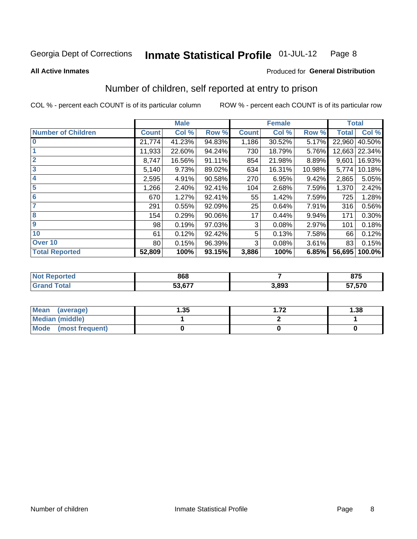#### Inmate Statistical Profile 01-JUL-12 Page 8

**All Active Inmates** 

### **Produced for General Distribution**

### Number of children, self reported at entry to prison

COL % - percent each COUNT is of its particular column

|                           |              | <b>Male</b> |        |              | <b>Female</b> |        | <b>Total</b> |               |
|---------------------------|--------------|-------------|--------|--------------|---------------|--------|--------------|---------------|
| <b>Number of Children</b> | <b>Count</b> | Col %       | Row %  | <b>Count</b> | Col %         | Row %  | <b>Total</b> | Col %         |
| $\bf{0}$                  | 21,774       | 41.23%      | 94.83% | 1,186        | 30.52%        | 5.17%  | 22,960       | 40.50%        |
|                           | 11,933       | 22.60%      | 94.24% | 730          | 18.79%        | 5.76%  |              | 12,663 22.34% |
| $\overline{2}$            | 8,747        | 16.56%      | 91.11% | 854          | 21.98%        | 8.89%  | 9,601        | 16.93%        |
| 3                         | 5,140        | 9.73%       | 89.02% | 634          | 16.31%        | 10.98% | 5,774        | 10.18%        |
| 4                         | 2,595        | 4.91%       | 90.58% | 270          | 6.95%         | 9.42%  | 2,865        | 5.05%         |
| 5                         | 1,266        | 2.40%       | 92.41% | 104          | 2.68%         | 7.59%  | 1,370        | 2.42%         |
| 6                         | 670          | 1.27%       | 92.41% | 55           | 1.42%         | 7.59%  | 725          | 1.28%         |
|                           | 291          | 0.55%       | 92.09% | 25           | 0.64%         | 7.91%  | 316          | 0.56%         |
| 8                         | 154          | 0.29%       | 90.06% | 17           | 0.44%         | 9.94%  | 171          | 0.30%         |
| $\boldsymbol{9}$          | 98           | 0.19%       | 97.03% | 3            | 0.08%         | 2.97%  | 101          | 0.18%         |
| 10                        | 61           | 0.12%       | 92.42% | 5            | 0.13%         | 7.58%  | 66           | 0.12%         |
| Over 10                   | 80           | 0.15%       | 96.39% | 3            | 0.08%         | 3.61%  | 83           | 0.15%         |
| <b>Total Reported</b>     | 52,809       | 100%        | 93.15% | 3,886        | 100%          | 6.85%  | 56,695       | 100.0%        |

| 868      |       | $\sim$<br>0 I J |
|----------|-------|-----------------|
| $AA - T$ | 3.893 | 57,570          |

| Mean (average)          | .35 | フク | 1.38 |
|-------------------------|-----|----|------|
| <b>Median (middle)</b>  |     |    |      |
| Mode<br>(most frequent) |     |    |      |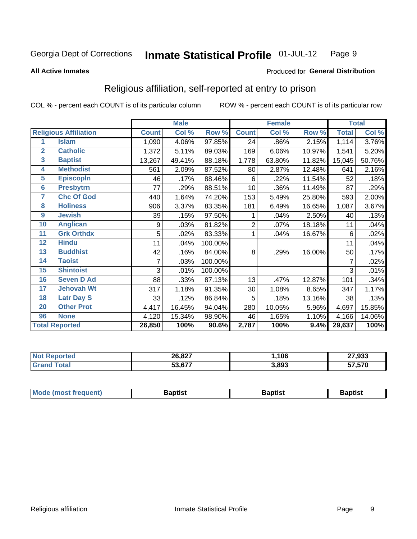#### **Inmate Statistical Profile 01-JUL-12** Page 9

#### **All Active Inmates**

### Produced for General Distribution

### Religious affiliation, self-reported at entry to prison

COL % - percent each COUNT is of its particular column

|                       |                              |              | <b>Male</b> |         |              | <b>Female</b>             |        |              | <b>Total</b> |  |
|-----------------------|------------------------------|--------------|-------------|---------|--------------|---------------------------|--------|--------------|--------------|--|
|                       | <b>Religious Affiliation</b> | <b>Count</b> | Col %       | Row %   | <b>Count</b> | $\overline{\text{Col}}$ % | Row %  | <b>Total</b> | Col %        |  |
| 1                     | <b>Islam</b>                 | 1,090        | 4.06%       | 97.85%  | 24           | .86%                      | 2.15%  | 1,114        | 3.76%        |  |
| $\overline{2}$        | <b>Catholic</b>              | 1,372        | 5.11%       | 89.03%  | 169          | 6.06%                     | 10.97% | 1,541        | 5.20%        |  |
| 3                     | <b>Baptist</b>               | 13,267       | 49.41%      | 88.18%  | 1,778        | 63.80%                    | 11.82% | 15,045       | 50.76%       |  |
| 4                     | <b>Methodist</b>             | 561          | 2.09%       | 87.52%  | 80           | 2.87%                     | 12.48% | 641          | 2.16%        |  |
| 5                     | <b>EpiscopIn</b>             | 46           | .17%        | 88.46%  | 6            | .22%                      | 11.54% | 52           | .18%         |  |
| $6\overline{6}$       | <b>Presbytrn</b>             | 77           | .29%        | 88.51%  | 10           | .36%                      | 11.49% | 87           | .29%         |  |
| 7                     | <b>Chc Of God</b>            | 440          | 1.64%       | 74.20%  | 153          | 5.49%                     | 25.80% | 593          | 2.00%        |  |
| 8                     | <b>Holiness</b>              | 906          | 3.37%       | 83.35%  | 181          | 6.49%                     | 16.65% | 1,087        | 3.67%        |  |
| $\boldsymbol{9}$      | <b>Jewish</b>                | 39           | .15%        | 97.50%  | 1            | .04%                      | 2.50%  | 40           | .13%         |  |
| 10                    | <b>Anglican</b>              | 9            | .03%        | 81.82%  | 2            | .07%                      | 18.18% | 11           | .04%         |  |
| 11                    | <b>Grk Orthdx</b>            | 5            | .02%        | 83.33%  | 1            | .04%                      | 16.67% | 6            | .02%         |  |
| 12                    | <b>Hindu</b>                 | 11           | .04%        | 100.00% |              |                           |        | 11           | .04%         |  |
| 13                    | <b>Buddhist</b>              | 42           | .16%        | 84.00%  | 8            | .29%                      | 16.00% | 50           | .17%         |  |
| 14                    | <b>Taoist</b>                | 7            | .03%        | 100.00% |              |                           |        | 7            | .02%         |  |
| 15                    | <b>Shintoist</b>             | 3            | .01%        | 100.00% |              |                           |        | 3            | .01%         |  |
| 16                    | <b>Seven D Ad</b>            | 88           | .33%        | 87.13%  | 13           | .47%                      | 12.87% | 101          | .34%         |  |
| 17                    | <b>Jehovah Wt</b>            | 317          | 1.18%       | 91.35%  | 30           | 1.08%                     | 8.65%  | 347          | 1.17%        |  |
| 18                    | <b>Latr Day S</b>            | 33           | .12%        | 86.84%  | 5            | .18%                      | 13.16% | 38           | .13%         |  |
| 20                    | <b>Other Prot</b>            | 4,417        | 16.45%      | 94.04%  | 280          | 10.05%                    | 5.96%  | 4,697        | 15.85%       |  |
| 96                    | <b>None</b>                  | 4,120        | 15.34%      | 98.90%  | 46           | 1.65%                     | 1.10%  | 4,166        | 14.06%       |  |
| <b>Total Reported</b> |                              | 26,850       | 100%        | 90.6%   | 2,787        | 100%                      | 9.4%   | 29,637       | 100%         |  |

| 26,827                    | ,106  | 27,933 |
|---------------------------|-------|--------|
| $F^{\alpha}$ $F^{\alpha}$ | 3,893 | 57,570 |

| Mode (most frequent) | <b>3aptist</b> | 3aptist | <b>Baptist</b> |
|----------------------|----------------|---------|----------------|
|                      |                |         |                |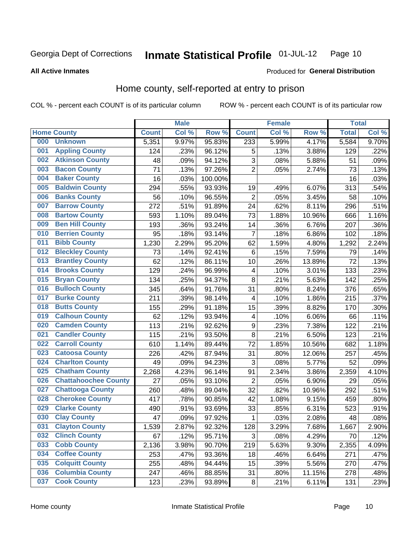#### Inmate Statistical Profile 01-JUL-12 Page 10

### **All Active Inmates**

### Produced for General Distribution

### Home county, self-reported at entry to prison

COL % - percent each COUNT is of its particular column

|     |                             |              | <b>Male</b> |         |                         | <b>Female</b> |        | <b>Total</b> |       |
|-----|-----------------------------|--------------|-------------|---------|-------------------------|---------------|--------|--------------|-------|
|     | <b>Home County</b>          | <b>Count</b> | Col %       | Row %   | <b>Count</b>            | Col %         | Row %  | <b>Total</b> | Col % |
| 000 | <b>Unknown</b>              | 5,351        | 9.97%       | 95.83%  | 233                     | 5.99%         | 4.17%  | 5,584        | 9.70% |
| 001 | <b>Appling County</b>       | 124          | .23%        | 96.12%  | 5                       | .13%          | 3.88%  | 129          | .22%  |
| 002 | <b>Atkinson County</b>      | 48           | .09%        | 94.12%  | 3                       | .08%          | 5.88%  | 51           | .09%  |
| 003 | <b>Bacon County</b>         | 71           | .13%        | 97.26%  | $\overline{2}$          | .05%          | 2.74%  | 73           | .13%  |
| 004 | <b>Baker County</b>         | 16           | .03%        | 100.00% |                         |               |        | 16           | .03%  |
| 005 | <b>Baldwin County</b>       | 294          | .55%        | 93.93%  | 19                      | .49%          | 6.07%  | 313          | .54%  |
| 006 | <b>Banks County</b>         | 56           | .10%        | 96.55%  | $\overline{c}$          | .05%          | 3.45%  | 58           | .10%  |
| 007 | <b>Barrow County</b>        | 272          | .51%        | 91.89%  | 24                      | .62%          | 8.11%  | 296          | .51%  |
| 008 | <b>Bartow County</b>        | 593          | 1.10%       | 89.04%  | 73                      | 1.88%         | 10.96% | 666          | 1.16% |
| 009 | <b>Ben Hill County</b>      | 193          | .36%        | 93.24%  | 14                      | .36%          | 6.76%  | 207          | .36%  |
| 010 | <b>Berrien County</b>       | 95           | .18%        | 93.14%  | $\overline{7}$          | .18%          | 6.86%  | 102          | .18%  |
| 011 | <b>Bibb County</b>          | 1,230        | 2.29%       | 95.20%  | 62                      | 1.59%         | 4.80%  | 1,292        | 2.24% |
| 012 | <b>Bleckley County</b>      | 73           | .14%        | 92.41%  | $\,6$                   | .15%          | 7.59%  | 79           | .14%  |
| 013 | <b>Brantley County</b>      | 62           | .12%        | 86.11%  | 10                      | .26%          | 13.89% | 72           | .13%  |
| 014 | <b>Brooks County</b>        | 129          | .24%        | 96.99%  | $\overline{\mathbf{4}}$ | .10%          | 3.01%  | 133          | .23%  |
| 015 | <b>Bryan County</b>         | 134          | .25%        | 94.37%  | 8                       | .21%          | 5.63%  | 142          | .25%  |
| 016 | <b>Bulloch County</b>       | 345          | .64%        | 91.76%  | 31                      | .80%          | 8.24%  | 376          | .65%  |
| 017 | <b>Burke County</b>         | 211          | .39%        | 98.14%  | 4                       | .10%          | 1.86%  | 215          | .37%  |
| 018 | <b>Butts County</b>         | 155          | .29%        | 91.18%  | 15                      | .39%          | 8.82%  | 170          | .30%  |
| 019 | <b>Calhoun County</b>       | 62           | .12%        | 93.94%  | $\overline{\mathbf{4}}$ | .10%          | 6.06%  | 66           | .11%  |
| 020 | <b>Camden County</b>        | 113          | .21%        | 92.62%  | $\boldsymbol{9}$        | .23%          | 7.38%  | 122          | .21%  |
| 021 | <b>Candler County</b>       | 115          | .21%        | 93.50%  | 8                       | .21%          | 6.50%  | 123          | .21%  |
| 022 | <b>Carroll County</b>       | 610          | 1.14%       | 89.44%  | 72                      | 1.85%         | 10.56% | 682          | 1.18% |
| 023 | <b>Catoosa County</b>       | 226          | .42%        | 87.94%  | 31                      | .80%          | 12.06% | 257          | .45%  |
| 024 | <b>Charlton County</b>      | 49           | .09%        | 94.23%  | 3                       | .08%          | 5.77%  | 52           | .09%  |
| 025 | <b>Chatham County</b>       | 2,268        | 4.23%       | 96.14%  | 91                      | 2.34%         | 3.86%  | 2,359        | 4.10% |
| 026 | <b>Chattahoochee County</b> | 27           | .05%        | 93.10%  | $\overline{c}$          | .05%          | 6.90%  | 29           | .05%  |
| 027 | <b>Chattooga County</b>     | 260          | .48%        | 89.04%  | 32                      | .82%          | 10.96% | 292          | .51%  |
| 028 | <b>Cherokee County</b>      | 417          | .78%        | 90.85%  | 42                      | 1.08%         | 9.15%  | 459          | .80%  |
| 029 | <b>Clarke County</b>        | 490          | .91%        | 93.69%  | 33                      | .85%          | 6.31%  | 523          | .91%  |
| 030 | <b>Clay County</b>          | 47           | .09%        | 97.92%  | 1                       | .03%          | 2.08%  | 48           | .08%  |
| 031 | <b>Clayton County</b>       | 1,539        | 2.87%       | 92.32%  | 128                     | 3.29%         | 7.68%  | 1,667        | 2.90% |
| 032 | <b>Clinch County</b>        | 67           | .12%        | 95.71%  | 3                       | .08%          | 4.29%  | 70           | .12%  |
| 033 | <b>Cobb County</b>          | 2,136        | 3.98%       | 90.70%  | 219                     | 5.63%         | 9.30%  | 2,355        | 4.09% |
| 034 | <b>Coffee County</b>        | 253          | .47%        | 93.36%  | 18                      | .46%          | 6.64%  | 271          | .47%  |
| 035 | <b>Colquitt County</b>      | 255          | .48%        | 94.44%  | 15                      | .39%          | 5.56%  | 270          | .47%  |
| 036 | <b>Columbia County</b>      | 247          | .46%        | 88.85%  | 31                      | .80%          | 11.15% | 278          | .48%  |
| 037 | <b>Cook County</b>          | 123          | .23%        | 93.89%  | $\bf 8$                 | .21%          | 6.11%  | 131          | .23%  |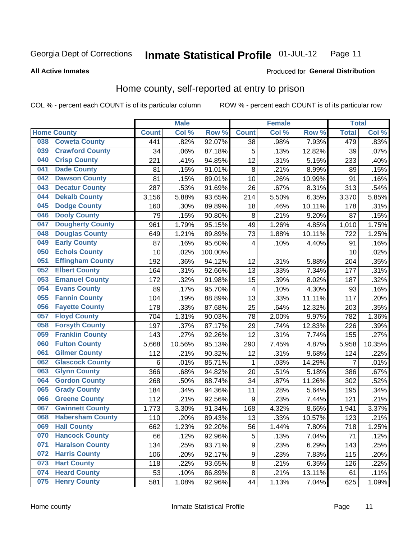#### Inmate Statistical Profile 01-JUL-12 Page 11

**All Active Inmates** 

### Produced for General Distribution

### Home county, self-reported at entry to prison

COL % - percent each COUNT is of its particular column

|     |                         |              | <b>Male</b> |                  |                  | <b>Female</b> |                  | <b>Total</b>   |        |
|-----|-------------------------|--------------|-------------|------------------|------------------|---------------|------------------|----------------|--------|
|     | <b>Home County</b>      | <b>Count</b> | Col %       | Row <sup>%</sup> | <b>Count</b>     | Col %         | Row <sup>%</sup> | <b>Total</b>   | Col %  |
| 038 | <b>Coweta County</b>    | 441          | .82%        | 92.07%           | 38               | .98%          | 7.93%            | 479            | .83%   |
| 039 | <b>Crawford County</b>  | 34           | .06%        | 87.18%           | 5                | .13%          | 12.82%           | 39             | .07%   |
| 040 | <b>Crisp County</b>     | 221          | .41%        | 94.85%           | 12               | .31%          | 5.15%            | 233            | .40%   |
| 041 | <b>Dade County</b>      | 81           | .15%        | 91.01%           | 8                | .21%          | 8.99%            | 89             | .15%   |
| 042 | <b>Dawson County</b>    | 81           | .15%        | 89.01%           | 10               | .26%          | 10.99%           | 91             | .16%   |
| 043 | <b>Decatur County</b>   | 287          | .53%        | 91.69%           | 26               | .67%          | 8.31%            | 313            | .54%   |
| 044 | <b>Dekalb County</b>    | 3,156        | 5.88%       | 93.65%           | 214              | 5.50%         | 6.35%            | 3,370          | 5.85%  |
| 045 | <b>Dodge County</b>     | 160          | .30%        | 89.89%           | 18               | .46%          | 10.11%           | 178            | .31%   |
| 046 | <b>Dooly County</b>     | 79           | .15%        | 90.80%           | 8                | .21%          | 9.20%            | 87             | .15%   |
| 047 | <b>Dougherty County</b> | 961          | 1.79%       | 95.15%           | 49               | 1.26%         | 4.85%            | 1,010          | 1.75%  |
| 048 | <b>Douglas County</b>   | 649          | 1.21%       | 89.89%           | 73               | 1.88%         | 10.11%           | 722            | 1.25%  |
| 049 | <b>Early County</b>     | 87           | .16%        | 95.60%           | 4                | .10%          | 4.40%            | 91             | .16%   |
| 050 | <b>Echols County</b>    | 10           | .02%        | 100.00%          |                  |               |                  | 10             | .02%   |
| 051 | <b>Effingham County</b> | 192          | .36%        | 94.12%           | 12               | .31%          | 5.88%            | 204            | .35%   |
| 052 | <b>Elbert County</b>    | 164          | .31%        | 92.66%           | 13               | .33%          | 7.34%            | 177            | .31%   |
| 053 | <b>Emanuel County</b>   | 172          | .32%        | 91.98%           | 15               | .39%          | 8.02%            | 187            | .32%   |
| 054 | <b>Evans County</b>     | 89           | .17%        | 95.70%           | 4                | .10%          | 4.30%            | 93             | .16%   |
| 055 | <b>Fannin County</b>    | 104          | .19%        | 88.89%           | 13               | .33%          | 11.11%           | 117            | .20%   |
| 056 | <b>Fayette County</b>   | 178          | .33%        | 87.68%           | 25               | .64%          | 12.32%           | 203            | .35%   |
| 057 | <b>Floyd County</b>     | 704          | 1.31%       | 90.03%           | 78               | 2.00%         | 9.97%            | 782            | 1.36%  |
| 058 | <b>Forsyth County</b>   | 197          | .37%        | 87.17%           | 29               | .74%          | 12.83%           | 226            | .39%   |
| 059 | <b>Franklin County</b>  | 143          | .27%        | 92.26%           | 12               | .31%          | 7.74%            | 155            | .27%   |
| 060 | <b>Fulton County</b>    | 5,668        | 10.56%      | 95.13%           | 290              | 7.45%         | 4.87%            | 5,958          | 10.35% |
| 061 | <b>Gilmer County</b>    | 112          | .21%        | 90.32%           | 12               | .31%          | 9.68%            | 124            | .22%   |
| 062 | <b>Glascock County</b>  | 6            | .01%        | 85.71%           | 1                | .03%          | 14.29%           | $\overline{7}$ | .01%   |
| 063 | <b>Glynn County</b>     | 366          | .68%        | 94.82%           | 20               | .51%          | 5.18%            | 386            | .67%   |
| 064 | <b>Gordon County</b>    | 268          | .50%        | 88.74%           | 34               | .87%          | 11.26%           | 302            | .52%   |
| 065 | <b>Grady County</b>     | 184          | .34%        | 94.36%           | 11               | .28%          | 5.64%            | 195            | .34%   |
| 066 | <b>Greene County</b>    | 112          | .21%        | 92.56%           | 9                | .23%          | 7.44%            | 121            | .21%   |
| 067 | <b>Gwinnett County</b>  | 1,773        | 3.30%       | 91.34%           | 168              | 4.32%         | 8.66%            | 1,941          | 3.37%  |
| 068 | <b>Habersham County</b> | 110          | .20%        | 89.43%           | 13               | .33%          | 10.57%           | 123            | .21%   |
| 069 | <b>Hall County</b>      | 662          | 1.23%       | 92.20%           | 56               | 1.44%         | 7.80%            | 718            | 1.25%  |
| 070 | <b>Hancock County</b>   | 66           | .12%        | 92.96%           | 5                | .13%          | 7.04%            | 71             | .12%   |
| 071 | <b>Haralson County</b>  | 134          | .25%        | 93.71%           | $\boldsymbol{9}$ | .23%          | 6.29%            | 143            | .25%   |
| 072 | <b>Harris County</b>    | 106          | .20%        | 92.17%           | $\boldsymbol{9}$ | .23%          | 7.83%            | 115            | .20%   |
| 073 | <b>Hart County</b>      | 118          | .22%        | 93.65%           | 8                | .21%          | 6.35%            | 126            | .22%   |
| 074 | <b>Heard County</b>     | 53           | .10%        | 86.89%           | 8                | .21%          | 13.11%           | 61             | .11%   |
| 075 | <b>Henry County</b>     | 581          | 1.08%       | 92.96%           | 44               | 1.13%         | 7.04%            | 625            | 1.09%  |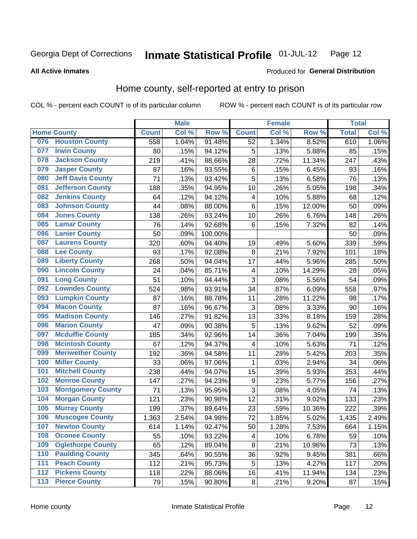#### Inmate Statistical Profile 01-JUL-12 Page 12

**All Active Inmates** 

### Produced for General Distribution

### Home county, self-reported at entry to prison

COL % - percent each COUNT is of its particular column

|                  |                          |              | <b>Male</b> |         |                         | <b>Female</b> |                  | <b>Total</b> |       |
|------------------|--------------------------|--------------|-------------|---------|-------------------------|---------------|------------------|--------------|-------|
|                  | <b>Home County</b>       | <b>Count</b> | Col %       | Row %   | <b>Count</b>            | Col %         | Row <sup>%</sup> | <b>Total</b> | Col % |
| 076              | <b>Houston County</b>    | 558          | 1.04%       | 91.48%  | 52                      | 1.34%         | 8.52%            | 610          | 1.06% |
| 077              | <b>Irwin County</b>      | 80           | .15%        | 94.12%  | 5                       | .13%          | 5.88%            | 85           | .15%  |
| 078              | <b>Jackson County</b>    | 219          | .41%        | 88.66%  | 28                      | .72%          | 11.34%           | 247          | .43%  |
| 079              | <b>Jasper County</b>     | 87           | .16%        | 93.55%  | 6                       | .15%          | 6.45%            | 93           | .16%  |
| 080              | <b>Jeff Davis County</b> | 71           | .13%        | 93.42%  | 5                       | .13%          | 6.58%            | 76           | .13%  |
| 081              | <b>Jefferson County</b>  | 188          | .35%        | 94.95%  | 10                      | .26%          | 5.05%            | 198          | .34%  |
| 082              | <b>Jenkins County</b>    | 64           | .12%        | 94.12%  | $\overline{\mathbf{4}}$ | .10%          | 5.88%            | 68           | .12%  |
| 083              | <b>Johnson County</b>    | 44           | .08%        | 88.00%  | 6                       | .15%          | 12.00%           | 50           | .09%  |
| 084              | <b>Jones County</b>      | 138          | .26%        | 93.24%  | 10                      | .26%          | 6.76%            | 148          | .26%  |
| 085              | <b>Lamar County</b>      | 76           | .14%        | 92.68%  | 6                       | .15%          | 7.32%            | 82           | .14%  |
| 086              | <b>Lanier County</b>     | 50           | .09%        | 100.00% |                         |               |                  | 50           | .09%  |
| 087              | <b>Laurens County</b>    | 320          | .60%        | 94.40%  | 19                      | .49%          | 5.60%            | 339          | .59%  |
| 088              | <b>Lee County</b>        | 93           | .17%        | 92.08%  | 8                       | .21%          | 7.92%            | 101          | .18%  |
| 089              | <b>Liberty County</b>    | 268          | .50%        | 94.04%  | 17                      | .44%          | 5.96%            | 285          | .50%  |
| 090              | <b>Lincoln County</b>    | 24           | .04%        | 85.71%  | 4                       | .10%          | 14.29%           | 28           | .05%  |
| 091              | <b>Long County</b>       | 51           | .10%        | 94.44%  | 3                       | .08%          | 5.56%            | 54           | .09%  |
| 092              | <b>Lowndes County</b>    | 524          | .98%        | 93.91%  | 34                      | .87%          | 6.09%            | 558          | .97%  |
| 093              | <b>Lumpkin County</b>    | 87           | .16%        | 88.78%  | 11                      | .28%          | 11.22%           | 98           | .17%  |
| 094              | <b>Macon County</b>      | 87           | .16%        | 96.67%  | 3                       | .08%          | 3.33%            | 90           | .16%  |
| 095              | <b>Madison County</b>    | 146          | .27%        | 91.82%  | 13                      | .33%          | 8.18%            | 159          | .28%  |
| 096              | <b>Marion County</b>     | 47           | .09%        | 90.38%  | 5                       | .13%          | 9.62%            | 52           | .09%  |
| 097              | <b>Mcduffie County</b>   | 185          | .34%        | 92.96%  | 14                      | .36%          | 7.04%            | 199          | .35%  |
| 098              | <b>Mcintosh County</b>   | 67           | .12%        | 94.37%  | 4                       | .10%          | 5.63%            | 71           | .12%  |
| 099              | <b>Meriwether County</b> | 192          | .36%        | 94.58%  | 11                      | .28%          | 5.42%            | 203          | .35%  |
| 100              | <b>Miller County</b>     | 33           | .06%        | 97.06%  | 1                       | .03%          | 2.94%            | 34           | .06%  |
| 101              | <b>Mitchell County</b>   | 238          | .44%        | 94.07%  | 15                      | .39%          | 5.93%            | 253          | .44%  |
| 102              | <b>Monroe County</b>     | 147          | .27%        | 94.23%  | $\boldsymbol{9}$        | .23%          | 5.77%            | 156          | .27%  |
| 103              | <b>Montgomery County</b> | 71           | .13%        | 95.95%  | 3                       | .08%          | 4.05%            | 74           | .13%  |
| 104              | <b>Morgan County</b>     | 121          | .23%        | 90.98%  | 12                      | .31%          | 9.02%            | 133          | .23%  |
| 105              | <b>Murray County</b>     | 199          | .37%        | 89.64%  | 23                      | .59%          | 10.36%           | 222          | .39%  |
| 106              | <b>Muscogee County</b>   | 1,363        | 2.54%       | 94.98%  | 72                      | 1.85%         | 5.02%            | 1,435        | 2.49% |
| 107              | <b>Newton County</b>     | 614          | 1.14%       | 92.47%  | 50                      | 1.28%         | 7.53%            | 664          | 1.15% |
| 108              | <b>Oconee County</b>     | 55           | .10%        | 93.22%  | 4                       | .10%          | 6.78%            | 59           | .10%  |
| 109              | <b>Oglethorpe County</b> | 65           | .12%        | 89.04%  | 8                       | .21%          | 10.96%           | 73           | .13%  |
| 110              | <b>Paulding County</b>   | 345          | .64%        | 90.55%  | 36                      | .92%          | 9.45%            | 381          | .66%  |
| 111              | <b>Peach County</b>      | 112          | .21%        | 95.73%  | 5                       | .13%          | 4.27%            | 117          | .20%  |
| $\overline{112}$ | <b>Pickens County</b>    | 118          | .22%        | 88.06%  | 16                      | .41%          | 11.94%           | 134          | .23%  |
| 113              | <b>Pierce County</b>     | 79           | .15%        | 90.80%  | $\bf 8$                 | .21%          | 9.20%            | 87           | .15%  |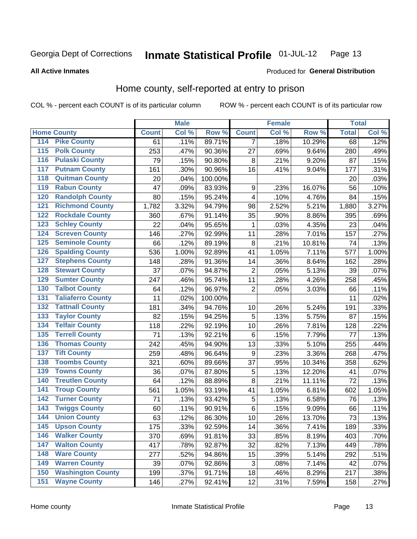#### Inmate Statistical Profile 01-JUL-12 Page 13

**All Active Inmates** 

### Produced for General Distribution

### Home county, self-reported at entry to prison

COL % - percent each COUNT is of its particular column

|                  |                          |              | <b>Male</b> |         |                  | <b>Female</b> |        | <b>Total</b> |       |
|------------------|--------------------------|--------------|-------------|---------|------------------|---------------|--------|--------------|-------|
|                  | <b>Home County</b>       | <b>Count</b> | Col %       | Row %   | <b>Count</b>     | Col %         | Row %  | <b>Total</b> | Col % |
| 114              | <b>Pike County</b>       | 61           | .11%        | 89.71%  | 7                | .18%          | 10.29% | 68           | .12%  |
| $\overline{115}$ | <b>Polk County</b>       | 253          | .47%        | 90.36%  | 27               | .69%          | 9.64%  | 280          | .49%  |
| 116              | <b>Pulaski County</b>    | 79           | .15%        | 90.80%  | 8                | .21%          | 9.20%  | 87           | .15%  |
| 117              | <b>Putnam County</b>     | 161          | .30%        | 90.96%  | 16               | .41%          | 9.04%  | 177          | .31%  |
| 118              | <b>Quitman County</b>    | 20           | .04%        | 100.00% |                  |               |        | 20           | .03%  |
| 119              | <b>Rabun County</b>      | 47           | .09%        | 83.93%  | $\boldsymbol{9}$ | .23%          | 16.07% | 56           | .10%  |
| 120              | <b>Randolph County</b>   | 80           | .15%        | 95.24%  | 4                | .10%          | 4.76%  | 84           | .15%  |
| 121              | <b>Richmond County</b>   | 1,782        | 3.32%       | 94.79%  | 98               | 2.52%         | 5.21%  | 1,880        | 3.27% |
| 122              | <b>Rockdale County</b>   | 360          | .67%        | 91.14%  | 35               | .90%          | 8.86%  | 395          | .69%  |
| 123              | <b>Schley County</b>     | 22           | .04%        | 95.65%  | 1                | .03%          | 4.35%  | 23           | .04%  |
| 124              | <b>Screven County</b>    | 146          | .27%        | 92.99%  | 11               | .28%          | 7.01%  | 157          | .27%  |
| 125              | <b>Seminole County</b>   | 66           | .12%        | 89.19%  | 8                | .21%          | 10.81% | 74           | .13%  |
| 126              | <b>Spalding County</b>   | 536          | 1.00%       | 92.89%  | 41               | 1.05%         | 7.11%  | 577          | 1.00% |
| 127              | <b>Stephens County</b>   | 148          | .28%        | 91.36%  | 14               | .36%          | 8.64%  | 162          | .28%  |
| 128              | <b>Stewart County</b>    | 37           | .07%        | 94.87%  | $\overline{2}$   | .05%          | 5.13%  | 39           | .07%  |
| 129              | <b>Sumter County</b>     | 247          | .46%        | 95.74%  | 11               | .28%          | 4.26%  | 258          | .45%  |
| 130              | <b>Talbot County</b>     | 64           | .12%        | 96.97%  | $\overline{2}$   | .05%          | 3.03%  | 66           | .11%  |
| 131              | <b>Taliaferro County</b> | 11           | .02%        | 100.00% |                  |               |        | 11           | .02%  |
| 132              | <b>Tattnall County</b>   | 181          | .34%        | 94.76%  | 10               | .26%          | 5.24%  | 191          | .33%  |
| 133              | <b>Taylor County</b>     | 82           | .15%        | 94.25%  | 5                | .13%          | 5.75%  | 87           | .15%  |
| 134              | <b>Telfair County</b>    | 118          | .22%        | 92.19%  | 10               | .26%          | 7.81%  | 128          | .22%  |
| 135              | <b>Terrell County</b>    | 71           | .13%        | 92.21%  | $\,6$            | .15%          | 7.79%  | 77           | .13%  |
| 136              | <b>Thomas County</b>     | 242          | .45%        | 94.90%  | 13               | .33%          | 5.10%  | 255          | .44%  |
| 137              | <b>Tift County</b>       | 259          | .48%        | 96.64%  | 9                | .23%          | 3.36%  | 268          | .47%  |
| 138              | <b>Toombs County</b>     | 321          | .60%        | 89.66%  | 37               | .95%          | 10.34% | 358          | .62%  |
| 139              | <b>Towns County</b>      | 36           | .07%        | 87.80%  | 5                | .13%          | 12.20% | 41           | .07%  |
| 140              | <b>Treutlen County</b>   | 64           | .12%        | 88.89%  | 8                | .21%          | 11.11% | 72           | .13%  |
| 141              | <b>Troup County</b>      | 561          | 1.05%       | 93.19%  | 41               | 1.05%         | 6.81%  | 602          | 1.05% |
| 142              | <b>Turner County</b>     | 71           | .13%        | 93.42%  | 5                | .13%          | 6.58%  | 76           | .13%  |
| 143              | <b>Twiggs County</b>     | 60           | .11%        | 90.91%  | $\,6$            | .15%          | 9.09%  | 66           | .11%  |
| 144              | <b>Union County</b>      | 63           | .12%        | 86.30%  | 10               | .26%          | 13.70% | 73           | .13%  |
| 145              | <b>Upson County</b>      | 175          | .33%        | 92.59%  | 14               | .36%          | 7.41%  | 189          | .33%  |
| 146              | <b>Walker County</b>     | 370          | .69%        | 91.81%  | 33               | .85%          | 8.19%  | 403          | .70%  |
| 147              | <b>Walton County</b>     | 417          | .78%        | 92.87%  | 32               | .82%          | 7.13%  | 449          | .78%  |
| 148              | <b>Ware County</b>       | 277          | .52%        | 94.86%  | 15               | .39%          | 5.14%  | 292          | .51%  |
| 149              | <b>Warren County</b>     | 39           | .07%        | 92.86%  | 3                | .08%          | 7.14%  | 42           | .07%  |
| 150              | <b>Washington County</b> | 199          | .37%        | 91.71%  | 18               | .46%          | 8.29%  | 217          | .38%  |
| 151              | <b>Wayne County</b>      | 146          | .27%        | 92.41%  | 12               | .31%          | 7.59%  | 158          | .27%  |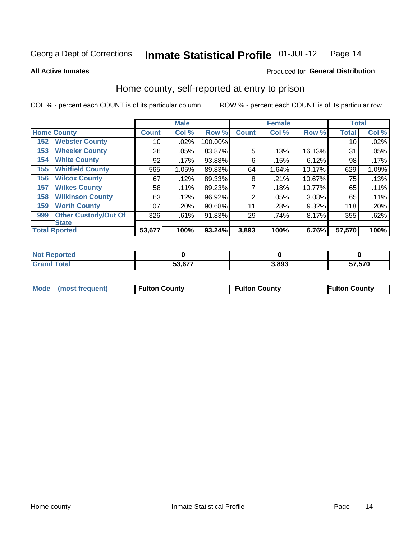#### Inmate Statistical Profile 01-JUL-12 Page 14

#### **All Active Inmates**

### Produced for General Distribution

### Home county, self-reported at entry to prison

COL % - percent each COUNT is of its particular column

|     |                             |              | <b>Male</b> |         |                | <b>Female</b> |        | <b>Total</b> |       |
|-----|-----------------------------|--------------|-------------|---------|----------------|---------------|--------|--------------|-------|
|     | <b>Home County</b>          | <b>Count</b> | Col %       | Row %   | <b>Count</b>   | Col %         | Row %  | <b>Total</b> | Col % |
| 152 | <b>Webster County</b>       | 10           | .02%        | 100.00% |                |               |        | 10           | .02%  |
| 153 | <b>Wheeler County</b>       | 26           | .05%        | 83.87%  | 5              | .13%          | 16.13% | 31           | .05%  |
| 154 | <b>White County</b>         | 92           | $.17\%$     | 93.88%  | 6              | .15%          | 6.12%  | 98           | .17%  |
| 155 | <b>Whitfield County</b>     | 565          | 1.05%       | 89.83%  | 64             | 1.64%         | 10.17% | 629          | 1.09% |
| 156 | <b>Wilcox County</b>        | 67           | .12%        | 89.33%  | 8              | .21%          | 10.67% | 75           | .13%  |
| 157 | <b>Wilkes County</b>        | 58           | .11%        | 89.23%  | 7              | .18%          | 10.77% | 65           | .11%  |
| 158 | <b>Wilkinson County</b>     | 63           | .12%        | 96.92%  | $\overline{2}$ | .05%          | 3.08%  | 65           | .11%  |
| 159 | <b>Worth County</b>         | 107          | .20%        | 90.68%  | 11             | .28%          | 9.32%  | 118          | .20%  |
| 999 | <b>Other Custody/Out Of</b> | 326          | .61%        | 91.83%  | 29             | .74%          | 8.17%  | 355          | .62%  |
|     | <b>State</b>                |              |             |         |                |               |        |              |       |
|     | <b>Total Rported</b>        | 53,677       | 100%        | 93.24%  | 3,893          | 100%          | 6.76%  | 57,570       | 100%  |

| Reported<br>NOT |               |       |        |
|-----------------|---------------|-------|--------|
| <b>c</b> otal   | <b>EQ 677</b> | 3,893 | 57,570 |

|  |  |  | Mode (most frequent) | Fulton County | <b>Fulton County</b> | <b>Fulton County</b> |
|--|--|--|----------------------|---------------|----------------------|----------------------|
|--|--|--|----------------------|---------------|----------------------|----------------------|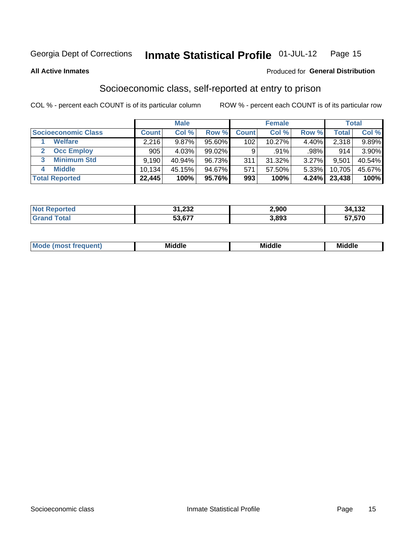#### Inmate Statistical Profile 01-JUL-12 Page 15

**All Active Inmates** 

### **Produced for General Distribution**

### Socioeconomic class, self-reported at entry to prison

COL % - percent each COUNT is of its particular column

|                       |        | <b>Male</b> |           |              | <b>Female</b> |          |        | <b>Total</b> |
|-----------------------|--------|-------------|-----------|--------------|---------------|----------|--------|--------------|
| Socioeconomic Class   | Count  | Col %       | Row %     | <b>Count</b> | Col %         | Row %    | Total  | Col %        |
| <b>Welfare</b>        | 2,216  | 9.87%       | 95.60%    | 102          | 10.27%        | $4.40\%$ | 2,318  | $9.89\%$     |
| <b>Occ Employ</b>     | 905    | 4.03%       | $99.02\%$ | 9            | .91%          | .98%     | 914    | 3.90%        |
| <b>Minimum Std</b>    | 9,190  | 40.94%      | 96.73%    | 311          | 31.32%        | 3.27%    | 9,501  | 40.54%       |
| <b>Middle</b><br>4    | 10,134 | 45.15%      | 94.67%    | 571          | 57.50%        | $5.33\%$ | 10,705 | 45.67%       |
| <b>Total Reported</b> | 22,445 | 100%        | 95.76%    | 993          | 100%          | 4.24%    | 23,438 | 100%         |

| <b>Not Repo</b><br><b>Enorted</b> | 31,232 | 2.900 | 34,132 |
|-----------------------------------|--------|-------|--------|
| $\tau$ otal                       | 53,677 | 3,893 | 57,570 |

| ____<br>____ |
|--------------|
|--------------|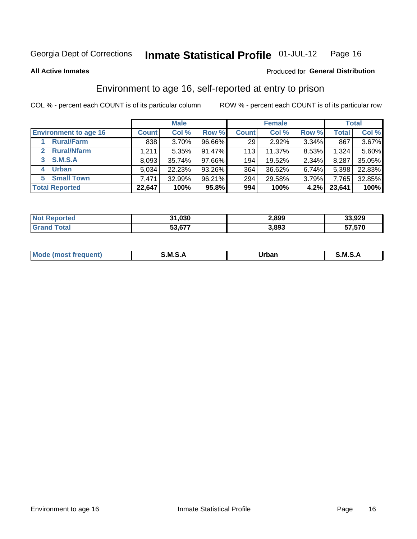#### Inmate Statistical Profile 01-JUL-12 Page 16

**All Active Inmates** 

### **Produced for General Distribution**

### Environment to age 16, self-reported at entry to prison

COL % - percent each COUNT is of its particular column

|                                    |              | <b>Male</b> |        |              | <b>Female</b> |       |              | <b>Total</b> |
|------------------------------------|--------------|-------------|--------|--------------|---------------|-------|--------------|--------------|
| <b>Environment to age 16</b>       | <b>Count</b> | Col %       | Row %  | <b>Count</b> | Col %         | Row % | <b>Total</b> | Col %        |
| <b>Rural/Farm</b>                  | 838          | 3.70%       | 96.66% | 29           | 2.92%         | 3.34% | 867          | $3.67\%$     |
| <b>Rural/Nfarm</b><br>$\mathbf{2}$ | 1.211        | 5.35%       | 91.47% | 113          | 11.37%        | 8.53% | 1,324        | 5.60%        |
| <b>S.M.S.A</b><br>3                | 8,093        | 35.74%      | 97.66% | 194          | 19.52%        | 2.34% | 8,287        | 35.05%       |
| <b>Urban</b>                       | 5,034        | 22.23%      | 93.26% | 364          | 36.62%        | 6.74% | 5,398        | 22.83%       |
| <b>Small Town</b><br>5.            | 7,471        | 32.99%      | 96.21% | 294          | 29.58%        | 3.79% | 7,765        | 32.85%       |
| <b>Total Reported</b>              | 22,647       | 100%        | 95.8%  | 994          | 100%          | 4.2%  | 23,641       | 100%         |

| <b>Not Reported</b> | 31,030<br>-94 | 2,899 | 33,929 |
|---------------------|---------------|-------|--------|
| <b>Grand Total</b>  | 53,677        | 3,893 | 57,570 |

| Mo | M<br>______ | Irhan<br>rva<br>______ | M<br>______ |
|----|-------------|------------------------|-------------|
|    |             |                        |             |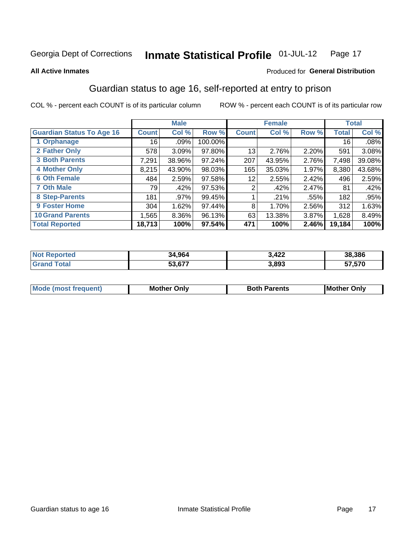#### Inmate Statistical Profile 01-JUL-12 Page 17

#### **All Active Inmates**

### **Produced for General Distribution**

### Guardian status to age 16, self-reported at entry to prison

COL % - percent each COUNT is of its particular column

|                                  |              | <b>Male</b> |         |              | <b>Female</b> |       |        | <b>Total</b> |
|----------------------------------|--------------|-------------|---------|--------------|---------------|-------|--------|--------------|
| <b>Guardian Status To Age 16</b> | <b>Count</b> | Col %       | Row %   | <b>Count</b> | Col %         | Row % | Total  | Col %        |
| 1 Orphanage                      | 16           | .09%        | 100.00% |              |               |       | 16     | .08%         |
| 2 Father Only                    | 578          | 3.09%       | 97.80%  | 13           | 2.76%         | 2.20% | 591    | 3.08%        |
| <b>3 Both Parents</b>            | 7,291        | 38.96%      | 97.24%  | 207          | 43.95%        | 2.76% | 7,498  | 39.08%       |
| <b>4 Mother Only</b>             | 8,215        | 43.90%      | 98.03%  | 165          | 35.03%        | 1.97% | 8,380  | 43.68%       |
| <b>6 Oth Female</b>              | 484          | 2.59%       | 97.58%  | 12           | 2.55%         | 2.42% | 496    | 2.59%        |
| <b>7 Oth Male</b>                | 79           | .42%        | 97.53%  | 2            | .42%          | 2.47% | 81     | .42%         |
| 8 Step-Parents                   | 181          | .97%        | 99.45%  |              | .21%          | .55%  | 182    | .95%         |
| 9 Foster Home                    | 304          | 1.62%       | 97.44%  | 8            | 1.70%         | 2.56% | 312    | 1.63%        |
| <b>10 Grand Parents</b>          | 1,565        | 8.36%       | 96.13%  | 63           | 13.38%        | 3.87% | 1,628  | 8.49%        |
| <b>Total Reported</b>            | 18,713       | 100%        | 97.54%  | 471          | 100%          | 2.46% | 19,184 | 100%         |

| rted<br>NO | 34.964 | <b>A 22</b><br>J,4ZZ | 38,386 |
|------------|--------|----------------------|--------|
|            | 53 677 | 3,893                | 57,570 |

| Mode | วทIv<br>Mot | <b>Both Parents</b><br>Parents | lM.<br>Only<br>. |
|------|-------------|--------------------------------|------------------|
|      |             |                                |                  |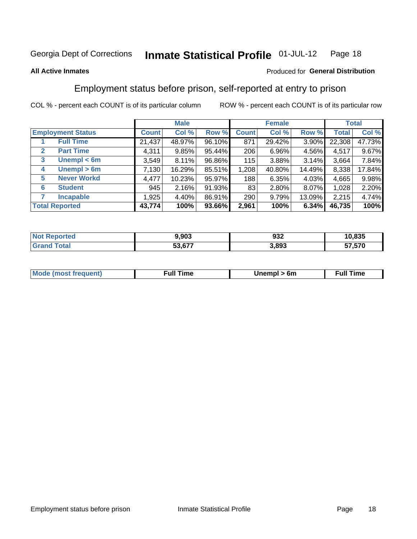#### Inmate Statistical Profile 01-JUL-12 Page 18

### **All Active Inmates**

### Produced for General Distribution

### Employment status before prison, self-reported at entry to prison

COL % - percent each COUNT is of its particular column

|                                  |              | <b>Male</b> |        |              | <b>Female</b> |        |        | <b>Total</b> |
|----------------------------------|--------------|-------------|--------|--------------|---------------|--------|--------|--------------|
| <b>Employment Status</b>         | <b>Count</b> | Col %       | Row %  | <b>Count</b> | Col %         | Row %  | Total  | Col %        |
| <b>Full Time</b>                 | 21,437       | 48.97%      | 96.10% | 871          | 29.42%        | 3.90%  | 22,308 | 47.73%       |
| <b>Part Time</b><br>$\mathbf{2}$ | 4,311        | 9.85%       | 95.44% | 206          | 6.96%         | 4.56%  | 4,517  | 9.67%        |
| Unempl $<$ 6m<br>3               | 3,549        | 8.11%       | 96.86% | 115          | 3.88%         | 3.14%  | 3,664  | 7.84%        |
| Unempl > 6m<br>4                 | 7,130        | 16.29%      | 85.51% | 1,208        | 40.80%        | 14.49% | 8,338  | 17.84%       |
| <b>Never Workd</b><br>5          | 4,477        | 10.23%      | 95.97% | 188          | 6.35%         | 4.03%  | 4,665  | 9.98%        |
| <b>Student</b><br>6              | 945          | 2.16%       | 91.93% | 83           | 2.80%         | 8.07%  | 1,028  | 2.20%        |
| <b>Incapable</b>                 | 1,925        | 4.40%       | 86.91% | 290          | 9.79%         | 13.09% | 2,215  | 4.74%        |
| <b>Total Reported</b>            | 43,774       | 100%        | 93.66% | 2,961        | 100%          | 6.34%  | 46,735 | 100%         |

| тес<br>NO | 9,903  | 932   | 10,835        |
|-----------|--------|-------|---------------|
| $\sim$ 10 | 53.677 | 3,893 | 570<br>--<br> |

| <b>Moo.</b><br><b>THOST</b> | the contract of the contract of the contract of the contract of the contract of the contract of the contract of | 6m | ıme |
|-----------------------------|-----------------------------------------------------------------------------------------------------------------|----|-----|
|                             |                                                                                                                 |    |     |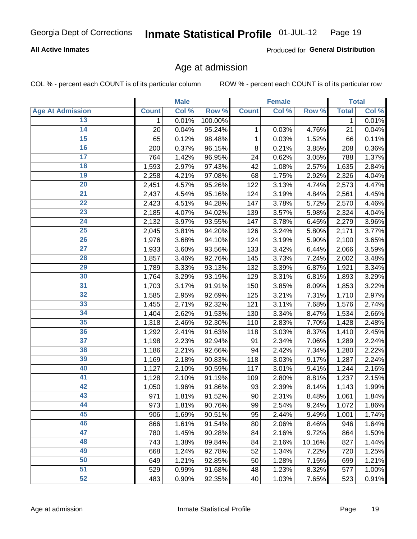### **All Active Inmates**

Produced for General Distribution

### Age at admission

COL % - percent each COUNT is of its particular column

|                         |              | <b>Male</b> |         |              | <b>Female</b> |        |              | <b>Total</b> |
|-------------------------|--------------|-------------|---------|--------------|---------------|--------|--------------|--------------|
| <b>Age At Admission</b> | <b>Count</b> | Col %       | Row %   | <b>Count</b> | Col %         | Row %  | <b>Total</b> | Col %        |
| 13                      | $\mathbf 1$  | 0.01%       | 100.00% |              |               |        | 1            | 0.01%        |
| 14                      | 20           | 0.04%       | 95.24%  | 1            | 0.03%         | 4.76%  | 21           | 0.04%        |
| 15                      | 65           | 0.12%       | 98.48%  | 1            | 0.03%         | 1.52%  | 66           | 0.11%        |
| 16                      | 200          | 0.37%       | 96.15%  | 8            | 0.21%         | 3.85%  | 208          | 0.36%        |
| $\overline{17}$         | 764          | 1.42%       | 96.95%  | 24           | 0.62%         | 3.05%  | 788          | 1.37%        |
| 18                      | 1,593        | 2.97%       | 97.43%  | 42           | 1.08%         | 2.57%  | 1,635        | 2.84%        |
| 19                      | 2,258        | 4.21%       | 97.08%  | 68           | 1.75%         | 2.92%  | 2,326        | 4.04%        |
| 20                      | 2,451        | 4.57%       | 95.26%  | 122          | 3.13%         | 4.74%  | 2,573        | 4.47%        |
| $\overline{21}$         | 2,437        | 4.54%       | 95.16%  | 124          | 3.19%         | 4.84%  | 2,561        | 4.45%        |
| $\overline{22}$         | 2,423        | 4.51%       | 94.28%  | 147          | 3.78%         | 5.72%  | 2,570        | 4.46%        |
| 23                      | 2,185        | 4.07%       | 94.02%  | 139          | 3.57%         | 5.98%  | 2,324        | 4.04%        |
| 24                      | 2,132        | 3.97%       | 93.55%  | 147          | 3.78%         | 6.45%  | 2,279        | 3.96%        |
| $\overline{25}$         | 2,045        | 3.81%       | 94.20%  | 126          | 3.24%         | 5.80%  | 2,171        | 3.77%        |
| 26                      | 1,976        | 3.68%       | 94.10%  | 124          | 3.19%         | 5.90%  | 2,100        | 3.65%        |
| $\overline{27}$         | 1,933        | 3.60%       | 93.56%  | 133          | 3.42%         | 6.44%  | 2,066        | 3.59%        |
| 28                      | 1,857        | 3.46%       | 92.76%  | 145          | 3.73%         | 7.24%  | 2,002        | 3.48%        |
| 29                      | 1,789        | 3.33%       | 93.13%  | 132          | 3.39%         | 6.87%  | 1,921        | 3.34%        |
| 30                      | 1,764        | 3.29%       | 93.19%  | 129          | 3.31%         | 6.81%  | 1,893        | 3.29%        |
| 31                      | 1,703        | 3.17%       | 91.91%  | 150          | 3.85%         | 8.09%  | 1,853        | 3.22%        |
| 32                      | 1,585        | 2.95%       | 92.69%  | 125          | 3.21%         | 7.31%  | 1,710        | 2.97%        |
| 33                      | 1,455        | 2.71%       | 92.32%  | 121          | 3.11%         | 7.68%  | 1,576        | 2.74%        |
| 34                      | 1,404        | 2.62%       | 91.53%  | 130          | 3.34%         | 8.47%  | 1,534        | 2.66%        |
| 35                      | 1,318        | 2.46%       | 92.30%  | 110          | 2.83%         | 7.70%  | 1,428        | 2.48%        |
| 36                      | 1,292        | 2.41%       | 91.63%  | 118          | 3.03%         | 8.37%  | 1,410        | 2.45%        |
| 37                      | 1,198        | 2.23%       | 92.94%  | 91           | 2.34%         | 7.06%  | 1,289        | 2.24%        |
| 38                      | 1,186        | 2.21%       | 92.66%  | 94           | 2.42%         | 7.34%  | 1,280        | 2.22%        |
| 39                      | 1,169        | 2.18%       | 90.83%  | 118          | 3.03%         | 9.17%  | 1,287        | 2.24%        |
| 40                      | 1,127        | 2.10%       | 90.59%  | 117          | 3.01%         | 9.41%  | 1,244        | 2.16%        |
| 41                      | 1,128        | 2.10%       | 91.19%  | 109          | 2.80%         | 8.81%  | 1,237        | 2.15%        |
| 42                      | 1,050        | 1.96%       | 91.86%  | 93           | 2.39%         | 8.14%  | 1,143        | 1.99%        |
| 43                      | 971          | 1.81%       | 91.52%  | 90           | 2.31%         | 8.48%  | 1,061        | 1.84%        |
| 44                      | 973          | 1.81%       | 90.76%  | 99           | 2.54%         | 9.24%  | 1,072        | 1.86%        |
| 45                      | 906          | 1.69%       | 90.51%  | 95           | 2.44%         | 9.49%  | 1,001        | 1.74%        |
| 46                      | 866          | 1.61%       | 91.54%  | 80           | 2.06%         | 8.46%  | 946          | 1.64%        |
| 47                      | 780          | 1.45%       | 90.28%  | 84           | 2.16%         | 9.72%  | 864          | 1.50%        |
| 48                      | 743          | 1.38%       | 89.84%  | 84           | 2.16%         | 10.16% | 827          | 1.44%        |
| 49                      | 668          | 1.24%       | 92.78%  | 52           | 1.34%         | 7.22%  | 720          | 1.25%        |
| 50                      | 649          | 1.21%       | 92.85%  | 50           | 1.28%         | 7.15%  | 699          | 1.21%        |
| 51                      | 529          | 0.99%       | 91.68%  | 48           | 1.23%         | 8.32%  | 577          | 1.00%        |
| 52                      | 483          | 0.90%       | 92.35%  | 40           | 1.03%         | 7.65%  | 523          | 0.91%        |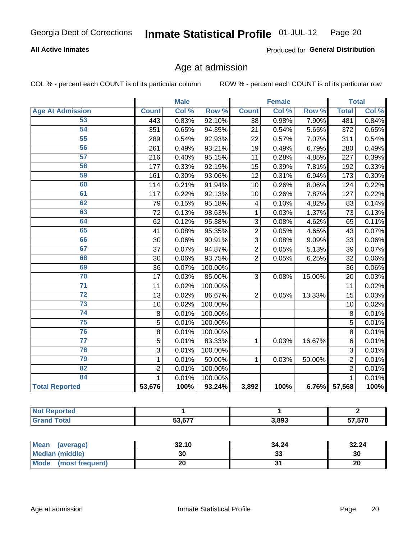### **All Active Inmates**

Produced for General Distribution

### Age at admission

COL % - percent each COUNT is of its particular column

|                         | <b>Male</b>    |       | <b>Female</b> |                |       | <b>Total</b> |                |       |
|-------------------------|----------------|-------|---------------|----------------|-------|--------------|----------------|-------|
| <b>Age At Admission</b> | <b>Count</b>   | Col % | Row %         | <b>Count</b>   | Col % | Row %        | <b>Total</b>   | Col % |
| 53                      | 443            | 0.83% | 92.10%        | 38             | 0.98% | 7.90%        | 481            | 0.84% |
| 54                      | 351            | 0.65% | 94.35%        | 21             | 0.54% | 5.65%        | 372            | 0.65% |
| 55                      | 289            | 0.54% | 92.93%        | 22             | 0.57% | 7.07%        | 311            | 0.54% |
| 56                      | 261            | 0.49% | 93.21%        | 19             | 0.49% | 6.79%        | 280            | 0.49% |
| 57                      | 216            | 0.40% | 95.15%        | 11             | 0.28% | 4.85%        | 227            | 0.39% |
| 58                      | 177            | 0.33% | 92.19%        | 15             | 0.39% | 7.81%        | 192            | 0.33% |
| 59                      | 161            | 0.30% | 93.06%        | 12             | 0.31% | 6.94%        | 173            | 0.30% |
| 60                      | 114            | 0.21% | 91.94%        | 10             | 0.26% | 8.06%        | 124            | 0.22% |
| 61                      | 117            | 0.22% | 92.13%        | 10             | 0.26% | 7.87%        | 127            | 0.22% |
| 62                      | 79             | 0.15% | 95.18%        | 4              | 0.10% | 4.82%        | 83             | 0.14% |
| 63                      | 72             | 0.13% | 98.63%        | 1              | 0.03% | 1.37%        | 73             | 0.13% |
| 64                      | 62             | 0.12% | 95.38%        | 3              | 0.08% | 4.62%        | 65             | 0.11% |
| 65                      | 41             | 0.08% | 95.35%        | $\overline{c}$ | 0.05% | 4.65%        | 43             | 0.07% |
| 66                      | 30             | 0.06% | 90.91%        | 3              | 0.08% | 9.09%        | 33             | 0.06% |
| 67                      | 37             | 0.07% | 94.87%        | $\overline{2}$ | 0.05% | 5.13%        | 39             | 0.07% |
| 68                      | 30             | 0.06% | 93.75%        | $\overline{2}$ | 0.05% | 6.25%        | 32             | 0.06% |
| 69                      | 36             | 0.07% | 100.00%       |                |       |              | 36             | 0.06% |
| 70                      | 17             | 0.03% | 85.00%        | 3              | 0.08% | 15.00%       | 20             | 0.03% |
| $\overline{71}$         | 11             | 0.02% | 100.00%       |                |       |              | 11             | 0.02% |
| $\overline{72}$         | 13             | 0.02% | 86.67%        | $\overline{2}$ | 0.05% | 13.33%       | 15             | 0.03% |
| $\overline{73}$         | 10             | 0.02% | 100.00%       |                |       |              | 10             | 0.02% |
| 74                      | 8              | 0.01% | 100.00%       |                |       |              | 8              | 0.01% |
| $\overline{75}$         | $\overline{5}$ | 0.01% | 100.00%       |                |       |              | 5              | 0.01% |
| 76                      | 8              | 0.01% | 100.00%       |                |       |              | 8              | 0.01% |
| $\overline{77}$         | $\overline{5}$ | 0.01% | 83.33%        | 1              | 0.03% | 16.67%       | 6              | 0.01% |
| 78                      | $\overline{3}$ | 0.01% | 100.00%       |                |       |              | 3              | 0.01% |
| 79                      | $\mathbf{1}$   | 0.01% | 50.00%        | $\mathbf{1}$   | 0.03% | 50.00%       | $\overline{2}$ | 0.01% |
| 82                      | $\overline{2}$ | 0.01% | 100.00%       |                |       |              | $\overline{2}$ | 0.01% |
| 84                      | $\mathbf{1}$   | 0.01% | 100.00%       |                |       |              | $\mathbf{1}$   | 0.01% |
| <b>Total Reported</b>   | 53,676         | 100%  | 93.24%        | 3,892          | 100%  | 6.76%        | 57,568         | 100%  |

| norted<br><b>Not</b> |        |       |                    |
|----------------------|--------|-------|--------------------|
| int                  | 53 677 | 3,893 | ヒフ ヒフハ<br>7. J / U |

| Mean (average)         | 32.10 | 34.24   | 32.24 |
|------------------------|-------|---------|-------|
| <b>Median (middle)</b> | 30    | ົ<br>აა | 30    |
| Mode (most frequent)   | 20    |         | 20    |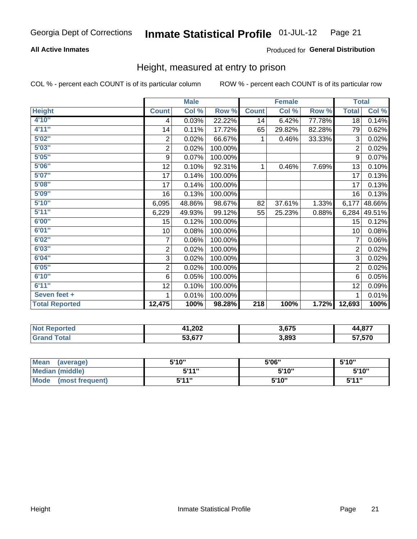### **All Active Inmates**

### Produced for General Distribution

### Height, measured at entry to prison

COL % - percent each COUNT is of its particular column

|                       | <b>Male</b>    |        |         | <b>Female</b>    |        |        | <b>Total</b>   |        |
|-----------------------|----------------|--------|---------|------------------|--------|--------|----------------|--------|
| <b>Height</b>         | <b>Count</b>   | Col %  | Row %   | <b>Count</b>     | Col %  | Row %  | <b>Total</b>   | Col %  |
| 4'10"                 | 4              | 0.03%  | 22.22%  | 14               | 6.42%  | 77.78% | 18             | 0.14%  |
| 4'11''                | 14             | 0.11%  | 17.72%  | 65               | 29.82% | 82.28% | 79             | 0.62%  |
| 5'02"                 | $\overline{2}$ | 0.02%  | 66.67%  | 1                | 0.46%  | 33.33% | 3              | 0.02%  |
| 5'03''                | $\overline{c}$ | 0.02%  | 100.00% |                  |        |        | $\overline{2}$ | 0.02%  |
| 5'05''                | 9              | 0.07%  | 100.00% |                  |        |        | 9              | 0.07%  |
| 5'06''                | 12             | 0.10%  | 92.31%  | 1                | 0.46%  | 7.69%  | 13             | 0.10%  |
| 5'07''                | 17             | 0.14%  | 100.00% |                  |        |        | 17             | 0.13%  |
| 5'08''                | 17             | 0.14%  | 100.00% |                  |        |        | 17             | 0.13%  |
| 5'09''                | 16             | 0.13%  | 100.00% |                  |        |        | 16             | 0.13%  |
| 5'10''                | 6,095          | 48.86% | 98.67%  | 82               | 37.61% | 1.33%  | 6,177          | 48.66% |
| 5'11''                | 6,229          | 49.93% | 99.12%  | 55               | 25.23% | 0.88%  | 6,284          | 49.51% |
| 6'00''                | 15             | 0.12%  | 100.00% |                  |        |        | 15             | 0.12%  |
| 6'01''                | 10             | 0.08%  | 100.00% |                  |        |        | 10             | 0.08%  |
| 6'02''                | $\overline{7}$ | 0.06%  | 100.00% |                  |        |        | 7              | 0.06%  |
| 6'03''                | 2              | 0.02%  | 100.00% |                  |        |        | $\overline{2}$ | 0.02%  |
| 6'04''                | 3              | 0.02%  | 100.00% |                  |        |        | 3              | 0.02%  |
| 6'05''                | $\overline{c}$ | 0.02%  | 100.00% |                  |        |        | $\overline{2}$ | 0.02%  |
| 6'10''                | $\,6$          | 0.05%  | 100.00% |                  |        |        | 6              | 0.05%  |
| 6'11''                | 12             | 0.10%  | 100.00% |                  |        |        | 12             | 0.09%  |
| Seven feet +          | 1              | 0.01%  | 100.00% |                  |        |        | 1              | 0.01%  |
| <b>Total Reported</b> | 12,475         | 100%   | 98.28%  | $\overline{218}$ | 100%   | 1.72%  | 12,693         | 100%   |

| <b>Not</b><br><b>Reported</b> | 41,202   | <b>2 C7E</b><br>ა.ხ7: | 44,877 |
|-------------------------------|----------|-----------------------|--------|
| iotal                         | $3,67^7$ | 3,893                 | 57.570 |

| <b>Mean</b><br>(average)       | 5'10" | 5'06" | 5'10" |
|--------------------------------|-------|-------|-------|
| <b>Median (middle)</b>         | 544"  | 5'10" | 5'10" |
| <b>Mode</b><br>(most frequent) | 544 " | 5'10" | 544"  |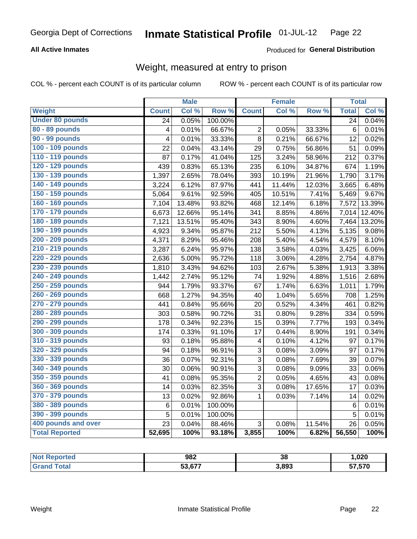### **All Active Inmates**

### Produced for General Distribution

### Weight, measured at entry to prison

COL % - percent each COUNT is of its particular column

|                        |                         | <b>Male</b> |                  |                | <b>Female</b> |        | <b>Total</b>    |        |
|------------------------|-------------------------|-------------|------------------|----------------|---------------|--------|-----------------|--------|
| Weight                 | <b>Count</b>            | Col %       | Row <sup>%</sup> | <b>Count</b>   | Col %         | Row %  | <b>Total</b>    | Col %  |
| <b>Under 80 pounds</b> | $\overline{24}$         | 0.05%       | 100.00%          |                |               |        | $\overline{24}$ | 0.04%  |
| 80 - 89 pounds         | $\overline{\mathbf{4}}$ | 0.01%       | 66.67%           | 2              | 0.05%         | 33.33% | $6\phantom{1}6$ | 0.01%  |
| 90 - 99 pounds         | 4                       | 0.01%       | 33.33%           | 8              | 0.21%         | 66.67% | 12              | 0.02%  |
| 100 - 109 pounds       | 22                      | 0.04%       | 43.14%           | 29             | 0.75%         | 56.86% | 51              | 0.09%  |
| 110 - 119 pounds       | 87                      | 0.17%       | 41.04%           | 125            | 3.24%         | 58.96% | 212             | 0.37%  |
| 120 - 129 pounds       | 439                     | 0.83%       | 65.13%           | 235            | 6.10%         | 34.87% | 674             | 1.19%  |
| 130 - 139 pounds       | 1,397                   | 2.65%       | 78.04%           | 393            | 10.19%        | 21.96% | 1,790           | 3.17%  |
| 140 - 149 pounds       | 3,224                   | 6.12%       | 87.97%           | 441            | 11.44%        | 12.03% | 3,665           | 6.48%  |
| 150 - 159 pounds       | 5,064                   | 9.61%       | 92.59%           | 405            | 10.51%        | 7.41%  | 5,469           | 9.67%  |
| 160 - 169 pounds       | 7,104                   | 13.48%      | 93.82%           | 468            | 12.14%        | 6.18%  | 7,572           | 13.39% |
| 170 - 179 pounds       | 6,673                   | 12.66%      | 95.14%           | 341            | 8.85%         | 4.86%  | 7,014           | 12.40% |
| 180 - 189 pounds       | 7,121                   | 13.51%      | 95.40%           | 343            | 8.90%         | 4.60%  | 7,464           | 13.20% |
| 190 - 199 pounds       | 4,923                   | 9.34%       | 95.87%           | 212            | 5.50%         | 4.13%  | 5,135           | 9.08%  |
| 200 - 209 pounds       | 4,371                   | 8.29%       | 95.46%           | 208            | 5.40%         | 4.54%  | 4,579           | 8.10%  |
| 210 - 219 pounds       | 3,287                   | 6.24%       | 95.97%           | 138            | 3.58%         | 4.03%  | 3,425           | 6.06%  |
| 220 - 229 pounds       | 2,636                   | 5.00%       | 95.72%           | 118            | 3.06%         | 4.28%  | 2,754           | 4.87%  |
| 230 - 239 pounds       | 1,810                   | 3.43%       | 94.62%           | 103            | 2.67%         | 5.38%  | 1,913           | 3.38%  |
| 240 - 249 pounds       | 1,442                   | 2.74%       | 95.12%           | 74             | 1.92%         | 4.88%  | 1,516           | 2.68%  |
| 250 - 259 pounds       | 944                     | 1.79%       | 93.37%           | 67             | 1.74%         | 6.63%  | 1,011           | 1.79%  |
| 260 - 269 pounds       | 668                     | 1.27%       | 94.35%           | 40             | 1.04%         | 5.65%  | 708             | 1.25%  |
| 270 - 279 pounds       | 441                     | 0.84%       | 95.66%           | 20             | 0.52%         | 4.34%  | 461             | 0.82%  |
| 280 - 289 pounds       | 303                     | 0.58%       | 90.72%           | 31             | 0.80%         | 9.28%  | 334             | 0.59%  |
| 290 - 299 pounds       | 178                     | 0.34%       | 92.23%           | 15             | 0.39%         | 7.77%  | 193             | 0.34%  |
| 300 - 309 pounds       | 174                     | 0.33%       | 91.10%           | 17             | 0.44%         | 8.90%  | 191             | 0.34%  |
| 310 - 319 pounds       | 93                      | 0.18%       | 95.88%           | 4              | 0.10%         | 4.12%  | 97              | 0.17%  |
| 320 - 329 pounds       | 94                      | 0.18%       | 96.91%           | 3              | 0.08%         | 3.09%  | 97              | 0.17%  |
| 330 - 339 pounds       | 36                      | 0.07%       | 92.31%           | 3              | 0.08%         | 7.69%  | 39              | 0.07%  |
| 340 - 349 pounds       | 30                      | 0.06%       | 90.91%           | 3              | 0.08%         | 9.09%  | 33              | 0.06%  |
| 350 - 359 pounds       | 41                      | 0.08%       | 95.35%           | $\overline{2}$ | 0.05%         | 4.65%  | 43              | 0.08%  |
| 360 - 369 pounds       | 14                      | 0.03%       | 82.35%           | 3              | 0.08%         | 17.65% | 17              | 0.03%  |
| 370 - 379 pounds       | 13                      | 0.02%       | 92.86%           | 1              | 0.03%         | 7.14%  | 14              | 0.02%  |
| 380 - 389 pounds       | $\,6$                   | 0.01%       | 100.00%          |                |               |        | $6\phantom{1}6$ | 0.01%  |
| 390 - 399 pounds       | 5                       | 0.01%       | 100.00%          |                |               |        | 5               | 0.01%  |
| 400 pounds and over    | 23                      | 0.04%       | 88.46%           | 3              | 0.08%         | 11.54% | 26              | 0.05%  |
| <b>Total Reported</b>  | 52,695                  | 100%        | 93.18%           | 3,855          | 100%          | 6.82%  | 56,550          | 100%   |

| <b>Not</b><br>ported<br>rei | 982                         | $\sim$<br>აბ | ,020   |
|-----------------------------|-----------------------------|--------------|--------|
| 'otal                       | $F^{\bullet}$ $F^{\bullet}$ | 3,893        | 57,570 |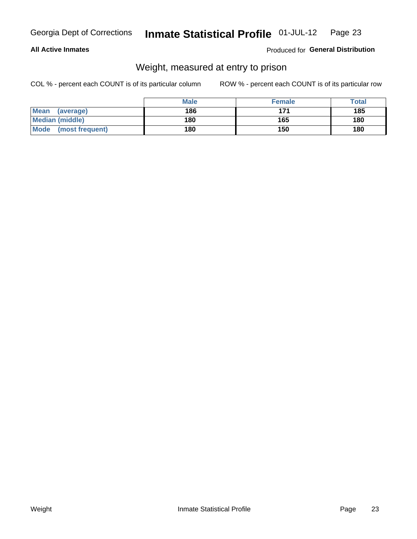### **All Active Inmates**

### Produced for General Distribution

### Weight, measured at entry to prison

COL % - percent each COUNT is of its particular column

|                          | <b>Male</b> | <b>Female</b> | Total |
|--------------------------|-------------|---------------|-------|
| <b>Mean</b><br>(average) | 186         | 171           | 185   |
| <b>Median (middle)</b>   | 180         | 165           | 180   |
| Mode<br>(most frequent)  | 180         | 150           | 180   |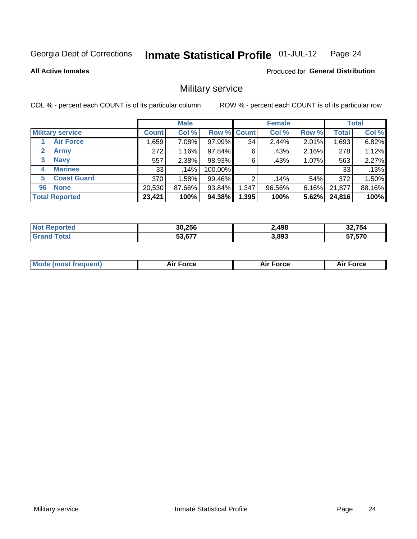#### Inmate Statistical Profile 01-JUL-12 Page 24

**All Active Inmates** 

**Produced for General Distribution** 

### Military service

COL % - percent each COUNT is of its particular column

|                          | <b>Male</b>  |          |             | <b>Female</b> |        |       | <b>Total</b> |        |
|--------------------------|--------------|----------|-------------|---------------|--------|-------|--------------|--------|
| <b>Military service</b>  | <b>Count</b> | Col %    | Row % Count |               | Col %  | Row % | <b>Total</b> | Col %  |
| <b>Air Force</b>         | .659         | $7.08\%$ | 97.99%      | 34            | 2.44%  | 2.01% | 1,693        | 6.82%  |
| 2<br><b>Army</b>         | 272          | 1.16%    | 97.84%      | 6             | .43%   | 2.16% | 278          | 1.12%  |
| <b>Navy</b><br>3         | 557          | 2.38%    | 98.93%      | 6             | .43%   | 1.07% | 563          | 2.27%  |
| <b>Marines</b><br>4      | 33           | .14%     | 100.00%     |               |        |       | 33           | .13%   |
| <b>Coast Guard</b><br>5. | 370          | 1.58%    | 99.46%      | 2             | .14%   | .54%  | 372          | 1.50%  |
| <b>None</b><br>96        | 20,530       | 87.66%   | 93.84%      | 1,347         | 96.56% | 6.16% | 21,877       | 88.16% |
| <b>Total Reported</b>    | 23,421       | 100%     | 94.38%      | 1,395         | 100%   | 5.62% | 24,816       | 100%   |

| <b>Not</b><br>Reported | 30,256       | 2,498 | 32,754 |
|------------------------|--------------|-------|--------|
| ™ota.                  | $\sim$<br>にっ | 3,893 | 57,570 |

| Mode (most frequent) | Force | <b>Force</b> | orce |
|----------------------|-------|--------------|------|
|                      |       |              |      |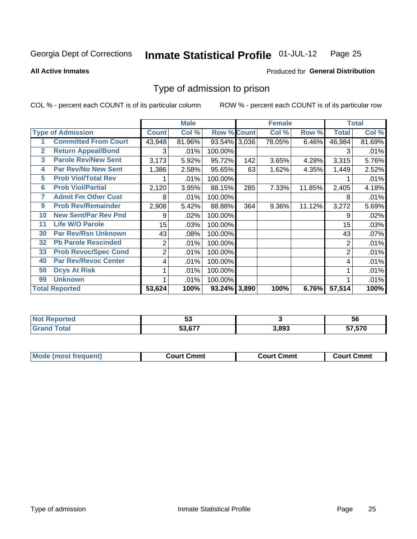#### **Inmate Statistical Profile 01-JUL-12** Page 25

#### **All Active Inmates**

### Produced for General Distribution

### Type of admission to prison

COL % - percent each COUNT is of its particular column

|                |                             |                | <b>Male</b> |                    |       | <b>Female</b> |        | <b>Total</b> |        |
|----------------|-----------------------------|----------------|-------------|--------------------|-------|---------------|--------|--------------|--------|
|                | <b>Type of Admission</b>    | <b>Count</b>   | Col %       | <b>Row % Count</b> |       | Col %         | Row %  | <b>Total</b> | Col %  |
| 1              | <b>Committed From Court</b> | 43,948         | 81.96%      | 93.54% 3,036       |       | 78.05%        | 6.46%  | 46,984       | 81.69% |
| $\overline{2}$ | <b>Return Appeal/Bond</b>   | 3              | .01%        | 100.00%            |       |               |        | 3            | .01%   |
| 3              | <b>Parole Rev/New Sent</b>  | 3,173          | 5.92%       | 95.72%             | 142   | 3.65%         | 4.28%  | 3,315        | 5.76%  |
| 4              | <b>Par Rev/No New Sent</b>  | 1,386          | 2.58%       | 95.65%             | 63    | 1.62%         | 4.35%  | 1,449        | 2.52%  |
| 5              | <b>Prob Viol/Total Rev</b>  |                | .01%        | 100.00%            |       |               |        |              | .01%   |
| 6              | <b>Prob Viol/Partial</b>    | 2,120          | 3.95%       | 88.15%             | 285   | 7.33%         | 11.85% | 2,405        | 4.18%  |
| 7              | <b>Admit Fm Other Cust</b>  | 8              | .01%        | 100.00%            |       |               |        | 8            | .01%   |
| 9              | <b>Prob Rev/Remainder</b>   | 2,908          | 5.42%       | 88.88%             | 364   | 9.36%         | 11.12% | 3,272        | 5.69%  |
| 10             | <b>New Sent/Par Rev Pnd</b> | 9              | .02%        | 100.00%            |       |               |        | 9            | .02%   |
| 11             | <b>Life W/O Parole</b>      | 15             | .03%        | 100.00%            |       |               |        | 15           | .03%   |
| 30             | <b>Par Rev/Rsn Unknown</b>  | 43             | .08%        | 100.00%            |       |               |        | 43           | .07%   |
| 32             | <b>Pb Parole Rescinded</b>  | 2              | .01%        | 100.00%            |       |               |        | 2            | .01%   |
| 33             | <b>Prob Revoc/Spec Cond</b> | $\overline{2}$ | .01%        | 100.00%            |       |               |        | 2            | .01%   |
| 40             | <b>Par Rev/Revoc Center</b> | 4              | .01%        | 100.00%            |       |               |        | 4            | .01%   |
| 50             | <b>Dcys At Risk</b>         |                | .01%        | 100.00%            |       |               |        |              | .01%   |
| 99             | <b>Unknown</b>              |                | .01%        | 100.00%            |       |               |        |              | .01%   |
|                | <b>Total Reported</b>       | 53,624         | 100%        | 93.24%             | 3,890 | 100%          | 6.76%  | 57,514       | 100%   |

| Reported<br>. NOT | JJ     |      | 56     |
|-------------------|--------|------|--------|
| <b>otal</b>       | 52 677 | .893 | 57,570 |

| <b>Mode (most frequent)</b><br>Court Cmmt<br>Court Cmmt<br>Court Cmmt |  |  |
|-----------------------------------------------------------------------|--|--|
|                                                                       |  |  |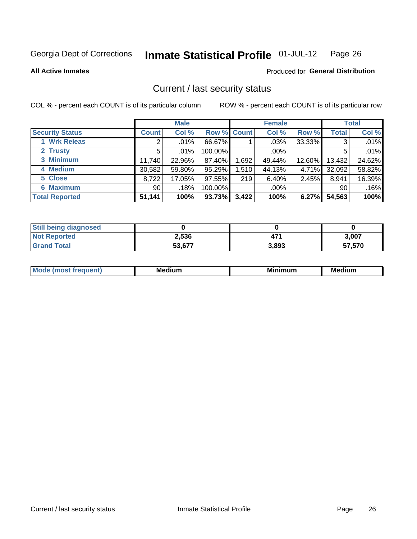#### **Inmate Statistical Profile 01-JUL-12** Page 26

**All Active Inmates** 

### **Produced for General Distribution**

### Current / last security status

COL % - percent each COUNT is of its particular column

|                        |              | <b>Male</b> |             |       | <b>Female</b> |        |              | <b>Total</b> |
|------------------------|--------------|-------------|-------------|-------|---------------|--------|--------------|--------------|
| <b>Security Status</b> | <b>Count</b> | Col %       | Row % Count |       | Col %         | Row %  | <b>Total</b> | Col %        |
| 1 Wrk Releas           | 2            | $.01\%$     | 66.67%      |       | $.03\%$       | 33.33% | 3            | .01%         |
| 2 Trusty               | 5            | .01%        | 100.00%     |       | $.00\%$       |        | 5            | .01%         |
| 3 Minimum              | 11,740       | 22.96%      | 87.40%      | 1,692 | 49.44%        | 12.60% | 13,432       | 24.62%       |
| 4 Medium               | 30,582       | 59.80%      | 95.29%      | 1,510 | 44.13%        | 4.71%  | 32,092       | 58.82%       |
| 5 Close                | 8,722        | 17.05%      | 97.55%      | 219   | 6.40%         | 2.45%  | 8,941        | 16.39%       |
| <b>6 Maximum</b>       | 90           | .18%        | 100.00%     |       | $.00\%$       |        | 90           | .16%         |
| <b>Total Reported</b>  | 51,141       | 100%        | 93.73%      | 3,422 | 100%          | 6.27%  | 54,563       | 100%         |

| <b>Still being diagnosed</b> |        |       |        |
|------------------------------|--------|-------|--------|
| <b>Not Reported</b>          | 2,536  | 471   | 3,007  |
| <b>Grand Total</b>           | 53,677 | 3,893 | 57,570 |

| M | NЛ<br><br>dilim<br>_____ | ---<br>-- | . .<br>Medium<br>Me |
|---|--------------------------|-----------|---------------------|
|   |                          |           |                     |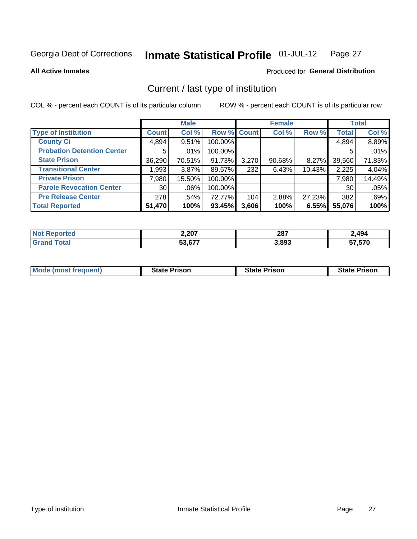#### Inmate Statistical Profile 01-JUL-12 Page 27

**All Active Inmates** 

### Produced for General Distribution

### Current / last type of institution

COL % - percent each COUNT is of its particular column

|                                   |                 | <b>Male</b> |             |       | <b>Female</b> |        |              | <b>Total</b> |
|-----------------------------------|-----------------|-------------|-------------|-------|---------------|--------|--------------|--------------|
| <b>Type of Institution</b>        | <b>Count</b>    | Col %       | Row % Count |       | Col %         | Row %  | <b>Total</b> | Col %        |
| <b>County Ci</b>                  | 4,894           | 9.51%       | 100.00%     |       |               |        | 4,894        | 8.89%        |
| <b>Probation Detention Center</b> | 5               | .01%        | 100.00%     |       |               |        | 5            | .01%         |
| <b>State Prison</b>               | 36,290          | 70.51%      | 91.73%      | 3,270 | 90.68%        | 8.27%  | 39,560       | 71.83%       |
| <b>Transitional Center</b>        | 1,993           | 3.87%       | 89.57%      | 232   | 6.43%         | 10.43% | 2,225        | 4.04%        |
| <b>Private Prison</b>             | 7,980           | 15.50%      | 100.00%     |       |               |        | 7,980        | 14.49%       |
| <b>Parole Revocation Center</b>   | 30 <sup>1</sup> | .06%        | 100.00%     |       |               |        | 30           | .05%         |
| <b>Pre Release Center</b>         | 278             | .54%        | 72.77%      | 104   | 2.88%         | 27.23% | 382          | .69%         |
| <b>Total Reported</b>             | 51,470          | 100%        | 93.45%      | 3,606 | 100%          | 6.55%  | 55,076       | 100%         |

| τeα | דחר ר<br>Z,ZUI | 287   | .494   |
|-----|----------------|-------|--------|
|     | 53 677         | 3,893 | 57,570 |

| <b>Mode (most frequent)</b> | <b>State Prison</b> | <b>State Prison</b> | <b>State Prison</b> |
|-----------------------------|---------------------|---------------------|---------------------|
|                             |                     |                     |                     |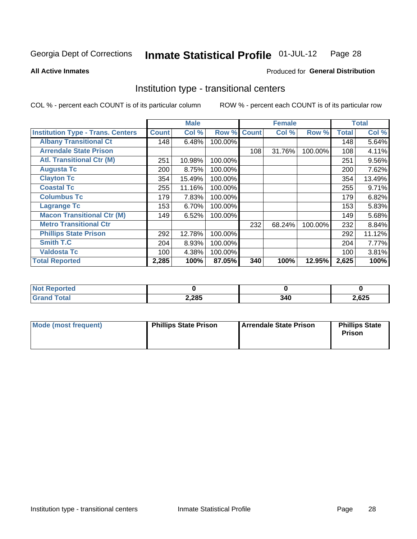#### Inmate Statistical Profile 01-JUL-12 Page 28

**All Active Inmates** 

### Produced for General Distribution

### Institution type - transitional centers

COL % - percent each COUNT is of its particular column

|                                          |              | <b>Male</b> |         |              | <b>Female</b> |         |              | <b>Total</b> |
|------------------------------------------|--------------|-------------|---------|--------------|---------------|---------|--------------|--------------|
| <b>Institution Type - Trans. Centers</b> | <b>Count</b> | Col %       | Row %   | <b>Count</b> | Col %         | Row %   | <b>Total</b> | Col %        |
| <b>Albany Transitional Ct</b>            | 148          | 6.48%       | 100.00% |              |               |         | 148          | 5.64%        |
| <b>Arrendale State Prison</b>            |              |             |         | 108          | 31.76%        | 100.00% | 108          | 4.11%        |
| <b>Atl. Transitional Ctr (M)</b>         | 251          | 10.98%      | 100.00% |              |               |         | 251          | 9.56%        |
| <b>Augusta Tc</b>                        | 200          | 8.75%       | 100.00% |              |               |         | 200          | 7.62%        |
| <b>Clayton Tc</b>                        | 354          | 15.49%      | 100.00% |              |               |         | 354          | 13.49%       |
| <b>Coastal Tc</b>                        | 255          | 11.16%      | 100.00% |              |               |         | 255          | 9.71%        |
| <b>Columbus Tc</b>                       | 179          | 7.83%       | 100.00% |              |               |         | 179          | 6.82%        |
| <b>Lagrange Tc</b>                       | 153          | 6.70%       | 100.00% |              |               |         | 153          | 5.83%        |
| <b>Macon Transitional Ctr (M)</b>        | 149          | 6.52%       | 100.00% |              |               |         | 149          | 5.68%        |
| <b>Metro Transitional Ctr</b>            |              |             |         | 232          | 68.24%        | 100.00% | 232          | 8.84%        |
| <b>Phillips State Prison</b>             | 292          | 12.78%      | 100.00% |              |               |         | 292          | 11.12%       |
| <b>Smith T.C</b>                         | 204          | 8.93%       | 100.00% |              |               |         | 204          | 7.77%        |
| <b>Valdosta Tc</b>                       | 100          | 4.38%       | 100.00% |              |               |         | 100          | 3.81%        |
| <b>Total Reported</b>                    | 2,285        | 100%        | 87.05%  | 340          | 100%          | 12.95%  | 2,625        | 100%         |

| <b>rteo</b><br>NI. |       |     |       |
|--------------------|-------|-----|-------|
|                    | 2,285 | 340 | 2,625 |

| Mode (most frequent) | <b>Phillips State Prison</b> | Arrendale State Prison | <b>Phillips State</b><br>Prison |
|----------------------|------------------------------|------------------------|---------------------------------|
|                      |                              |                        |                                 |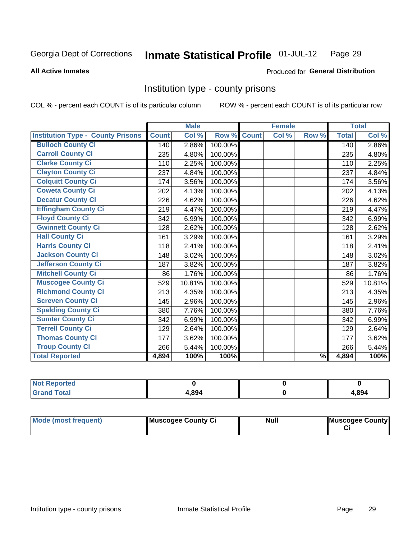#### Inmate Statistical Profile 01-JUL-12 Page 29

### **All Active Inmates**

### **Produced for General Distribution**

### Institution type - county prisons

COL % - percent each COUNT is of its particular column

|                                          |              | <b>Male</b> |         |              | <b>Female</b> |               |              | <b>Total</b> |
|------------------------------------------|--------------|-------------|---------|--------------|---------------|---------------|--------------|--------------|
| <b>Institution Type - County Prisons</b> | <b>Count</b> | Col %       | Row %   | <b>Count</b> | Col %         | Row %         | <b>Total</b> | Col %        |
| <b>Bulloch County Ci</b>                 | 140          | 2.86%       | 100.00% |              |               |               | 140          | 2.86%        |
| <b>Carroll County Ci</b>                 | 235          | 4.80%       | 100.00% |              |               |               | 235          | 4.80%        |
| <b>Clarke County Ci</b>                  | 110          | 2.25%       | 100.00% |              |               |               | 110          | 2.25%        |
| <b>Clayton County Ci</b>                 | 237          | 4.84%       | 100.00% |              |               |               | 237          | 4.84%        |
| <b>Colquitt County Ci</b>                | 174          | 3.56%       | 100.00% |              |               |               | 174          | 3.56%        |
| <b>Coweta County Ci</b>                  | 202          | 4.13%       | 100.00% |              |               |               | 202          | 4.13%        |
| <b>Decatur County Ci</b>                 | 226          | 4.62%       | 100.00% |              |               |               | 226          | 4.62%        |
| <b>Effingham County Ci</b>               | 219          | 4.47%       | 100.00% |              |               |               | 219          | 4.47%        |
| <b>Floyd County Ci</b>                   | 342          | 6.99%       | 100.00% |              |               |               | 342          | 6.99%        |
| <b>Gwinnett County Ci</b>                | 128          | 2.62%       | 100.00% |              |               |               | 128          | 2.62%        |
| <b>Hall County Ci</b>                    | 161          | 3.29%       | 100.00% |              |               |               | 161          | 3.29%        |
| <b>Harris County Ci</b>                  | 118          | 2.41%       | 100.00% |              |               |               | 118          | 2.41%        |
| <b>Jackson County Ci</b>                 | 148          | 3.02%       | 100.00% |              |               |               | 148          | 3.02%        |
| <b>Jefferson County Ci</b>               | 187          | 3.82%       | 100.00% |              |               |               | 187          | 3.82%        |
| <b>Mitchell County Ci</b>                | 86           | 1.76%       | 100.00% |              |               |               | 86           | 1.76%        |
| <b>Muscogee County Ci</b>                | 529          | 10.81%      | 100.00% |              |               |               | 529          | 10.81%       |
| <b>Richmond County Ci</b>                | 213          | 4.35%       | 100.00% |              |               |               | 213          | 4.35%        |
| <b>Screven County Ci</b>                 | 145          | 2.96%       | 100.00% |              |               |               | 145          | 2.96%        |
| <b>Spalding County Ci</b>                | 380          | 7.76%       | 100.00% |              |               |               | 380          | 7.76%        |
| <b>Sumter County Ci</b>                  | 342          | 6.99%       | 100.00% |              |               |               | 342          | 6.99%        |
| <b>Terrell County Ci</b>                 | 129          | 2.64%       | 100.00% |              |               |               | 129          | 2.64%        |
| <b>Thomas County Ci</b>                  | 177          | 3.62%       | 100.00% |              |               |               | 177          | 3.62%        |
| <b>Troup County Ci</b>                   | 266          | 5.44%       | 100.00% |              |               |               | 266          | 5.44%        |
| <b>Total Reported</b>                    | 4,894        | 100%        | 100%    |              |               | $\frac{9}{6}$ | 4,894        | 100%         |

| <b>Not</b><br><b>Reported</b> |       |       |
|-------------------------------|-------|-------|
| <b>Total</b><br><b>Grand</b>  | 1,894 | 4,894 |

| Mode (most frequent) | Muscogee County Ci | <b>Null</b> | Muscogee County |
|----------------------|--------------------|-------------|-----------------|
|                      |                    |             |                 |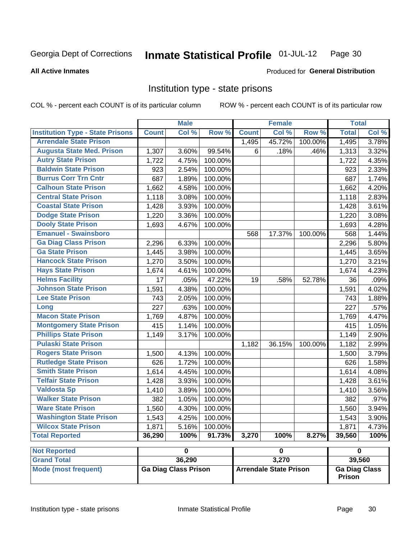#### Inmate Statistical Profile 01-JUL-12 Page 30

#### **All Active Inmates**

### Produced for General Distribution

### Institution type - state prisons

COL % - percent each COUNT is of its particular column

ROW % - percent each COUNT is of its particular row

| Col %<br>Row %<br>Col %<br>Col %<br><b>Institution Type - State Prisons</b><br><b>Count</b><br><b>Count</b><br>Row %<br><b>Total</b><br><b>Arrendale State Prison</b><br>45.72%<br>3.78%<br>1,495<br>100.00%<br>1,495<br><b>Augusta State Med. Prison</b><br>99.54%<br>3.60%<br>6<br>.18%<br>.46%<br>1,313<br>3.32%<br>1,307 |
|------------------------------------------------------------------------------------------------------------------------------------------------------------------------------------------------------------------------------------------------------------------------------------------------------------------------------|
|                                                                                                                                                                                                                                                                                                                              |
|                                                                                                                                                                                                                                                                                                                              |
|                                                                                                                                                                                                                                                                                                                              |
| <b>Autry State Prison</b><br>1,722<br>4.75%<br>100.00%<br>4.35%<br>1,722                                                                                                                                                                                                                                                     |
| <b>Baldwin State Prison</b><br>2.33%<br>923<br>2.54%<br>100.00%<br>923                                                                                                                                                                                                                                                       |
| <b>Burrus Corr Trn Cntr</b><br>687<br>1.89%<br>100.00%<br>687<br>1.74%                                                                                                                                                                                                                                                       |
| <b>Calhoun State Prison</b><br>1,662<br>4.58%<br>100.00%<br>1,662<br>4.20%                                                                                                                                                                                                                                                   |
| <b>Central State Prison</b><br>1,118<br>3.08%<br>100.00%<br>1,118<br>2.83%                                                                                                                                                                                                                                                   |
| <b>Coastal State Prison</b><br>1,428<br>1,428<br>3.61%<br>3.93%<br>100.00%                                                                                                                                                                                                                                                   |
| <b>Dodge State Prison</b><br>1,220<br>3.36%<br>100.00%<br>1,220<br>3.08%                                                                                                                                                                                                                                                     |
| <b>Dooly State Prison</b><br>1,693<br>100.00%<br>1,693<br>4.28%<br>4.67%                                                                                                                                                                                                                                                     |
| <b>Emanuel - Swainsboro</b><br>568<br>100.00%<br>1.44%<br>568<br>17.37%                                                                                                                                                                                                                                                      |
| <b>Ga Diag Class Prison</b><br>100.00%<br>2,296<br>5.80%<br>6.33%<br>2,296                                                                                                                                                                                                                                                   |
| <b>Ga State Prison</b><br>1,445<br>100.00%<br>3.65%<br>3.98%<br>1,445                                                                                                                                                                                                                                                        |
| <b>Hancock State Prison</b><br>1,270<br>100.00%<br>1,270<br>3.21%<br>3.50%                                                                                                                                                                                                                                                   |
| <b>Hays State Prison</b><br>1,674<br>4.61%<br>100.00%<br>1,674<br>4.23%                                                                                                                                                                                                                                                      |
| <b>Helms Facility</b><br>$\overline{17}$<br>.05%<br>47.22%<br>19<br>.58%<br>52.78%<br>36<br>.09%                                                                                                                                                                                                                             |
| <b>Johnson State Prison</b><br>1,591<br>4.38%<br>100.00%<br>1,591<br>4.02%                                                                                                                                                                                                                                                   |
| <b>Lee State Prison</b><br>743<br>2.05%<br>100.00%<br>743<br>1.88%                                                                                                                                                                                                                                                           |
| .63%<br>227<br>100.00%<br>227<br>.57%<br>Long                                                                                                                                                                                                                                                                                |
| <b>Macon State Prison</b><br>1,769<br>4.87%<br>100.00%<br>1,769<br>4.47%                                                                                                                                                                                                                                                     |
| <b>Montgomery State Prison</b><br>1.14%<br>415<br>415<br>100.00%<br>1.05%                                                                                                                                                                                                                                                    |
| <b>Phillips State Prison</b><br>3.17%<br>100.00%<br>1,149<br>2.90%<br>1,149                                                                                                                                                                                                                                                  |
| <b>Pulaski State Prison</b><br>100.00%<br>1,182<br>2.99%<br>1,182<br>36.15%                                                                                                                                                                                                                                                  |
| <b>Rogers State Prison</b><br>4.13%<br>100.00%<br>1,500<br>3.79%<br>1,500                                                                                                                                                                                                                                                    |
| <b>Rutledge State Prison</b><br>1.72%<br>100.00%<br>1.58%<br>626<br>626                                                                                                                                                                                                                                                      |
| <b>Smith State Prison</b><br>$\overline{1,614}$<br>4.45%<br>100.00%<br>1,614<br>4.08%                                                                                                                                                                                                                                        |
| <b>Telfair State Prison</b><br>3.93%<br>100.00%<br>3.61%<br>1,428<br>1,428                                                                                                                                                                                                                                                   |
| <b>Valdosta Sp</b><br>100.00%<br>3.56%<br>3.89%<br>1,410<br>1,410                                                                                                                                                                                                                                                            |
| <b>Walker State Prison</b><br>382<br>1.05%<br>100.00%<br>382<br>.97%                                                                                                                                                                                                                                                         |
| <b>Ware State Prison</b><br>4.30%<br>3.94%<br>1,560<br>100.00%<br>1,560                                                                                                                                                                                                                                                      |
| <b>Washington State Prison</b><br>4.25%<br>100.00%<br>3.90%<br>1,543<br>1,543                                                                                                                                                                                                                                                |
| <b>Wilcox State Prison</b><br>5.16%<br>1,871<br>100.00%<br>1,871<br>4.73%                                                                                                                                                                                                                                                    |
| <b>Total Reported</b><br>100%<br>100%<br>8.27%<br>39,560<br>100%<br>36,290<br>91.73%<br>3,270                                                                                                                                                                                                                                |
| <b>Not Reported</b><br>$\overline{\mathbf{0}}$<br>$\overline{\mathbf{0}}$<br>$\overline{\mathbf{0}}$                                                                                                                                                                                                                         |
| <b>Grand Total</b><br>3,270<br>36,290<br>39,560                                                                                                                                                                                                                                                                              |

**Mode (most frequent)** 

**Ga Diag Class Prison** 

**Arrendale State Prison** 

**Ga Diag Class** Prison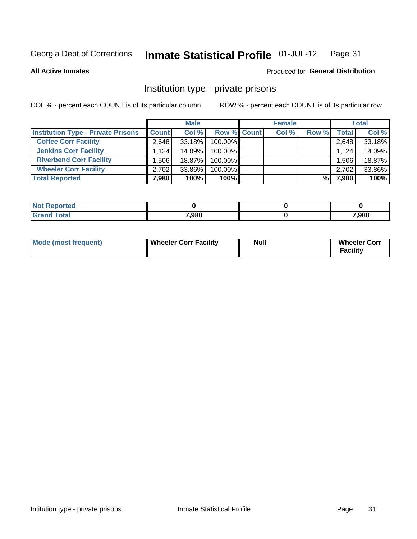#### **Inmate Statistical Profile 01-JUL-12** Page 31

**All Active Inmates** 

### Produced for General Distribution

### Institution type - private prisons

COL % - percent each COUNT is of its particular column

|                                           |              | <b>Male</b> |                    | <b>Female</b> |       |       | <b>Total</b> |
|-------------------------------------------|--------------|-------------|--------------------|---------------|-------|-------|--------------|
| <b>Institution Type - Private Prisons</b> | <b>Count</b> | Col %       | <b>Row % Count</b> | Col %         | Row % | Total | Col %        |
| <b>Coffee Corr Facility</b>               | 2.648        | $33.18\%$   | 100.00%            |               |       | 2,648 | 33.18%       |
| <b>Jenkins Corr Facility</b>              | 1.124        | 14.09%      | 100.00%            |               |       | 1,124 | 14.09%       |
| <b>Riverbend Corr Facility</b>            | .506         | 18.87%      | 100.00%            |               |       | 1,506 | 18.87%       |
| <b>Wheeler Corr Facility</b>              | 2,702        | 33.86%      | 100.00%            |               |       | 2,702 | 33.86%       |
| <b>Total Reported</b>                     | 7,980        | 100%        | $100\%$            |               | %     | 7,980 | 100%         |

| Reported |       |       |
|----------|-------|-------|
| `otal    | 7,980 | 7,980 |

| Mode (most frequent) | Wheeler Corr Facility | Null | <b>Wheeler Corr</b><br>Facility |
|----------------------|-----------------------|------|---------------------------------|
|----------------------|-----------------------|------|---------------------------------|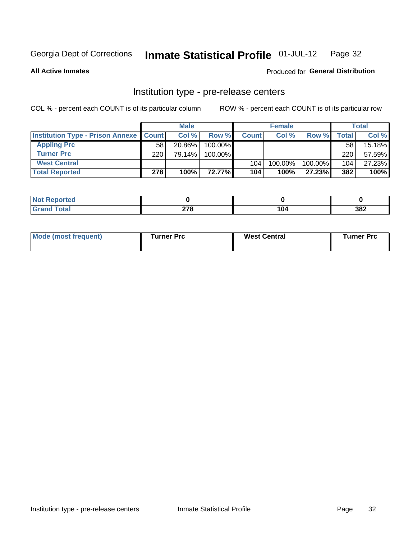#### Inmate Statistical Profile 01-JUL-12 Page 32

**All Active Inmates** 

Produced for General Distribution

## Institution type - pre-release centers

COL % - percent each COUNT is of its particular column

|                                                   |     | <b>Male</b> |         |              | <b>Female</b> |         |       | <b>Total</b> |
|---------------------------------------------------|-----|-------------|---------|--------------|---------------|---------|-------|--------------|
| <b>Institution Type - Prison Annexe   Count  </b> |     | Col %       | Row %   | <b>Count</b> | Col %         | Row %   | Total | Col %        |
| <b>Appling Prc</b>                                | 58  | 20.86%      | 100.00% |              |               |         | 58    | 15.18%       |
| <b>Turner Prc</b>                                 | 220 | 79.14%      | 100.00% |              |               |         | 220   | 57.59%       |
| <b>West Central</b>                               |     |             |         | 104          | 100.00%       | 100.00% | 104   | 27.23%       |
| <b>Total Reported</b>                             | 278 | 100%        | 72.77%I | 104          | 100%          | 27.23%  | 382   | 100%         |

| $\sim$<br>-- | $- - -$ | າດາ<br>JUZ |
|--------------|---------|------------|

| Mode (most frequent) | Turner Prc | <b>West Central</b> | Turner Prc |
|----------------------|------------|---------------------|------------|
|----------------------|------------|---------------------|------------|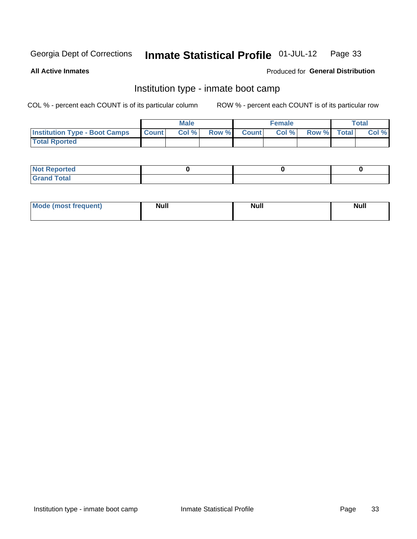#### Inmate Statistical Profile 01-JUL-12 Page 33

**All Active Inmates** 

### Produced for General Distribution

### Institution type - inmate boot camp

COL % - percent each COUNT is of its particular column

|                                      |              | <b>Male</b> |       |        | <b>Female</b> |             | Total |
|--------------------------------------|--------------|-------------|-------|--------|---------------|-------------|-------|
| <b>Institution Type - Boot Camps</b> | <b>Count</b> | Col %       | Row % | Countl | Col %         | Row % Total | Col % |
| <b>Total Rported</b>                 |              |             |       |        |               |             |       |

| <b>Not Reported</b>            |  |  |
|--------------------------------|--|--|
| <b>Total</b><br>C <sub>r</sub> |  |  |

| <b>I Mode (most frequent)</b> | <b>Null</b> | <b>Null</b> | <b>Null</b> |
|-------------------------------|-------------|-------------|-------------|
|                               |             |             |             |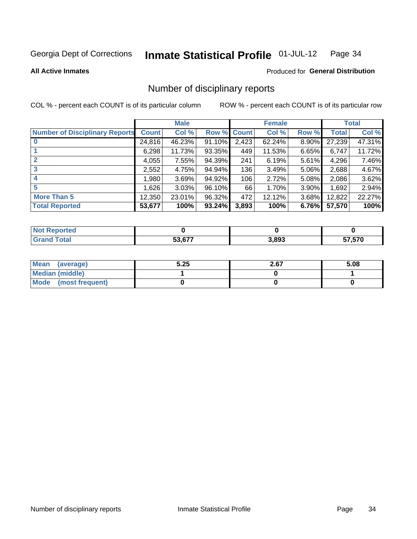#### Inmate Statistical Profile 01-JUL-12 Page 34

**All Active Inmates** 

### Produced for General Distribution

### Number of disciplinary reports

COL % - percent each COUNT is of its particular column

|                                       |              | <b>Male</b> |             |       | <b>Female</b> |       |        | <b>Total</b> |
|---------------------------------------|--------------|-------------|-------------|-------|---------------|-------|--------|--------------|
| <b>Number of Disciplinary Reports</b> | <b>Count</b> | Col %       | Row % Count |       | Col %         | Row % | Total  | Col %        |
|                                       | 24,816       | 46.23%      | $91.10\%$   | 2,423 | 62.24%        | 8.90% | 27,239 | 47.31%       |
|                                       | 6,298        | 11.73%      | 93.35%      | 449   | 11.53%        | 6.65% | 6,747  | 11.72%       |
| $\mathbf{2}$                          | 4,055        | 7.55%       | 94.39%      | 241   | 6.19%         | 5.61% | 4,296  | 7.46%        |
| 3                                     | 2,552        | 4.75%       | 94.94%      | 136   | 3.49%         | 5.06% | 2,688  | 4.67%        |
|                                       | ,980         | 3.69%       | 94.92%      | 106   | 2.72%         | 5.08% | 2,086  | 3.62%        |
| 5                                     | 1,626        | 3.03%       | 96.10%      | 66    | 1.70%         | 3.90% | 1,692  | 2.94%        |
| <b>More Than 5</b>                    | 12,350       | 23.01%      | 96.32%      | 472   | 12.12%        | 3.68% | 12,822 | 22.27%       |
| <b>Total Reported</b>                 | 53,677       | 100%        | 93.24%      | 3,893 | 100%          | 6.76% | 57,570 | 100%         |

| prted<br>NOT |      |       |               |
|--------------|------|-------|---------------|
| `otal        | E2E7 | 3,893 | 570.<br>่ ว เ |

| Mean (average)       | 5.25 | 2.67 | 5.08 |
|----------------------|------|------|------|
| Median (middle)      |      |      |      |
| Mode (most frequent) |      |      |      |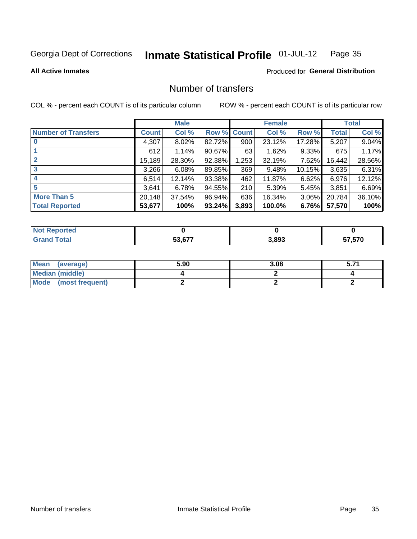#### **Inmate Statistical Profile 01-JUL-12** Page 35

**All Active Inmates** 

### **Produced for General Distribution**

### Number of transfers

COL % - percent each COUNT is of its particular column

|                            |              | <b>Male</b> |        |             | <b>Female</b> |        |        | <b>Total</b> |
|----------------------------|--------------|-------------|--------|-------------|---------------|--------|--------|--------------|
| <b>Number of Transfers</b> | <b>Count</b> | Col %       |        | Row % Count | Col %         | Row %  | Total  | Col %        |
| $\bf{0}$                   | 4,307        | 8.02%       | 82.72% | 900         | 23.12%        | 17.28% | 5,207  | 9.04%        |
|                            | 612          | 1.14%       | 90.67% | 63          | 1.62%         | 9.33%  | 675    | 1.17%        |
| $\mathbf{2}$               | 15,189       | 28.30%      | 92.38% | 1,253       | 32.19%        | 7.62%  | 16,442 | 28.56%       |
| 3                          | 3,266        | 6.08%       | 89.85% | 369         | 9.48%         | 10.15% | 3,635  | 6.31%        |
|                            | 6.514        | 12.14%      | 93.38% | 462         | 11.87%        | 6.62%  | 6,976  | 12.12%       |
| 5                          | 3,641        | 6.78%       | 94.55% | 210         | 5.39%         | 5.45%  | 3,851  | 6.69%        |
| <b>More Than 5</b>         | 20,148       | 37.54%      | 96.94% | 636         | 16.34%        | 3.06%  | 20,784 | 36.10%       |
| <b>Total Reported</b>      | 53,677       | 100%        | 93.24% | 3,893       | 100.0%        | 6.76%  | 57,570 | 100%         |

| prted<br>NOT |      |       |               |
|--------------|------|-------|---------------|
| `otal        | E2E7 | 3,893 | 570.<br>่ ว เ |

| Mean (average)         | 5.90 | 3.08 | 5.7. |
|------------------------|------|------|------|
| <b>Median (middle)</b> |      |      |      |
| Mode (most frequent)   |      |      |      |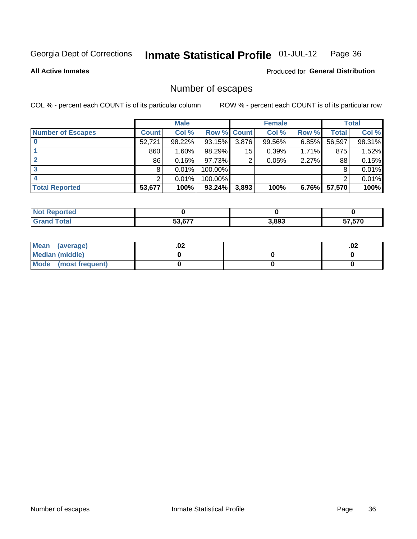#### **Inmate Statistical Profile 01-JUL-12** Page 36

**All Active Inmates** 

### **Produced for General Distribution**

### Number of escapes

COL % - percent each COUNT is of its particular column

|                          |              | <b>Male</b> |             |       | <b>Female</b> |          |        | <b>Total</b> |
|--------------------------|--------------|-------------|-------------|-------|---------------|----------|--------|--------------|
| <b>Number of Escapes</b> | <b>Count</b> | Col %       | Row % Count |       | Col %         | Row %    | Total  | Col %        |
|                          | 52,721       | 98.22%      | 93.15%      | 3,876 | 99.56%        | 6.85%    | 56,597 | 98.31%       |
|                          | 860          | 1.60%       | 98.29%      | 15    | 0.39%         | 1.71%    | 875    | 1.52%        |
|                          | 86           | 0.16%       | 97.73%      | 2     | 0.05%         | 2.27%    | 88     | 0.15%        |
|                          | 8            | 0.01%       | 100.00%     |       |               |          | 8      | 0.01%        |
|                          | າ            | 0.01%       | 100.00%     |       |               |          |        | 0.01%        |
| <b>Total Reported</b>    | 53,677       | 100%        | 93.24%      | 3,893 | 100%          | $6.76\%$ | 57,570 | 100%         |

| orten        |        |       |        |
|--------------|--------|-------|--------|
| <b>Total</b> | 53.677 | 3,893 | 57,570 |

| Mean (average)         | .vz | .02 |
|------------------------|-----|-----|
| <b>Median (middle)</b> |     |     |
| Mode (most frequent)   |     |     |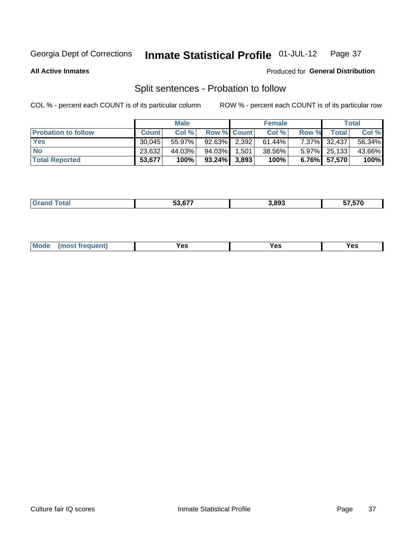#### Inmate Statistical Profile 01-JUL-12 Page 37

**All Active Inmates** 

### Produced for General Distribution

# Split sentences - Probation to follow

COL % - percent each COUNT is of its particular column

|                            |              | <b>Male</b> |                    |       | <b>Female</b> |       |              | <b>Total</b> |
|----------------------------|--------------|-------------|--------------------|-------|---------------|-------|--------------|--------------|
| <b>Probation to follow</b> | <b>Count</b> | Col%        | <b>Row % Count</b> |       | Col %         | Row % | Total        | Col %        |
| <b>Yes</b>                 | 30.045       | 55.97%      | 92.63% 2.392       |       | $61.44\%$     |       | 7.37% 32,437 | 56.34%       |
| <b>No</b>                  | 23,632       | 44.03%      | 94.03% I           | 1,501 | 38.56%        |       | 5.97% 25,133 | 43.66%       |
| <b>Total Reported</b>      | 53,677       | 100%        | $93.24\%$ 3,893    |       | 100%          |       | 6.76% 57,570 | 100%         |

| _______ | <u>_____</u><br>. . | 3.893<br>- - - | $- - - - -$<br>7.57U<br>- 11 |
|---------|---------------------|----------------|------------------------------|
|         |                     |                |                              |

| M <sub>o</sub><br>requent)<br>'es<br>res<br>$\sim$<br>$ -$ |
|------------------------------------------------------------|
|------------------------------------------------------------|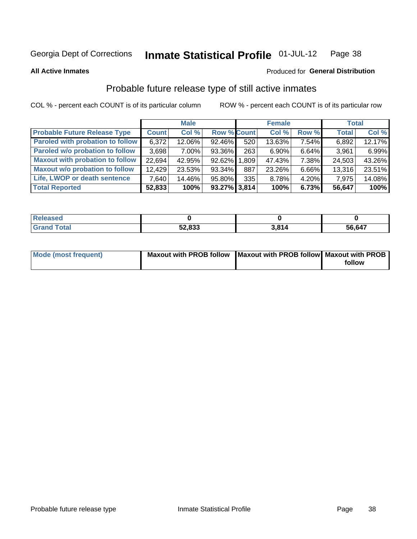#### Inmate Statistical Profile 01-JUL-12 Page 38

**All Active Inmates** 

### Produced for General Distribution

# Probable future release type of still active inmates

COL % - percent each COUNT is of its particular column

|                                         |              | <b>Male</b> |                    |     | <b>Female</b> |          | <b>Total</b> |        |
|-----------------------------------------|--------------|-------------|--------------------|-----|---------------|----------|--------------|--------|
| <b>Probable Future Release Type</b>     | <b>Count</b> | Col %       | <b>Row % Count</b> |     | Col %         | Row %    | <b>Total</b> | Col %  |
| <b>Paroled with probation to follow</b> | 6,372        | 12.06%      | 92.46%             | 520 | 13.63%        | 7.54%    | 6,892        | 12.17% |
| Paroled w/o probation to follow         | 3,698        | $7.00\%$    | 93.36%             | 263 | $6.90\%$      | $6.64\%$ | 3,961        | 6.99%  |
| <b>Maxout with probation to follow</b>  | 22,694       | 42.95%      | 92.62% 1.809       |     | 47.43%        | 7.38%    | 24,503       | 43.26% |
| <b>Maxout w/o probation to follow</b>   | 12,429       | 23.53%      | 93.34%             | 887 | 23.26%        | 6.66%    | 13,316       | 23.51% |
| Life, LWOP or death sentence            | 7,640        | 14.46%      | 95.80%             | 335 | 8.78%         | $4.20\%$ | 7,975        | 14.08% |
| <b>Total Reported</b>                   | 52,833       | 100%        | $93.27\%$ 3,814    |     | 100%          | 6.73%    | 56,647       | 100%   |

| aseo        |                  |      |        |
|-------------|------------------|------|--------|
| <b>otal</b> | EQ 000<br>ა∠,ბაა | 0.04 | 56,647 |

| Mode (most frequent) | Maxout with PROB follow   Maxout with PROB follow   Maxout with PROB |        |
|----------------------|----------------------------------------------------------------------|--------|
|                      |                                                                      | follow |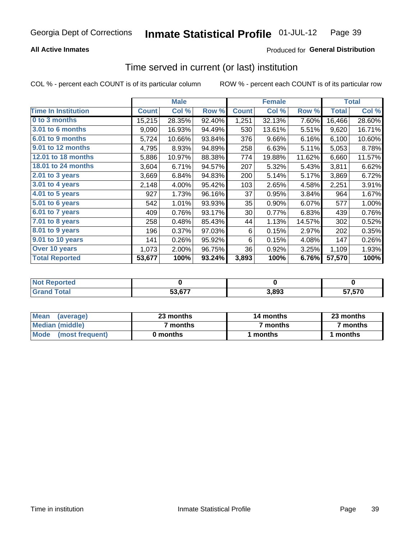## **All Active Inmates**

## Produced for General Distribution

## Time served in current (or last) institution

COL % - percent each COUNT is of its particular column

|                              |              | <b>Male</b> |        |              | <b>Female</b> |        |              | <b>Total</b> |
|------------------------------|--------------|-------------|--------|--------------|---------------|--------|--------------|--------------|
| <b>Time In Institution</b>   | <b>Count</b> | Col %       | Row %  | <b>Count</b> | Col %         | Row %  | <b>Total</b> | Col %        |
| 0 to 3 months                | 15,215       | 28.35%      | 92.40% | 1,251        | 32.13%        | 7.60%  | 16,466       | 28.60%       |
| <b>3.01 to 6 months</b>      | 9,090        | 16.93%      | 94.49% | 530          | 13.61%        | 5.51%  | 9,620        | 16.71%       |
| 6.01 to 9 months             | 5,724        | 10.66%      | 93.84% | 376          | 9.66%         | 6.16%  | 6,100        | 10.60%       |
| 9.01 to 12 months            | 4,795        | 8.93%       | 94.89% | 258          | 6.63%         | 5.11%  | 5,053        | 8.78%        |
| 12.01 to 18 months           | 5,886        | 10.97%      | 88.38% | 774          | 19.88%        | 11.62% | 6,660        | 11.57%       |
| <b>18.01 to 24 months</b>    | 3,604        | 6.71%       | 94.57% | 207          | 5.32%         | 5.43%  | 3,811        | 6.62%        |
| 2.01 to 3 years              | 3,669        | 6.84%       | 94.83% | 200          | 5.14%         | 5.17%  | 3,869        | 6.72%        |
| $3.01$ to 4 years            | 2,148        | 4.00%       | 95.42% | 103          | 2.65%         | 4.58%  | 2,251        | 3.91%        |
| 4.01 to 5 years              | 927          | 1.73%       | 96.16% | 37           | 0.95%         | 3.84%  | 964          | 1.67%        |
| $\overline{5.01}$ to 6 years | 542          | 1.01%       | 93.93% | 35           | 0.90%         | 6.07%  | 577          | 1.00%        |
| 6.01 to 7 years              | 409          | 0.76%       | 93.17% | 30           | 0.77%         | 6.83%  | 439          | 0.76%        |
| 7.01 to 8 years              | 258          | 0.48%       | 85.43% | 44           | 1.13%         | 14.57% | 302          | 0.52%        |
| 8.01 to 9 years              | 196          | 0.37%       | 97.03% | 6            | 0.15%         | 2.97%  | 202          | 0.35%        |
| 9.01 to 10 years             | 141          | 0.26%       | 95.92% | 6            | 0.15%         | 4.08%  | 147          | 0.26%        |
| Over 10 years                | 1,073        | 2.00%       | 96.75% | 36           | 0.92%         | 3.25%  | 1,109        | 1.93%        |
| <b>Total Reported</b>        | 53,677       | 100%        | 93.24% | 3,893        | 100%          | 6.76%  | 57,570       | 100%         |

| orted<br>NO1     |        |       |                         |
|------------------|--------|-------|-------------------------|
| ota <sub>i</sub> | 50.CJZ | 3,893 | 57 57N<br>ט וכ. י<br>J1 |

| <b>Mean</b><br>(average) | 23 months | 14 months | 23 months |  |  |
|--------------------------|-----------|-----------|-----------|--|--|
| Median (middle)          | ' months  | 7 months  | 7 months  |  |  |
| Mode (most frequent)     | 0 months  | months    | l months  |  |  |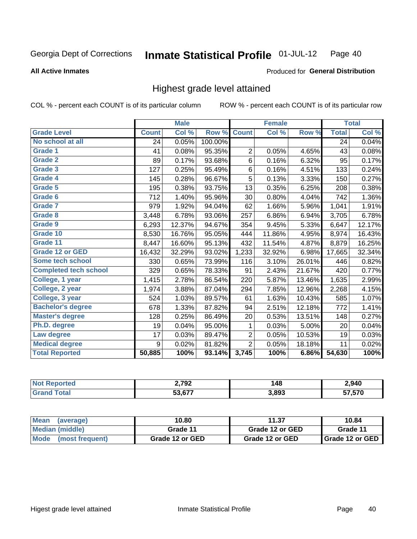### **All Active Inmates**

### Produced for General Distribution

## Highest grade level attained

COL % - percent each COUNT is of its particular column

|                              |              | <b>Male</b> |         |                | <b>Female</b> |        |              | <b>Total</b> |
|------------------------------|--------------|-------------|---------|----------------|---------------|--------|--------------|--------------|
| <b>Grade Level</b>           | <b>Count</b> | Col %       | Row %   | <b>Count</b>   | Col %         | Row %  | <b>Total</b> | Col %        |
| No school at all             | 24           | 0.05%       | 100.00% |                |               |        | 24           | 0.04%        |
| <b>Grade 1</b>               | 41           | 0.08%       | 95.35%  | $\overline{2}$ | 0.05%         | 4.65%  | 43           | 0.08%        |
| <b>Grade 2</b>               | 89           | 0.17%       | 93.68%  | 6              | 0.16%         | 6.32%  | 95           | 0.17%        |
| Grade 3                      | 127          | 0.25%       | 95.49%  | $\,6$          | 0.16%         | 4.51%  | 133          | 0.24%        |
| Grade 4                      | 145          | 0.28%       | 96.67%  | 5              | 0.13%         | 3.33%  | 150          | 0.27%        |
| Grade 5                      | 195          | 0.38%       | 93.75%  | 13             | 0.35%         | 6.25%  | 208          | 0.38%        |
| Grade 6                      | 712          | 1.40%       | 95.96%  | 30             | 0.80%         | 4.04%  | 742          | 1.36%        |
| <b>Grade 7</b>               | 979          | 1.92%       | 94.04%  | 62             | 1.66%         | 5.96%  | 1,041        | 1.91%        |
| Grade 8                      | 3,448        | 6.78%       | 93.06%  | 257            | 6.86%         | 6.94%  | 3,705        | 6.78%        |
| Grade 9                      | 6,293        | 12.37%      | 94.67%  | 354            | 9.45%         | 5.33%  | 6,647        | 12.17%       |
| Grade 10                     | 8,530        | 16.76%      | 95.05%  | 444            | 11.86%        | 4.95%  | 8,974        | 16.43%       |
| Grade 11                     | 8,447        | 16.60%      | 95.13%  | 432            | 11.54%        | 4.87%  | 8,879        | 16.25%       |
| <b>Grade 12 or GED</b>       | 16,432       | 32.29%      | 93.02%  | 1,233          | 32.92%        | 6.98%  | 17,665       | 32.34%       |
| Some tech school             | 330          | 0.65%       | 73.99%  | 116            | 3.10%         | 26.01% | 446          | 0.82%        |
| <b>Completed tech school</b> | 329          | 0.65%       | 78.33%  | 91             | 2.43%         | 21.67% | 420          | 0.77%        |
| College, 1 year              | 1,415        | 2.78%       | 86.54%  | 220            | 5.87%         | 13.46% | 1,635        | 2.99%        |
| College, 2 year              | 1,974        | 3.88%       | 87.04%  | 294            | 7.85%         | 12.96% | 2,268        | 4.15%        |
| College, 3 year              | 524          | 1.03%       | 89.57%  | 61             | 1.63%         | 10.43% | 585          | 1.07%        |
| <b>Bachelor's degree</b>     | 678          | 1.33%       | 87.82%  | 94             | 2.51%         | 12.18% | 772          | 1.41%        |
| <b>Master's degree</b>       | 128          | 0.25%       | 86.49%  | 20             | 0.53%         | 13.51% | 148          | 0.27%        |
| Ph.D. degree                 | 19           | 0.04%       | 95.00%  | 1              | 0.03%         | 5.00%  | 20           | 0.04%        |
| Law degree                   | 17           | 0.03%       | 89.47%  | 2              | 0.05%         | 10.53% | 19           | 0.03%        |
| <b>Medical degree</b>        | 9            | 0.02%       | 81.82%  | $\overline{2}$ | 0.05%         | 18.18% | 11           | 0.02%        |
| <b>Total Reported</b>        | 50,885       | 100%        | 93.14%  | 3,745          | 100%          | 6.86%  | 54,630       | 100%         |

| . | 2.702<br>◡           | 19<br>טדי             | 2,940                    |
|---|----------------------|-----------------------|--------------------------|
|   | $\sim$ $\sim$ $\sim$ | <b>2.803</b><br>ა.იუა | 7 E7A<br>7. J / U<br>--- |

| Mean<br>(average)              | 10.80           | 11.37           | 10.84                    |
|--------------------------------|-----------------|-----------------|--------------------------|
| Median (middle)                | Grade 11        | Grade 12 or GED | Grade 11                 |
| <b>Mode</b><br>(most frequent) | Grade 12 or GED | Grade 12 or GED | <b>I</b> Grade 12 or GED |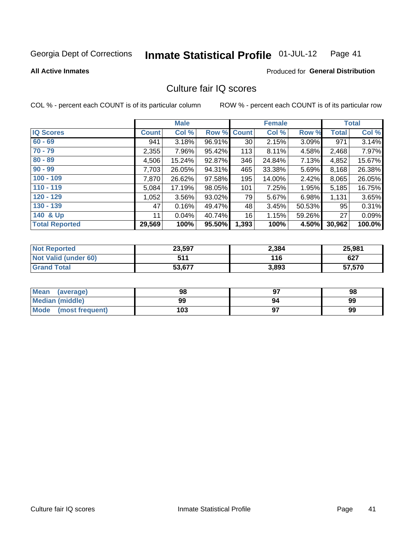#### Inmate Statistical Profile 01-JUL-12 Page 41

### **All Active Inmates**

### Produced for General Distribution

## Culture fair IQ scores

COL % - percent each COUNT is of its particular column

|                       |              | <b>Male</b> |        |                 | <b>Female</b> |          |              | <b>Total</b> |
|-----------------------|--------------|-------------|--------|-----------------|---------------|----------|--------------|--------------|
| <b>IQ Scores</b>      | <b>Count</b> | Col %       | Row %  | <b>Count</b>    | Col %         | Row %    | <b>Total</b> | Col %        |
| $60 - 69$             | 941          | 3.18%       | 96.91% | 30 <sup>°</sup> | 2.15%         | $3.09\%$ | 971          | 3.14%        |
| $70 - 79$             | 2,355        | 7.96%       | 95.42% | 113             | 8.11%         | 4.58%    | 2,468        | 7.97%        |
| $80 - 89$             | 4,506        | 15.24%      | 92.87% | 346             | 24.84%        | 7.13%    | 4,852        | 15.67%       |
| $90 - 99$             | 7,703        | 26.05%      | 94.31% | 465             | 33.38%        | 5.69%    | 8,168        | 26.38%       |
| $100 - 109$           | 7,870        | 26.62%      | 97.58% | 195             | 14.00%        | 2.42%    | 8,065        | 26.05%       |
| $110 - 119$           | 5,084        | 17.19%      | 98.05% | 101             | 7.25%         | 1.95%    | 5,185        | 16.75%       |
| $120 - 129$           | 1,052        | $3.56\%$    | 93.02% | 79              | 5.67%         | 6.98%    | 1,131        | 3.65%        |
| $130 - 139$           | 47           | 0.16%       | 49.47% | 48              | 3.45%         | 50.53%   | 95           | 0.31%        |
| 140 & Up              | 11           | 0.04%       | 40.74% | 16              | 1.15%         | 59.26%   | 27           | 0.09%        |
| <b>Total Reported</b> | 29,569       | 100%        | 95.50% | 1,393           | 100%          | 4.50%    | 30,962       | 100.0%       |

| <b>Not Reported</b>         | 23,597 | 2,384 | 25,981 |
|-----------------------------|--------|-------|--------|
| <b>Not Valid (under 60)</b> | 511    | 116   | 627    |
| <b>Grand Total</b>          | 53,677 | 3,893 | 57,570 |

| Mean<br>(average)       | 98  | כח | 98 |
|-------------------------|-----|----|----|
| <b>Median (middle)</b>  | 99  | 94 | 99 |
| Mode<br>(most frequent) | 103 |    | 99 |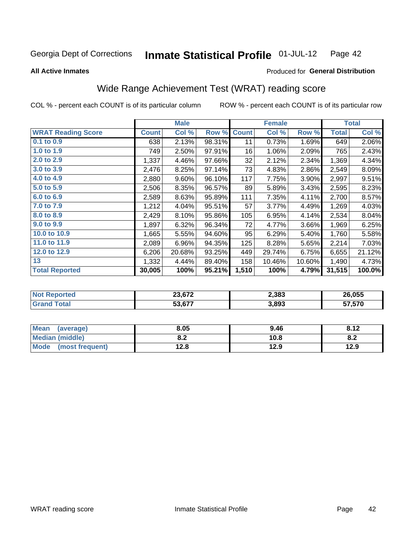#### Inmate Statistical Profile 01-JUL-12 Page 42

**All Active Inmates** 

### Produced for General Distribution

# Wide Range Achievement Test (WRAT) reading score

COL % - percent each COUNT is of its particular column

|                           |              | <b>Male</b> |        |              | <b>Female</b> |        |              | <b>Total</b> |
|---------------------------|--------------|-------------|--------|--------------|---------------|--------|--------------|--------------|
| <b>WRAT Reading Score</b> | <b>Count</b> | Col %       | Row %  | <b>Count</b> | Col %         | Row %  | <b>Total</b> | Col %        |
| $0.1$ to $0.9$            | 638          | 2.13%       | 98.31% | 11           | 0.73%         | 1.69%  | 649          | 2.06%        |
| 1.0 to 1.9                | 749          | 2.50%       | 97.91% | 16           | 1.06%         | 2.09%  | 765          | 2.43%        |
| 2.0 to 2.9                | 1,337        | 4.46%       | 97.66% | 32           | 2.12%         | 2.34%  | 1,369        | 4.34%        |
| 3.0 to 3.9                | 2,476        | 8.25%       | 97.14% | 73           | 4.83%         | 2.86%  | 2,549        | 8.09%        |
| 4.0 to 4.9                | 2,880        | 9.60%       | 96.10% | 117          | 7.75%         | 3.90%  | 2,997        | 9.51%        |
| 5.0 to 5.9                | 2,506        | 8.35%       | 96.57% | 89           | 5.89%         | 3.43%  | 2,595        | 8.23%        |
| 6.0 to 6.9                | 2,589        | 8.63%       | 95.89% | 111          | 7.35%         | 4.11%  | 2,700        | 8.57%        |
| 7.0 to 7.9                | 1,212        | 4.04%       | 95.51% | 57           | 3.77%         | 4.49%  | 1,269        | 4.03%        |
| 8.0 to 8.9                | 2,429        | 8.10%       | 95.86% | 105          | 6.95%         | 4.14%  | 2,534        | 8.04%        |
| 9.0 to 9.9                | 1,897        | 6.32%       | 96.34% | 72           | 4.77%         | 3.66%  | 1,969        | 6.25%        |
| 10.0 to 10.9              | 1,665        | 5.55%       | 94.60% | 95           | 6.29%         | 5.40%  | 1,760        | 5.58%        |
| 11.0 to 11.9              | 2,089        | 6.96%       | 94.35% | 125          | 8.28%         | 5.65%  | 2,214        | 7.03%        |
| 12.0 to 12.9              | 6,206        | 20.68%      | 93.25% | 449          | 29.74%        | 6.75%  | 6,655        | 21.12%       |
| 13                        | 1,332        | 4.44%       | 89.40% | 158          | 10.46%        | 10.60% | 1,490        | 4.73%        |
| <b>Total Reported</b>     | 30,005       | 100%        | 95.21% | 1,510        | 100%          | 4.79%  | 31,515       | 100.0%       |

| тес.<br>NG | 00.070                    | 2,383 | 26.055 |
|------------|---------------------------|-------|--------|
|            | $F^{\alpha}$ $F^{\alpha}$ | 3,893 | 57,570 |

| Mean<br>(average)       | 8.05       | 9.46 | 8.12 |
|-------------------------|------------|------|------|
| <b>Median (middle)</b>  | ר ס<br>0.4 | 10.8 | O.A  |
| Mode<br>(most frequent) | 12.8       | 12.9 | 12.9 |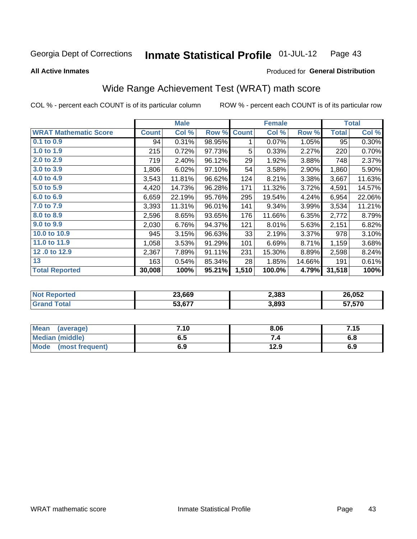#### Inmate Statistical Profile 01-JUL-12 Page 43

### **All Active Inmates**

# Produced for General Distribution

# Wide Range Achievement Test (WRAT) math score

COL % - percent each COUNT is of its particular column

|                              |              | <b>Male</b> |        |              | <b>Female</b> |          |              | <b>Total</b> |
|------------------------------|--------------|-------------|--------|--------------|---------------|----------|--------------|--------------|
| <b>WRAT Mathematic Score</b> | <b>Count</b> | Col %       | Row %  | <b>Count</b> | Col %         | Row %    | <b>Total</b> | Col %        |
| 0.1 to 0.9                   | 94           | 0.31%       | 98.95% | 1            | 0.07%         | 1.05%    | 95           | 0.30%        |
| 1.0 to 1.9                   | 215          | 0.72%       | 97.73% | 5            | 0.33%         | 2.27%    | 220          | 0.70%        |
| 2.0 to 2.9                   | 719          | 2.40%       | 96.12% | 29           | 1.92%         | 3.88%    | 748          | 2.37%        |
| 3.0 to 3.9                   | 1,806        | 6.02%       | 97.10% | 54           | 3.58%         | $2.90\%$ | 1,860        | 5.90%        |
| 4.0 to 4.9                   | 3,543        | 11.81%      | 96.62% | 124          | 8.21%         | 3.38%    | 3,667        | 11.63%       |
| 5.0 to 5.9                   | 4,420        | 14.73%      | 96.28% | 171          | 11.32%        | 3.72%    | 4,591        | 14.57%       |
| 6.0 to 6.9                   | 6,659        | 22.19%      | 95.76% | 295          | 19.54%        | 4.24%    | 6,954        | 22.06%       |
| 7.0 to 7.9                   | 3,393        | 11.31%      | 96.01% | 141          | 9.34%         | 3.99%    | 3,534        | 11.21%       |
| 8.0 to 8.9                   | 2,596        | 8.65%       | 93.65% | 176          | 11.66%        | 6.35%    | 2,772        | 8.79%        |
| 9.0 to 9.9                   | 2,030        | 6.76%       | 94.37% | 121          | 8.01%         | 5.63%    | 2,151        | 6.82%        |
| 10.0 to 10.9                 | 945          | 3.15%       | 96.63% | 33           | 2.19%         | 3.37%    | 978          | 3.10%        |
| 11.0 to 11.9                 | 1,058        | 3.53%       | 91.29% | 101          | 6.69%         | 8.71%    | 1,159        | 3.68%        |
| 12.0 to 12.9                 | 2,367        | 7.89%       | 91.11% | 231          | 15.30%        | 8.89%    | 2,598        | 8.24%        |
| 13                           | 163          | 0.54%       | 85.34% | 28           | 1.85%         | 14.66%   | 191          | 0.61%        |
| <b>Total Reported</b>        | 30,008       | 100%        | 95.21% | 1,510        | 100.0%        | 4.79%    | 31,518       | 100%         |

| orted | 23,669 | 2,383 | 26,052 |
|-------|--------|-------|--------|
|       | 53 677 | 3,893 | 57,570 |

| <b>Mean</b><br>(average)       | 7.10 | 8.06 | 7.15 |
|--------------------------------|------|------|------|
| <b>Median (middle)</b>         | כ.ס  |      | o.o  |
| <b>Mode</b><br>(most frequent) | 6.9  | 12.9 | 6.9  |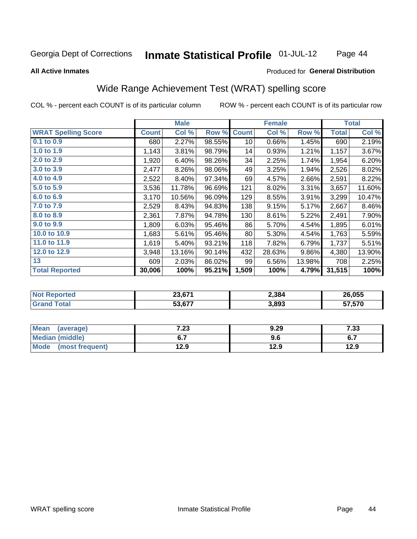#### **Inmate Statistical Profile 01-JUL-12** Page 44

### **All Active Inmates**

## Produced for General Distribution

## Wide Range Achievement Test (WRAT) spelling score

COL % - percent each COUNT is of its particular column

|                            |              | <b>Male</b> |        |              | <b>Female</b> |        |              | <b>Total</b> |
|----------------------------|--------------|-------------|--------|--------------|---------------|--------|--------------|--------------|
| <b>WRAT Spelling Score</b> | <b>Count</b> | Col %       | Row %  | <b>Count</b> | Col %         | Row %  | <b>Total</b> | Col %        |
| $0.1$ to $0.9$             | 680          | 2.27%       | 98.55% | 10           | 0.66%         | 1.45%  | 690          | 2.19%        |
| 1.0 to 1.9                 | 1,143        | 3.81%       | 98.79% | 14           | 0.93%         | 1.21%  | 1,157        | 3.67%        |
| 2.0 to 2.9                 | 1,920        | 6.40%       | 98.26% | 34           | 2.25%         | 1.74%  | 1,954        | 6.20%        |
| 3.0 to 3.9                 | 2,477        | 8.26%       | 98.06% | 49           | 3.25%         | 1.94%  | 2,526        | 8.02%        |
| 4.0 to 4.9                 | 2,522        | 8.40%       | 97.34% | 69           | 4.57%         | 2.66%  | 2,591        | 8.22%        |
| 5.0 to 5.9                 | 3,536        | 11.78%      | 96.69% | 121          | 8.02%         | 3.31%  | 3,657        | 11.60%       |
| 6.0 to 6.9                 | 3,170        | 10.56%      | 96.09% | 129          | 8.55%         | 3.91%  | 3,299        | 10.47%       |
| 7.0 to 7.9                 | 2,529        | 8.43%       | 94.83% | 138          | 9.15%         | 5.17%  | 2,667        | 8.46%        |
| 8.0 to 8.9                 | 2,361        | 7.87%       | 94.78% | 130          | 8.61%         | 5.22%  | 2,491        | 7.90%        |
| 9.0 to 9.9                 | 1,809        | 6.03%       | 95.46% | 86           | 5.70%         | 4.54%  | 1,895        | 6.01%        |
| 10.0 to 10.9               | 1,683        | 5.61%       | 95.46% | 80           | 5.30%         | 4.54%  | 1,763        | 5.59%        |
| 11.0 to 11.9               | 1,619        | 5.40%       | 93.21% | 118          | 7.82%         | 6.79%  | 1,737        | 5.51%        |
| 12.0 to 12.9               | 3,948        | 13.16%      | 90.14% | 432          | 28.63%        | 9.86%  | 4,380        | 13.90%       |
| 13                         | 609          | 2.03%       | 86.02% | 99           | 6.56%         | 13.98% | 708          | 2.25%        |
| <b>Total Reported</b>      | 30,006       | 100%        | 95.21% | 1,509        | 100%          | 4.79%  | 31,515       | 100%         |
|                            |              |             |        |              |               |        |              |              |

| <b>Reported</b><br><b>NO</b> t | 23,671 | 2,384 | 26,055 |
|--------------------------------|--------|-------|--------|
| <b>c</b> otal                  | 53,677 | 3,893 | 57,570 |

| <b>Mean</b><br>(average)       | 7.23 | 9.29 | 7.33 |
|--------------------------------|------|------|------|
| <b>Median (middle)</b>         | v.,  | 9.6  | ν.,  |
| <b>Mode</b><br>(most frequent) | l2.9 | 12.9 | 12.9 |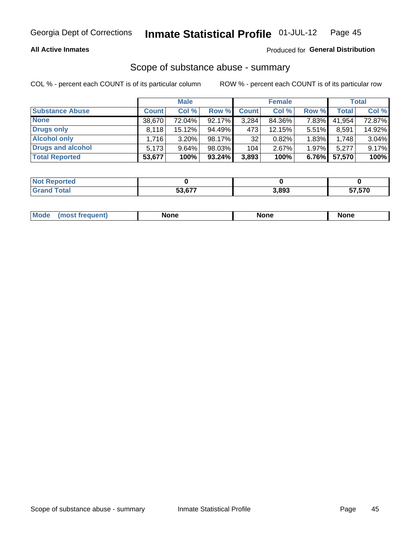## **All Active Inmates**

## Produced for General Distribution

# Scope of substance abuse - summary

COL % - percent each COUNT is of its particular column

|                        |              | <b>Male</b> |           |              | <b>Female</b> |          |              | <b>Total</b> |
|------------------------|--------------|-------------|-----------|--------------|---------------|----------|--------------|--------------|
| <b>Substance Abuse</b> | <b>Count</b> | Col %       | Row %     | <b>Count</b> | Col %         | Row %    | <b>Total</b> | Col %        |
| <b>None</b>            | 38,670       | 72.04%      | 92.17%    | 3,284        | 84.36%        | 7.83%    | 41,954       | 72.87%       |
| <b>Drugs only</b>      | 8.118        | $15.12\%$   | 94.49%    | 473          | 12.15%        | $5.51\%$ | 8,591        | 14.92%       |
| <b>Alcohol only</b>    | .716         | $3.20\%$    | 98.17%    | 32           | 0.82%         | 1.83%    | 1,748        | 3.04%        |
| Drugs and alcohol      | 5,173        | $9.64\%$    | 98.03%    | 104          | 2.67%         | $1.97\%$ | 5,277        | 9.17%        |
| <b>Total Reported</b>  | 53,677       | 100%        | $93.24\%$ | 3,893        | 100%          | $6.76\%$ | 57,570       | 100%         |

| <b>Not Reported</b> |        |       |        |
|---------------------|--------|-------|--------|
| <b>Grand Total</b>  | 53.677 | 3,893 | 57,570 |

| Mode<br><b>None</b><br><b>None</b><br>None<br>nos<br>auenti<br>___<br>$  -$ |
|-----------------------------------------------------------------------------|
|-----------------------------------------------------------------------------|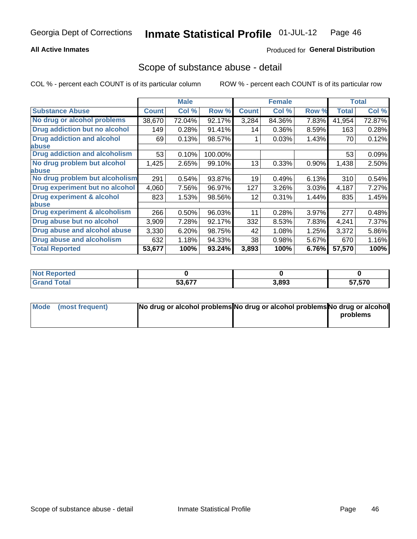## **All Active Inmates**

## Produced for General Distribution

## Scope of substance abuse - detail

COL % - percent each COUNT is of its particular column

|                                      |              | <b>Male</b> |         |              | <b>Female</b> |          |              | <b>Total</b> |
|--------------------------------------|--------------|-------------|---------|--------------|---------------|----------|--------------|--------------|
| <b>Substance Abuse</b>               | <b>Count</b> | Col %       | Row %   | <b>Count</b> | Col %         | Row %    | <b>Total</b> | Col %        |
| No drug or alcohol problems          | 38,670       | 72.04%      | 92.17%  | 3,284        | 84.36%        | 7.83%    | 41,954       | 72.87%       |
| <b>Drug addiction but no alcohol</b> | 149          | 0.28%       | 91.41%  | 14           | $0.36\%$      | 8.59%    | 163          | 0.28%        |
| <b>Drug addiction and alcohol</b>    | 69           | 0.13%       | 98.57%  |              | 0.03%         | 1.43%    | 70           | 0.12%        |
| abuse                                |              |             |         |              |               |          |              |              |
| <b>Drug addiction and alcoholism</b> | 53           | 0.10%       | 100.00% |              |               |          | 53           | 0.09%        |
| No drug problem but alcohol          | 1,425        | 2.65%       | 99.10%  | 13           | 0.33%         | $0.90\%$ | 1,438        | 2.50%        |
| <b>labuse</b>                        |              |             |         |              |               |          |              |              |
| No drug problem but alcoholism       | 291          | 0.54%       | 93.87%  | 19           | 0.49%         | 6.13%    | 310          | 0.54%        |
| Drug experiment but no alcohol       | 4,060        | 7.56%       | 96.97%  | 127          | 3.26%         | 3.03%    | 4,187        | 7.27%        |
| <b>Drug experiment &amp; alcohol</b> | 823          | 1.53%       | 98.56%  | 12           | $0.31\%$      | 1.44%    | 835          | 1.45%        |
| <b>labuse</b>                        |              |             |         |              |               |          |              |              |
| Drug experiment & alcoholism         | 266          | 0.50%       | 96.03%  | 11           | 0.28%         | 3.97%    | 277          | 0.48%        |
| Drug abuse but no alcohol            | 3,909        | 7.28%       | 92.17%  | 332          | 8.53%         | 7.83%    | 4,241        | 7.37%        |
| Drug abuse and alcohol abuse         | 3,330        | 6.20%       | 98.75%  | 42           | 1.08%         | 1.25%    | 3,372        | 5.86%        |
| Drug abuse and alcoholism            | 632          | 1.18%       | 94.33%  | 38           | 0.98%         | 5.67%    | 670          | 1.16%        |
| <b>Total Reported</b>                | 53,677       | 100%        | 93.24%  | 3,893        | 100%          | 6.76%    | 57,570       | 100%         |

| <b>orteo</b><br>w |               |       |                 |
|-------------------|---------------|-------|-----------------|
| <b>otal</b>       | 53.677<br>--- | 3,893 | 57 570<br><br>ັ |

| Mode (most frequent) | No drug or alcohol problems No drug or alcohol problems No drug or alcohol |          |
|----------------------|----------------------------------------------------------------------------|----------|
|                      |                                                                            | problems |
|                      |                                                                            |          |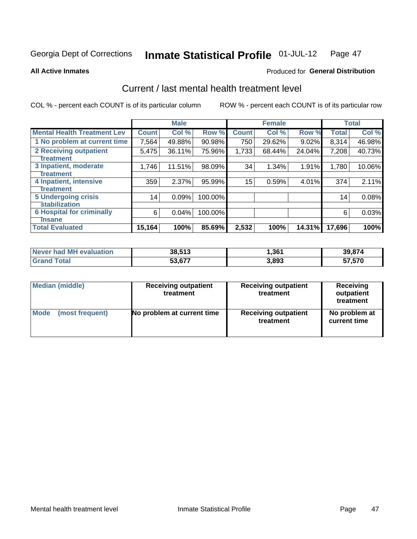#### Inmate Statistical Profile 01-JUL-12 Page 47

**All Active Inmates** 

## **Produced for General Distribution**

# Current / last mental health treatment level

COL % - percent each COUNT is of its particular column

|                                    |              | <b>Male</b> |           |              | <b>Female</b> |        |        | <b>Total</b> |
|------------------------------------|--------------|-------------|-----------|--------------|---------------|--------|--------|--------------|
| <b>Mental Health Treatment Lev</b> | <b>Count</b> | Col %       | Row %     | <b>Count</b> | Col %         | Row %  | Total  | Col %        |
| 1 No problem at current time       | 7,564        | 49.88%      | $90.98\%$ | 750          | 29.62%        | 9.02%  | 8,314  | 46.98%       |
| 2 Receiving outpatient             | 5,475        | 36.11%      | 75.96%    | 1,733        | 68.44%        | 24.04% | 7,208  | 40.73%       |
| <b>Treatment</b>                   |              |             |           |              |               |        |        |              |
| 3 Inpatient, moderate              | 1,746        | 11.51%      | 98.09%    | 34           | 1.34%         | 1.91%  | 1,780  | 10.06%       |
| <b>Treatment</b>                   |              |             |           |              |               |        |        |              |
| 4 Inpatient, intensive             | 359          | 2.37%       | 95.99%    | 15           | 0.59%         | 4.01%  | 374    | 2.11%        |
| <b>Treatment</b>                   |              |             |           |              |               |        |        |              |
| 5 Undergoing crisis                | 14           | 0.09%       | 100.00%   |              |               |        | 14     | 0.08%        |
| <b>stabilization</b>               |              |             |           |              |               |        |        |              |
| <b>6 Hospital for criminally</b>   | 6            | 0.04%       | 100.00%   |              |               |        | 6      | 0.03%        |
| Tnsane                             |              |             |           |              |               |        |        |              |
| <b>Total Evaluated</b>             | 15,164       | 100%        | 85.69%    | 2,532        | 100%          | 14.31% | 17,696 | 100%         |

| Never had MH evaluation | 38,513 | 361,ا | 39.874 |
|-------------------------|--------|-------|--------|
| $\tau$ otal             | 53,677 | 3.893 | 57,570 |

| Median (middle) | <b>Receiving outpatient</b><br>treatment | <b>Receiving outpatient</b><br>treatment | <b>Receiving</b><br>outpatient<br>treatment |
|-----------------|------------------------------------------|------------------------------------------|---------------------------------------------|
| <b>Mode</b>     | No problem at current time               | <b>Receiving outpatient</b>              | No problem at                               |
| (most frequent) |                                          | treatment                                | current time                                |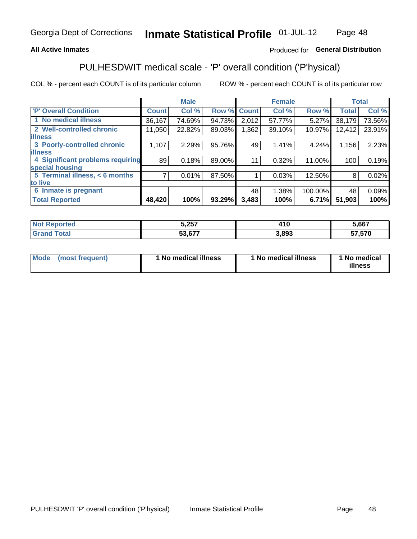## **All Active Inmates**

## Produced for General Distribution

# PULHESDWIT medical scale - 'P' overall condition ('P'hysical)

COL % - percent each COUNT is of its particular column

|                                  |                | <b>Male</b> |        |              | <b>Female</b> |         |                 | <b>Total</b> |
|----------------------------------|----------------|-------------|--------|--------------|---------------|---------|-----------------|--------------|
| <b>P' Overall Condition</b>      | <b>Count</b>   | Col %       | Row %  | <b>Count</b> | Col %         | Row %   | <b>Total</b>    | Col %        |
| 1 No medical illness             | 36,167         | 74.69%      | 94.73% | 2,012        | 57.77%        | 5.27%   | 38,179          | 73.56%       |
| 2 Well-controlled chronic        | 11,050         | 22.82%      | 89.03% | 1,362        | 39.10%        | 10.97%  | 12,412          | 23.91%       |
| <b>lillness</b>                  |                |             |        |              |               |         |                 |              |
| 3 Poorly-controlled chronic      | 1,107          | 2.29%       | 95.76% | 49           | 1.41%         | 4.24%   | 1,156           | 2.23%        |
| <b>illness</b>                   |                |             |        |              |               |         |                 |              |
| 4 Significant problems requiring | 89             | 0.18%       | 89.00% | 11           | 0.32%         | 11.00%  | 100             | 0.19%        |
| special housing                  |                |             |        |              |               |         |                 |              |
| 5 Terminal illness, < 6 months   | $\overline{7}$ | 0.01%       | 87.50% |              | 0.03%         | 12.50%  | 8               | 0.02%        |
| to live                          |                |             |        |              |               |         |                 |              |
| Inmate is pregnant<br>6          |                |             |        | 48           | 1.38%         | 100.00% | 48 <sup>°</sup> | 0.09%        |
| <b>Total Reported</b>            | 48,420         | 100%        | 93.29% | 3,483        | 100%          | 6.71%   | 51,903          | 100%         |

| τeα | 5,257  | . .<br>7 I V | 5,667  |
|-----|--------|--------------|--------|
|     | -^ ^-- | .893         | rs rsa |

| Mode | (most frequent) | 1 No medical illness | 1 No medical illness | 1 No medical<br>illness |
|------|-----------------|----------------------|----------------------|-------------------------|
|------|-----------------|----------------------|----------------------|-------------------------|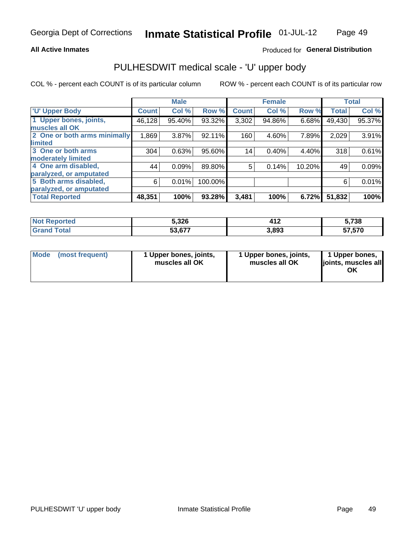### **All Active Inmates**

## Produced for General Distribution

# PULHESDWIT medical scale - 'U' upper body

COL % - percent each COUNT is of its particular column

|                              |              | <b>Male</b> |         |              | <b>Female</b> |        |              | <b>Total</b> |
|------------------------------|--------------|-------------|---------|--------------|---------------|--------|--------------|--------------|
| <b>U' Upper Body</b>         | <b>Count</b> | Col %       | Row %   | <b>Count</b> | Col %         | Row %  | <b>Total</b> | Col %        |
| 1 Upper bones, joints,       | 46,128       | 95.40%      | 93.32%  | 3,302        | 94.86%        | 6.68%  | 49,430       | 95.37%       |
| muscles all OK               |              |             |         |              |               |        |              |              |
| 2 One or both arms minimally | 1,869        | 3.87%       | 92.11%  | 160          | 4.60%         | 7.89%  | 2,029        | 3.91%        |
| limited                      |              |             |         |              |               |        |              |              |
| 3 One or both arms           | 304          | 0.63%       | 95.60%  | 14           | 0.40%         | 4.40%  | 318          | 0.61%        |
| <b>moderately limited</b>    |              |             |         |              |               |        |              |              |
| 4 One arm disabled,          | 44           | 0.09%       | 89.80%  | 5            | 0.14%         | 10.20% | 49           | 0.09%        |
| paralyzed, or amputated      |              |             |         |              |               |        |              |              |
| 5 Both arms disabled,        | 6            | 0.01%       | 100.00% |              |               |        | 6            | 0.01%        |
| paralyzed, or amputated      |              |             |         |              |               |        |              |              |
| <b>Total Reported</b>        | 48,351       | 100%        | 93.28%  | 3,481        | 100%          | 6.72%  | 51,832       | 100%         |

| <b>Not Reported</b>   | 5,326  | 440<br>7 I A | 5,738  |
|-----------------------|--------|--------------|--------|
| <b>Total</b><br>Grand | 53,677 | 3,893        | 57,570 |

|  | Mode (most frequent) | 1 Upper bones, joints,<br>muscles all OK | 1 Upper bones, joints,<br>muscles all OK | 1 Upper bones,<br>ljoints, muscles all<br>ΟK |
|--|----------------------|------------------------------------------|------------------------------------------|----------------------------------------------|
|--|----------------------|------------------------------------------|------------------------------------------|----------------------------------------------|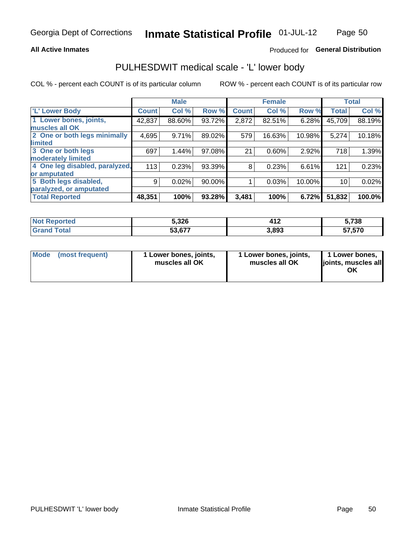## **All Active Inmates**

## Produced for General Distribution

## PULHESDWIT medical scale - 'L' lower body

COL % - percent each COUNT is of its particular column

|                                |              | <b>Male</b> |        |              | <b>Female</b> |        |              | <b>Total</b> |
|--------------------------------|--------------|-------------|--------|--------------|---------------|--------|--------------|--------------|
| 'L' Lower Body                 | <b>Count</b> | Col %       | Row %  | <b>Count</b> | Col %         | Row %  | <b>Total</b> | Col %        |
| 1 Lower bones, joints,         | 42,837       | 88.60%      | 93.72% | 2,872        | 82.51%        | 6.28%  | 45,709       | 88.19%       |
| muscles all OK                 |              |             |        |              |               |        |              |              |
| 2 One or both legs minimally   | 4,695        | 9.71%       | 89.02% | 579          | 16.63%        | 10.98% | 5,274        | 10.18%       |
| limited                        |              |             |        |              |               |        |              |              |
| 3 One or both legs             | 697          | 1.44%       | 97.08% | 21           | 0.60%         | 2.92%  | 718          | 1.39%        |
| moderately limited             |              |             |        |              |               |        |              |              |
| 4 One leg disabled, paralyzed, | 113          | 0.23%       | 93.39% | 8            | 0.23%         | 6.61%  | 121          | 0.23%        |
| or amputated                   |              |             |        |              |               |        |              |              |
| 5 Both legs disabled,          | 9            | 0.02%       | 90.00% |              | 0.03%         | 10.00% | 10           | 0.02%        |
| paralyzed, or amputated        |              |             |        |              |               |        |              |              |
| <b>Total Reported</b>          | 48,351       | 100%        | 93.28% | 3,481        | 100%          | 6.72%  | 51,832       | 100.0%       |

| <b>Not Reported</b>   | 5,326  | 440<br>7 I A | 5,738  |
|-----------------------|--------|--------------|--------|
| <b>Total</b><br>Grand | 53,677 | 3,893        | 57,570 |

|  | Mode (most frequent) | 1 Lower bones, joints,<br>muscles all OK | 1 Lower bones, joints,<br>muscles all OK | 1 Lower bones,<br>joints, muscles all<br>ΟK |
|--|----------------------|------------------------------------------|------------------------------------------|---------------------------------------------|
|--|----------------------|------------------------------------------|------------------------------------------|---------------------------------------------|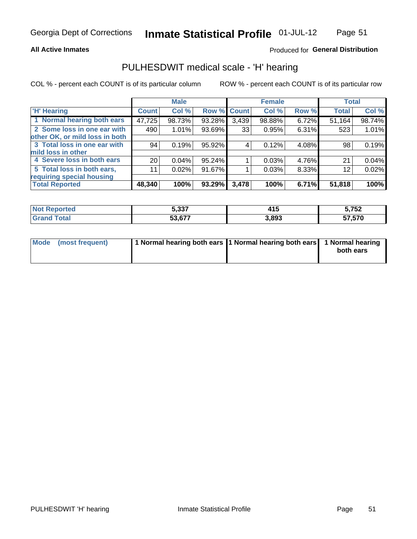### **All Active Inmates**

## Produced for General Distribution

# PULHESDWIT medical scale - 'H' hearing

COL % - percent each COUNT is of its particular column

|                                |                 | <b>Male</b> |             |       | <b>Female</b> |       | <b>Total</b> |        |
|--------------------------------|-----------------|-------------|-------------|-------|---------------|-------|--------------|--------|
| <b>'H' Hearing</b>             | <b>Count</b>    | Col %       | Row % Count |       | Col %         | Row % | <b>Total</b> | Col %  |
| 1 Normal hearing both ears     | 47,725          | 98.73%      | 93.28%      | 3,439 | 98.88%        | 6.72% | 51,164       | 98.74% |
| 2 Some loss in one ear with    | 490             | 1.01%       | 93.69%      | 33    | 0.95%         | 6.31% | 523          | 1.01%  |
| other OK, or mild loss in both |                 |             |             |       |               |       |              |        |
| 3 Total loss in one ear with   | 94              | 0.19%       | 95.92%      | 4     | 0.12%         | 4.08% | 98           | 0.19%  |
| mild loss in other             |                 |             |             |       |               |       |              |        |
| 4 Severe loss in both ears     | 20 <sub>1</sub> | 0.04%       | 95.24%      |       | 0.03%         | 4.76% | 21           | 0.04%  |
| 5 Total loss in both ears,     | 11              | 0.02%       | 91.67%      |       | 0.03%         | 8.33% | 12           | 0.02%  |
| requiring special housing      |                 |             |             |       |               |       |              |        |
| <b>Total Reported</b>          | 48,340          | 100%        | 93.29%      | 3,478 | 100%          | 6.71% | 51,818       | 100%   |

| $E$ 227     | . .            | Κ 759 |
|-------------|----------------|-------|
| .           | .              | JŁ    |
| $E_2$ $E_7$ | s 803<br>ວ.໐ອວ |       |

| Mode (most frequent) | 1 Normal hearing both ears 11 Normal hearing both ears 1 Normal hearing | both ears |
|----------------------|-------------------------------------------------------------------------|-----------|
|                      |                                                                         |           |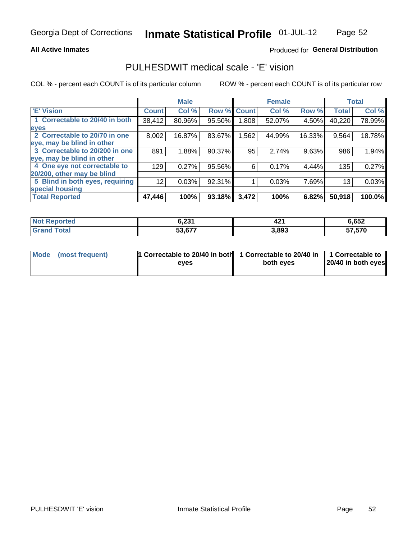### **All Active Inmates**

## Produced for General Distribution

## PULHESDWIT medical scale - 'E' vision

COL % - percent each COUNT is of its particular column

|                                 |              | <b>Male</b> |        |                   | <b>Female</b> |          |              | <b>Total</b> |
|---------------------------------|--------------|-------------|--------|-------------------|---------------|----------|--------------|--------------|
| <b>E' Vision</b>                | <b>Count</b> | Col %       | Row %  | <b>Count</b>      | Col %         | Row %    | <b>Total</b> | Col %        |
| 1 Correctable to 20/40 in both  | 38,412       | 80.96%      | 95.50% | .808 <sub>1</sub> | 52.07%        | 4.50%    | 40,220       | 78.99%       |
| eyes                            |              |             |        |                   |               |          |              |              |
| 2 Correctable to 20/70 in one   | 8,002        | 16.87%      | 83.67% | 1,562             | 44.99%        | 16.33%   | 9,564        | 18.78%       |
| eye, may be blind in other      |              |             |        |                   |               |          |              |              |
| 3 Correctable to 20/200 in one  | 891          | 1.88%       | 90.37% | 95                | 2.74%         | 9.63%    | 986          | 1.94%        |
| eye, may be blind in other      |              |             |        |                   |               |          |              |              |
| 4 One eye not correctable to    | 129          | 0.27%       | 95.56% | 6                 | 0.17%         | $4.44\%$ | 135          | 0.27%        |
| 20/200, other may be blind      |              |             |        |                   |               |          |              |              |
| 5 Blind in both eyes, requiring | 12           | 0.03%       | 92.31% |                   | 0.03%         | 7.69%    | 13           | 0.03%        |
| special housing                 |              |             |        |                   |               |          |              |              |
| <b>Total Reported</b>           | 47,446       | 100%        | 93.18% | 3,472             | 100%          | 6.82%    | 50,918       | 100.0%       |

| <b>Not Reported</b> | 2 721<br>0.ZJ. | $\overline{a}$<br>44 | 6,652  |
|---------------------|----------------|----------------------|--------|
| Гоtal               | 53,677         | 3,893                | 57,570 |

| Mode (most frequent) | 1 Correctable to 20/40 in both<br>eves | 1 Correctable to 20/40 in   1 Correctable to  <br>both eves | 20/40 in both eyes |
|----------------------|----------------------------------------|-------------------------------------------------------------|--------------------|
|                      |                                        |                                                             |                    |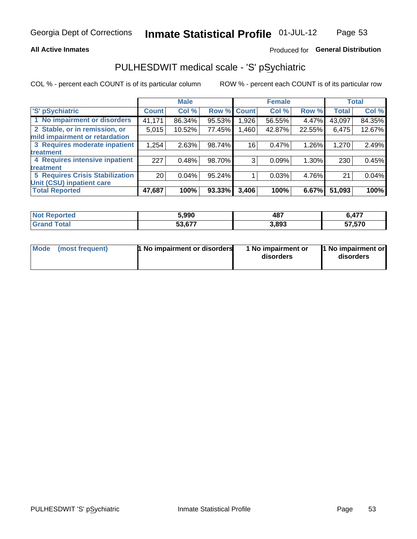### **All Active Inmates**

## Produced for General Distribution

# PULHESDWIT medical scale - 'S' pSychiatric

COL % - percent each COUNT is of its particular column

|                                        |                 | <b>Male</b> |        |             | <b>Female</b> |          |              | <b>Total</b> |
|----------------------------------------|-----------------|-------------|--------|-------------|---------------|----------|--------------|--------------|
| 'S' pSychiatric                        | <b>Count</b>    | Col %       |        | Row % Count | Col %         | Row %    | <b>Total</b> | Col %        |
| 1 No impairment or disorders           | 41,171          | 86.34%      | 95.53% | ا 926.      | 56.55%        | 4.47%    | 43,097       | 84.35%       |
| 2 Stable, or in remission, or          | 5,015           | 10.52%      | 77.45% | 1,460       | 42.87%        | 22.55%   | 6,475        | 12.67%       |
| mild impairment or retardation         |                 |             |        |             |               |          |              |              |
| 3 Requires moderate inpatient          | 1,254           | 2.63%       | 98.74% | 16          | 0.47%         | 1.26%    | 1,270        | 2.49%        |
| treatment                              |                 |             |        |             |               |          |              |              |
| 4 Requires intensive inpatient         | 227             | 0.48%       | 98.70% | 3           | 0.09%         | $1.30\%$ | 230          | 0.45%        |
| treatment                              |                 |             |        |             |               |          |              |              |
| <b>5 Requires Crisis Stabilization</b> | 20 <sub>1</sub> | 0.04%       | 95.24% |             | 0.03%         | 4.76%    | 21           | 0.04%        |
| Unit (CSU) inpatient care              |                 |             |        |             |               |          |              |              |
| <b>Total Reported</b>                  | 47,687          | 100%        | 93.33% | 3,406       | 100%          | 6.67%    | 51,093       | 100%         |

| <b>Not Reported</b> | 5.990  | 487   | 477,   |
|---------------------|--------|-------|--------|
| Total               | 53,677 | 3,893 | 57,570 |

| Mode<br>1 No impairment or disorders<br>(most frequent) | 1 No impairment or<br>disorders | 1 No impairment or<br>disorders |
|---------------------------------------------------------|---------------------------------|---------------------------------|
|---------------------------------------------------------|---------------------------------|---------------------------------|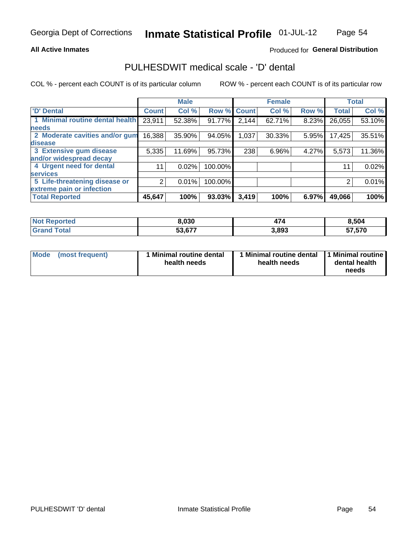### **All Active Inmates**

## Produced for General Distribution

## PULHESDWIT medical scale - 'D' dental

COL % - percent each COUNT is of its particular column

|                                 |              | <b>Male</b> |         |              | <b>Female</b> |       |              | <b>Total</b> |
|---------------------------------|--------------|-------------|---------|--------------|---------------|-------|--------------|--------------|
| <b>D' Dental</b>                | <b>Count</b> | Col %       | Row %   | <b>Count</b> | Col %         | Row % | <b>Total</b> | Col %        |
| 1 Minimal routine dental health | 23,911       | 52.38%      | 91.77%  | 2,144        | 62.71%        | 8.23% | 26,055       | 53.10%       |
| <b>needs</b>                    |              |             |         |              |               |       |              |              |
| 2 Moderate cavities and/or gum  | 16,388       | 35.90%      | 94.05%  | 1,037        | $30.33\%$     | 5.95% | 17,425       | 35.51%       |
| disease                         |              |             |         |              |               |       |              |              |
| 3 Extensive gum disease         | 5,335        | 11.69%      | 95.73%  | 238          | 6.96%         | 4.27% | 5,573        | 11.36%       |
| and/or widespread decay         |              |             |         |              |               |       |              |              |
| 4 Urgent need for dental        | 11           | 0.02%       | 100.00% |              |               |       | 11           | 0.02%        |
| <b>services</b>                 |              |             |         |              |               |       |              |              |
| 5 Life-threatening disease or   | 2            | 0.01%       | 100.00% |              |               |       | 2            | 0.01%        |
| extreme pain or infection       |              |             |         |              |               |       |              |              |
| <b>Total Reported</b>           | 45,647       | 100%        | 93.03%  | 3,419        | 100%          | 6.97% | 49,066       | 100%         |

| <b>Not Reported</b>     | 8,030  | . .   | 8,504  |
|-------------------------|--------|-------|--------|
| <b>Total</b><br>' Grand | 53,677 | 3,893 | 57,570 |

| 1 Minimal routine dental<br>Mode<br>(most frequent)<br>health needs | 1 Minimal routine dental 1 Minimal routine<br>health needs | dental health<br>needs |
|---------------------------------------------------------------------|------------------------------------------------------------|------------------------|
|---------------------------------------------------------------------|------------------------------------------------------------|------------------------|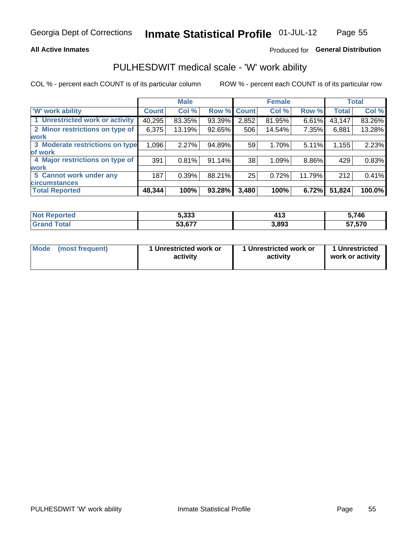## **All Active Inmates**

## Produced for General Distribution

## PULHESDWIT medical scale - 'W' work ability

COL % - percent each COUNT is of its particular column

|                                 |              | <b>Male</b> |             |       | <b>Female</b> |          |              | <b>Total</b> |
|---------------------------------|--------------|-------------|-------------|-------|---------------|----------|--------------|--------------|
| <b>W' work ability</b>          | <b>Count</b> | Col %       | Row % Count |       | Col %         | Row %    | <b>Total</b> | Col %        |
| 1 Unrestricted work or activity | 40,295       | 83.35%      | 93.39%      | 2,852 | 81.95%        | $6.61\%$ | 43,147       | 83.26%       |
| 2 Minor restrictions on type of | 6,375        | 13.19%      | 92.65%      | 506   | 14.54%        | 7.35%    | 6,881        | 13.28%       |
| <b>work</b>                     |              |             |             |       |               |          |              |              |
| 3 Moderate restrictions on type | 1,096        | 2.27%       | 94.89%      | 59    | 1.70%         | 5.11%    | 1,155        | 2.23%        |
| lof work                        |              |             |             |       |               |          |              |              |
| 4 Major restrictions on type of | 391          | 0.81%       | 91.14%      | 38    | 1.09%         | 8.86%    | 429          | 0.83%        |
| <b>work</b>                     |              |             |             |       |               |          |              |              |
| 5 Cannot work under any         | 187          | 0.39%       | 88.21%      | 25    | 0.72%         | 11.79%   | 212          | 0.41%        |
| <b>circumstances</b>            |              |             |             |       |               |          |              |              |
| <b>Total Reported</b>           | 48,344       | 100%        | 93.28%      | 3,480 | 100%          | 6.72%    | 51,824       | 100.0%       |

| <b>Not Reported</b> | 5.333  | 413   | 746    |
|---------------------|--------|-------|--------|
| <b>Fotal</b>        | 53,677 | 3,893 | 57,570 |

| <b>Mode</b>     | 1 Unrestricted work or | 1 Unrestricted work or | 1 Unrestricted   |
|-----------------|------------------------|------------------------|------------------|
| (most frequent) | activity               | activity               | work or activity |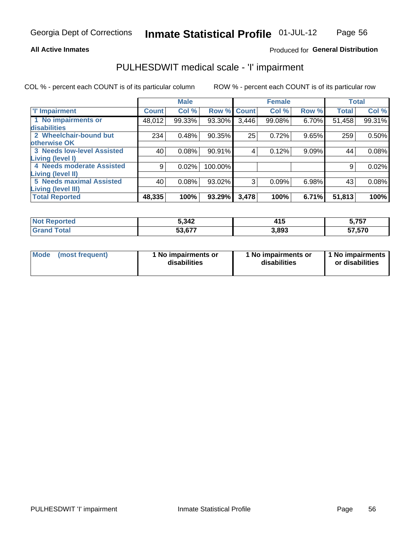### **All Active Inmates**

## Produced for General Distribution

# PULHESDWIT medical scale - 'I' impairment

COL % - percent each COUNT is of its particular column

|                                                              |              | <b>Male</b> |         |             | <b>Female</b> |       |              | <b>Total</b> |
|--------------------------------------------------------------|--------------|-------------|---------|-------------|---------------|-------|--------------|--------------|
| <b>T' Impairment</b>                                         | <b>Count</b> | Col %       |         | Row % Count | Col %         | Row % | <b>Total</b> | Col %        |
| 1 No impairments or<br>disabilities                          | 48,012       | 99.33%      | 93.30%  | 3,446       | 99.08%        | 6.70% | 51,458       | 99.31%       |
| 2 Wheelchair-bound but<br>otherwise OK                       | 234          | 0.48%       | 90.35%  | 25          | 0.72%         | 9.65% | 259          | 0.50%        |
| <b>3 Needs low-level Assisted</b><br>Living (level I)        | 40           | 0.08%       | 90.91%  | 4           | 0.12%         | 9.09% | 44           | 0.08%        |
| 4 Needs moderate Assisted<br>Living (level II)               | 9            | 0.02%       | 100.00% |             |               |       | 9            | 0.02%        |
| <b>5 Needs maximal Assisted</b><br><b>Living (level III)</b> | 40           | 0.08%       | 93.02%  | 3           | 0.09%         | 6.98% | 43           | 0.08%        |
| <b>Total Reported</b>                                        | 48,335       | 100%        | 93.29%  | 3,478       | 100%          | 6.71% | 51,813       | 100%         |

| Reported | 5,342  | 14 E  | ----   |
|----------|--------|-------|--------|
| NOT      |        | ,,,   | 5,75,  |
| ™ota⊾    | 53,677 | 3,893 | 57,570 |

| Mode | (most frequent) | 1 No impairments or<br>disabilities | 1 No impairments or<br>disabilities | 1 No impairments<br>or disabilities |
|------|-----------------|-------------------------------------|-------------------------------------|-------------------------------------|
|------|-----------------|-------------------------------------|-------------------------------------|-------------------------------------|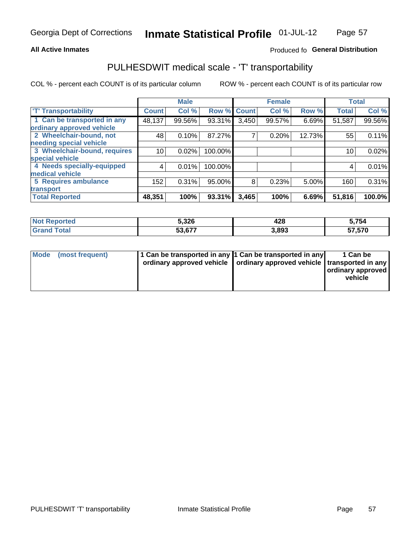## **All Active Inmates**

## Produced fo General Distribution

# PULHESDWIT medical scale - 'T' transportability

COL % - percent each COUNT is of its particular column

|                              |              | <b>Male</b> |         |              | <b>Female</b> |          |              | <b>Total</b> |
|------------------------------|--------------|-------------|---------|--------------|---------------|----------|--------------|--------------|
| <b>T' Transportability</b>   | <b>Count</b> | Col %       | Row %   | <b>Count</b> | Col %         | Row %    | <b>Total</b> | Col %        |
| 1 Can be transported in any  | 48,137       | 99.56%      | 93.31%  | 3,450        | 99.57%        | 6.69%    | 51,587       | 99.56%       |
| ordinary approved vehicle    |              |             |         |              |               |          |              |              |
| 2 Wheelchair-bound, not      | 48           | 0.10%       | 87.27%  | 7            | 0.20%         | 12.73%   | 55           | 0.11%        |
| needing special vehicle      |              |             |         |              |               |          |              |              |
| 3 Wheelchair-bound, requires | 10           | 0.02%       | 100.00% |              |               |          | 10           | 0.02%        |
| special vehicle              |              |             |         |              |               |          |              |              |
| 4 Needs specially-equipped   | 4            | 0.01%       | 100.00% |              |               |          | 4            | 0.01%        |
| medical vehicle              |              |             |         |              |               |          |              |              |
| <b>5 Requires ambulance</b>  | 152          | 0.31%       | 95.00%  | 8            | 0.23%         | $5.00\%$ | 160          | 0.31%        |
| transport                    |              |             |         |              |               |          |              |              |
| <b>Total Reported</b>        | 48,351       | 100%        | 93.31%  | 3,465        | 100%          | 6.69%    | 51,816       | 100.0%       |

| rted. | 5,326  | 428   | 5,754        |
|-------|--------|-------|--------------|
|       | 53.677 | 3,893 | 57,570<br>ວ/ |

|  | Mode (most frequent) | 1 Can be transported in any 1 Can be transported in any<br>ordinary approved vehicle   ordinary approved vehicle   transported in any |  | 1 Can be<br>  ordinary approved  <br>vehicle |
|--|----------------------|---------------------------------------------------------------------------------------------------------------------------------------|--|----------------------------------------------|
|--|----------------------|---------------------------------------------------------------------------------------------------------------------------------------|--|----------------------------------------------|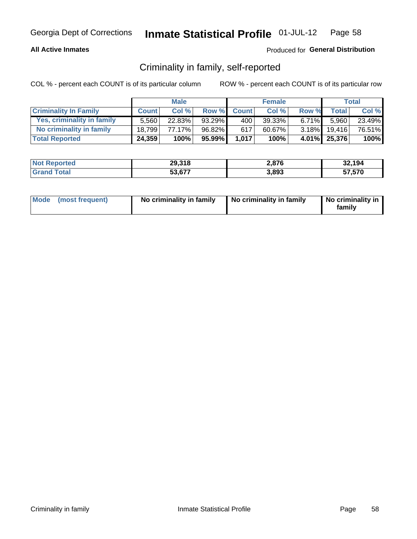## **All Active Inmates**

## Produced for General Distribution

## Criminality in family, self-reported

COL % - percent each COUNT is of its particular column

|                                   |              | <b>Male</b> |           |              | <b>Female</b> |          |              | <b>Total</b> |
|-----------------------------------|--------------|-------------|-----------|--------------|---------------|----------|--------------|--------------|
| <b>Criminality In Family</b>      | <b>Count</b> | Col %       | Row %     | <b>Count</b> | Col %         | Row %    | <b>Total</b> | Col %        |
| <b>Yes, criminality in family</b> | 5.560        | $22.83\%$   | $93.29\%$ | 400          | 39.33%        | $6.71\%$ | 5.960        | 23.49%       |
| No criminality in family          | 18.799       | 77.17%      | 96.82%    | 617          | 60.67%        | $3.18\%$ | 19,416       | 76.51%       |
| <b>Total Reported</b>             | 24,359       | 100%        | 95.99%    | 1,017        | 100%          |          | 4.01% 25,376 | $100\%$      |

| <b>Not Reported</b>       | 29,318 | 2,876 | 32,194 |
|---------------------------|--------|-------|--------|
| <b>Total</b><br>l Grand T | 53,677 | 3,893 | 57,570 |

|  | Mode (most frequent) | No criminality in family | No criminality in family | No criminality in<br>family |
|--|----------------------|--------------------------|--------------------------|-----------------------------|
|--|----------------------|--------------------------|--------------------------|-----------------------------|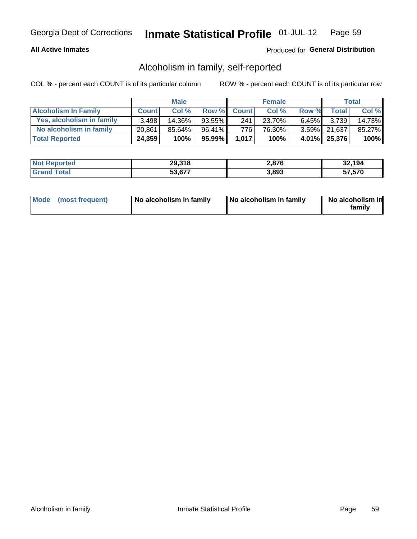## **All Active Inmates**

## Produced for General Distribution

## Alcoholism in family, self-reported

COL % - percent each COUNT is of its particular column

|                             |              | <b>Male</b> |        |              | <b>Female</b> |          |              | Total   |
|-----------------------------|--------------|-------------|--------|--------------|---------------|----------|--------------|---------|
| <b>Alcoholism In Family</b> | <b>Count</b> | Col%        | Row %  | <b>Count</b> | Col %         | Row %    | <b>Total</b> | Col %   |
| Yes, alcoholism in family   | 3.498        | $14.36\%$   | 93.55% | 241          | 23.70%        | $6.45\%$ | 3.739        | 14.73%  |
| No alcoholism in family     | 20.861       | $85.64\%$   | 96.41% | 776 I        | 76.30%        |          | 3.59% 21,637 | 85.27%  |
| <b>Total Reported</b>       | 24,359       | 100%        | 95.99% | 1.017        | 100%          |          | 4.01% 25,376 | $100\%$ |

| <b>Not Reported</b> | 29,318 | 2,876 | 32,194<br>.∠د |
|---------------------|--------|-------|---------------|
| <b>Total</b>        | 53,677 | 3,893 | 57,570        |

|  | Mode (most frequent) | No alcoholism in family | No alcoholism in family | No alcoholism in<br>family |
|--|----------------------|-------------------------|-------------------------|----------------------------|
|--|----------------------|-------------------------|-------------------------|----------------------------|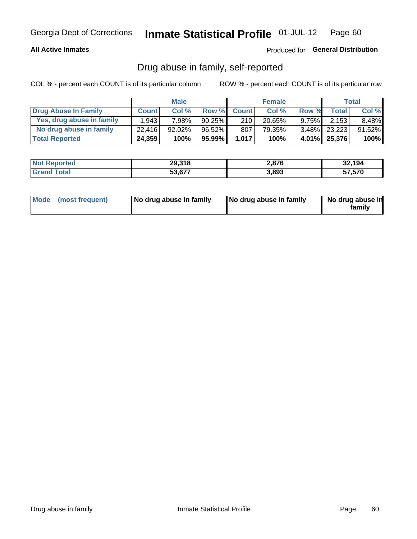## **All Active Inmates**

## Produced for General Distribution

## Drug abuse in family, self-reported

COL % - percent each COUNT is of its particular column

|                           |              | <b>Male</b> |           |              | <b>Female</b> |          |              | Total    |
|---------------------------|--------------|-------------|-----------|--------------|---------------|----------|--------------|----------|
| Drug Abuse In Family      | <b>Count</b> | Col%        | Row %     | <b>Count</b> | Col %         | Row %    | <b>Total</b> | Col %    |
| Yes, drug abuse in family | 1.943        | 7.98%       | $90.25\%$ | 210          | 20.65%        | $9.75\%$ | 2,153        | $8.48\%$ |
| No drug abuse in family   | 22,416       | 92.02%      | $96.52\%$ | 807          | 79.35%        |          | 3.48% 23,223 | 91.52%   |
| <b>Total Reported</b>     | 24,359       | 100%        | $95.99\%$ | 1.017        | 100%          |          | 4.01% 25,376 | $100\%$  |

| <b>Not Reported</b> | 29,318 | 2,876 | 32,194 |
|---------------------|--------|-------|--------|
| l Grand T<br>Total  | 53,677 | 3.893 | 57,570 |

|  | Mode (most frequent) | No drug abuse in family | No drug abuse in family | No drug abuse in<br>familv |
|--|----------------------|-------------------------|-------------------------|----------------------------|
|--|----------------------|-------------------------|-------------------------|----------------------------|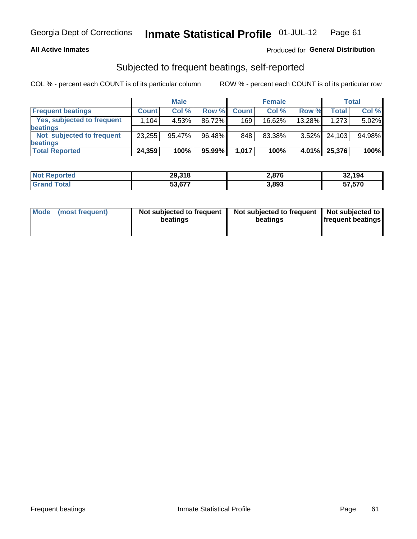## **All Active Inmates**

## Produced for General Distribution

## Subjected to frequent beatings, self-reported

COL % - percent each COUNT is of its particular column

|                                   |              | <b>Male</b> |        |              | <b>Female</b> |          |              | Total  |
|-----------------------------------|--------------|-------------|--------|--------------|---------------|----------|--------------|--------|
| <b>Frequent beatings</b>          | <b>Count</b> | Col %       | Row %  | <b>Count</b> | Col %         | Row %    | <b>Total</b> | Col %  |
| <b>Yes, subjected to frequent</b> | 1.104        | 4.53%       | 86.72% | 169          | 16.62%        | 13.28%   | 1,273        | 5.02%  |
| <b>beatings</b>                   |              |             |        |              |               |          |              |        |
| Not subjected to frequent         | 23,255       | 95.47%      | 96.48% | 848          | 83.38%        | $3.52\%$ | 24.103       | 94.98% |
| <b>beatings</b>                   |              |             |        |              |               |          |              |        |
| <b>Total Reported</b>             | 24,359       | 100%        | 95.99% | 1,017        | 100%          | 4.01%    | 25,376       | 100%   |

| <b>Not</b><br>' Reported | 29,318 | 2,876 | 32,194 |
|--------------------------|--------|-------|--------|
| <b>Grand Total</b>       | 53,677 | 3,893 | 57,570 |

| Mode (most frequent) | Not subjected to frequent<br>beatings | Not subjected to frequent<br>beatings | Not subjected to<br><b>frequent beatings</b> |
|----------------------|---------------------------------------|---------------------------------------|----------------------------------------------|
|                      |                                       |                                       |                                              |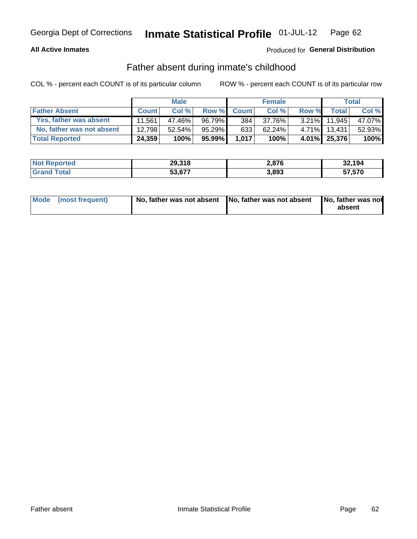## **All Active Inmates**

## Produced for General Distribution

## Father absent during inmate's childhood

COL % - percent each COUNT is of its particular column

|                           |              | <b>Male</b> |           |              | <b>Female</b> |          |              | Total  |
|---------------------------|--------------|-------------|-----------|--------------|---------------|----------|--------------|--------|
| <b>Father Absent</b>      | <b>Count</b> | Col%        | Row %     | <b>Count</b> | Col %         | Row %    | <b>Total</b> | Col %  |
| Yes, father was absent    | 11.561       | 47.46%      | 96.79%    | 384          | 37.76%        | $3.21\%$ | 11.945       | 47.07% |
| No, father was not absent | 12.798       | 52.54%      | 95.29%    | 633          | 62.24%        | $4.71\%$ | 13.431       | 52.93% |
| <b>Total Reported</b>     | 24,359       | 100%        | $95.99\%$ | 1,017        | 100%          |          | 4.01% 25,376 | 100%   |

| <b>Not Reported</b> | 29,318 | 2,876 | 32,194 |
|---------------------|--------|-------|--------|
| <b>Grand Total</b>  | 53,677 | 3,893 | 57,570 |

|  | Mode (most frequent) | No, father was not absent No, father was not absent |  | No, father was not<br>absent |
|--|----------------------|-----------------------------------------------------|--|------------------------------|
|--|----------------------|-----------------------------------------------------|--|------------------------------|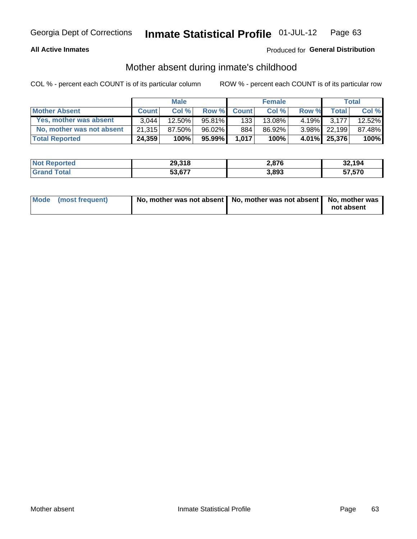## **All Active Inmates**

## Produced for General Distribution

## Mother absent during inmate's childhood

COL % - percent each COUNT is of its particular column

|                           |              | <b>Male</b> |           |              | <b>Female</b> |          |              | <b>Total</b> |
|---------------------------|--------------|-------------|-----------|--------------|---------------|----------|--------------|--------------|
| <b>Mother Absent</b>      | <b>Count</b> | Col%        | Row %     | <b>Count</b> | Col %         | Row %    | <b>Total</b> | Col %        |
| Yes, mother was absent    | 3.044        | 12.50%      | 95.81%    | 133          | 13.08%        | $4.19\%$ | 3.177        | 12.52%       |
| No, mother was not absent | 21.315       | 87.50%      | 96.02%    | 884          | 86.92%        |          | 3.98% 22,199 | 87.48%       |
| <b>Total Reported</b>     | 24,359       | 100%        | $95.99\%$ | 1,017        | 100%          |          | 4.01% 25,376 | 100%         |

| <b>Not Reported</b> | 29,318 | 2,876 | 32,194<br>.∠د |
|---------------------|--------|-------|---------------|
| <b>Total</b>        | 53,677 | 3,893 | 57,570        |

| Mode (most frequent) | No, mother was not absent   No, mother was not absent   No, mother was | not absent |
|----------------------|------------------------------------------------------------------------|------------|
|                      |                                                                        |            |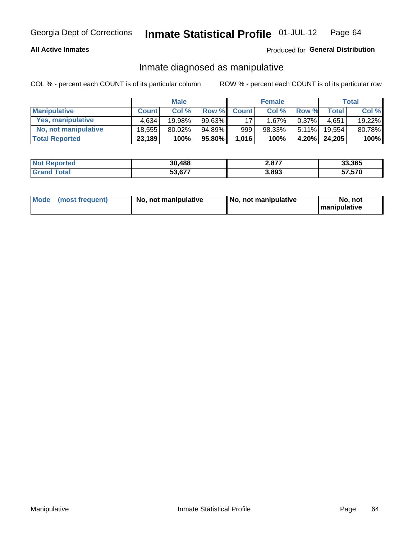## **All Active Inmates**

## Produced for General Distribution

## Inmate diagnosed as manipulative

COL % - percent each COUNT is of its particular column

|                       |              | <b>Male</b> |        |              | <b>Female</b> |          |              | Total  |
|-----------------------|--------------|-------------|--------|--------------|---------------|----------|--------------|--------|
| <b>Manipulative</b>   | <b>Count</b> | Col %       | Row %  | <b>Count</b> | Col%          | Row %    | <b>Total</b> | Col %  |
| Yes, manipulative     | 4.634        | 19.98%      | 99.63% | 17           | $.67\%$       | $0.37\%$ | 4.651        | 19.22% |
| No, not manipulative  | 18.555       | 80.02%      | 94.89% | 999          | 98.33%        | $5.11\%$ | 19.554       | 80.78% |
| <b>Total Reported</b> | 23,189       | 100%        | 95.80% | 1,016        | 100%          | $4.20\%$ | 24.205       | 100%   |

| <b>Not Reported</b>   | 30,488 | רדם ה<br>$-.011$ | 33,365 |
|-----------------------|--------|------------------|--------|
| 'otal<br><b>Grand</b> | ა3,677 | 3,893            | 57,570 |

| Mode | (most frequent) | No, not manipulative | No, not manipulative | No. not<br><b>I</b> manipulative |
|------|-----------------|----------------------|----------------------|----------------------------------|
|------|-----------------|----------------------|----------------------|----------------------------------|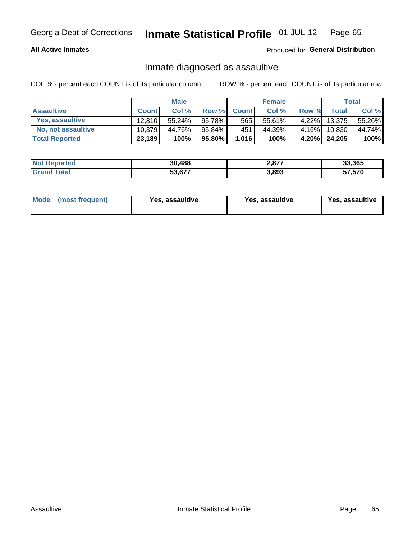## **All Active Inmates**

## Produced for General Distribution

## Inmate diagnosed as assaultive

COL % - percent each COUNT is of its particular column

|                           |              | <b>Male</b> |         |              | <b>Female</b> |          |              | Total  |
|---------------------------|--------------|-------------|---------|--------------|---------------|----------|--------------|--------|
| <b>Assaultive</b>         | <b>Count</b> | Col%        | Row %   | <b>Count</b> | Col %         | Row %    | <b>Total</b> | Col %  |
| Yes, assaultive           | 12.810       | 55.24%      | 95.78%  | 565          | 55.61%        | $4.22\%$ | 13,375       | 55.26% |
| <b>No, not assaultive</b> | 10.379       | 44.76%      | 95.84%I | 451          | 44.39%        | $4.16\%$ | 10.830       | 44.74% |
| <b>Total Reported</b>     | 23,189       | 100%        | 95.80%  | 1,016        | 100%          |          | 4.20% 24,205 | 100%   |

| <b>Not</b><br>Reported | 30,488       | <b>077</b><br>$-.01'$ | 33,365 |
|------------------------|--------------|-----------------------|--------|
| `ota                   | 677<br>53,67 | 3,893                 | 57,570 |

| Mode (most frequent)<br>Yes, assaultive | Yes, assaultive | <b>Yes, assaultive</b> |
|-----------------------------------------|-----------------|------------------------|
|-----------------------------------------|-----------------|------------------------|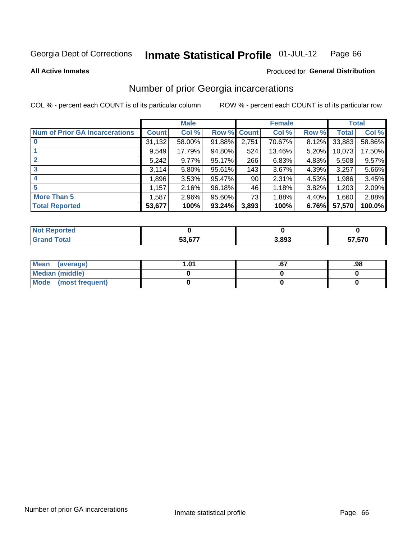#### **Inmate Statistical Profile 01-JUL-12** Page 66

**All Active Inmates** 

### **Produced for General Distribution**

## Number of prior Georgia incarcerations

COL % - percent each COUNT is of its particular column

|                                       |              | <b>Male</b> |                    |       | <b>Female</b> |       |        | <b>Total</b> |
|---------------------------------------|--------------|-------------|--------------------|-------|---------------|-------|--------|--------------|
| <b>Num of Prior GA Incarcerations</b> | <b>Count</b> | Col %       | <b>Row % Count</b> |       | Col %         | Row % | Total  | Col %        |
|                                       | 31,132       | 58.00%      | 91.88%             | 2,751 | 70.67%        | 8.12% | 33,883 | 58.86%       |
|                                       | 9,549        | 17.79%      | 94.80%             | 524   | 13.46%        | 5.20% | 10,073 | 17.50%       |
| $\overline{2}$                        | 5,242        | $9.77\%$    | 95.17%             | 266   | 6.83%         | 4.83% | 5,508  | 9.57%        |
| 3                                     | 3,114        | $5.80\%$    | 95.61%             | 143   | 3.67%         | 4.39% | 3,257  | 5.66%        |
| $\boldsymbol{4}$                      | 1,896        | 3.53%       | 95.47%             | 90    | 2.31%         | 4.53% | 1,986  | 3.45%        |
| 5                                     | 1,157        | 2.16%       | 96.18%             | 46    | 1.18%         | 3.82% | 1,203  | 2.09%        |
| <b>More Than 5</b>                    | 1.587        | 2.96%       | 95.60%             | 73    | 1.88%         | 4.40% | 1,660  | 2.88%        |
| <b>Total Reported</b>                 | 53,677       | 100%        | 93.24%             | 3,893 | 100%          | 6.76% | 57,570 | 100.0%       |

| Reported<br><b>NOT</b> |        |       |                   |
|------------------------|--------|-------|-------------------|
| `otal<br>Gr:           | 53,677 | 3,893 | 57 570<br><b></b> |

| Mean (average)       | l.01 | .98 |
|----------------------|------|-----|
| Median (middle)      |      |     |
| Mode (most frequent) |      |     |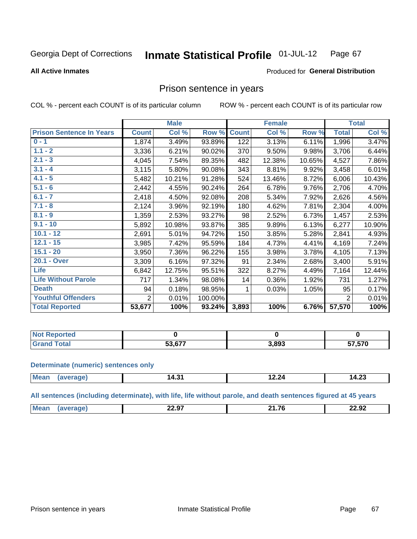#### Inmate Statistical Profile 01-JUL-12 Page 67

**All Active Inmates** 

### Produced for General Distribution

## Prison sentence in years

COL % - percent each COUNT is of its particular column

ROW % - percent each COUNT is of its particular row

|                                 |                | <b>Male</b> |         |              | <b>Female</b> |        |                | <b>Total</b> |
|---------------------------------|----------------|-------------|---------|--------------|---------------|--------|----------------|--------------|
| <b>Prison Sentence In Years</b> | <b>Count</b>   | Col %       | Row %   | <b>Count</b> | Col %         | Row %  | <b>Total</b>   | Col %        |
| $0 - 1$                         | 1,874          | 3.49%       | 93.89%  | 122          | 3.13%         | 6.11%  | 1,996          | 3.47%        |
| $1.1 - 2$                       | 3,336          | 6.21%       | 90.02%  | 370          | 9.50%         | 9.98%  | 3,706          | 6.44%        |
| $2.1 - 3$                       | 4,045          | 7.54%       | 89.35%  | 482          | 12.38%        | 10.65% | 4,527          | 7.86%        |
| $3.1 - 4$                       | 3,115          | 5.80%       | 90.08%  | 343          | 8.81%         | 9.92%  | 3,458          | 6.01%        |
| $4.1 - 5$                       | 5,482          | 10.21%      | 91.28%  | 524          | 13.46%        | 8.72%  | 6,006          | 10.43%       |
| $5.1 - 6$                       | 2,442          | 4.55%       | 90.24%  | 264          | 6.78%         | 9.76%  | 2,706          | 4.70%        |
| $6.1 - 7$                       | 2,418          | 4.50%       | 92.08%  | 208          | 5.34%         | 7.92%  | 2,626          | 4.56%        |
| $7.1 - 8$                       | 2,124          | 3.96%       | 92.19%  | 180          | 4.62%         | 7.81%  | 2,304          | 4.00%        |
| $8.1 - 9$                       | 1,359          | 2.53%       | 93.27%  | 98           | 2.52%         | 6.73%  | 1,457          | 2.53%        |
| $9.1 - 10$                      | 5,892          | 10.98%      | 93.87%  | 385          | 9.89%         | 6.13%  | 6,277          | 10.90%       |
| $10.1 - 12$                     | 2,691          | 5.01%       | 94.72%  | 150          | 3.85%         | 5.28%  | 2,841          | 4.93%        |
| $12.1 - 15$                     | 3,985          | 7.42%       | 95.59%  | 184          | 4.73%         | 4.41%  | 4,169          | 7.24%        |
| $15.1 - 20$                     | 3,950          | 7.36%       | 96.22%  | 155          | 3.98%         | 3.78%  | 4,105          | 7.13%        |
| 20.1 - Over                     | 3,309          | 6.16%       | 97.32%  | 91           | 2.34%         | 2.68%  | 3,400          | 5.91%        |
| <b>Life</b>                     | 6,842          | 12.75%      | 95.51%  | 322          | 8.27%         | 4.49%  | 7,164          | 12.44%       |
| <b>Life Without Parole</b>      | 717            | 1.34%       | 98.08%  | 14           | 0.36%         | 1.92%  | 731            | 1.27%        |
| <b>Death</b>                    | 94             | 0.18%       | 98.95%  |              | 0.03%         | 1.05%  | 95             | 0.17%        |
| <b>Youthful Offenders</b>       | $\overline{2}$ | 0.01%       | 100.00% |              |               |        | $\overline{2}$ | 0.01%        |
| <b>Total Reported</b>           | 53,677         | 100%        | 93.24%  | 3,893        | 100%          | 6.76%  | 57,570         | 100%         |

| <b>NOT</b><br>portea |       |       |        |
|----------------------|-------|-------|--------|
|                      | - ~ ~ | 3,893 | 57,570 |

### **Determinate (numeric) sentences only**

| <b>Me:</b><br>$\sim$ $\sim$ $\sim$ $\sim$ $\sim$ $\sim$ $\sim$ | - - -<br>ı<br>14.JI | ◢<br>$\mathbf{L}$ . $\mathbf{L}$ | $\sim$<br>-<br>∪∡.דו |
|----------------------------------------------------------------|---------------------|----------------------------------|----------------------|
|                                                                |                     |                                  |                      |

All sentences (including determinate), with life, life without parole, and death sentences figured at 45 years

| <b>Me</b><br>$\sim$ $\sim$ $\sim$<br>24.76<br>22.92<br>-4.97 |  |  |  |
|--------------------------------------------------------------|--|--|--|
|                                                              |  |  |  |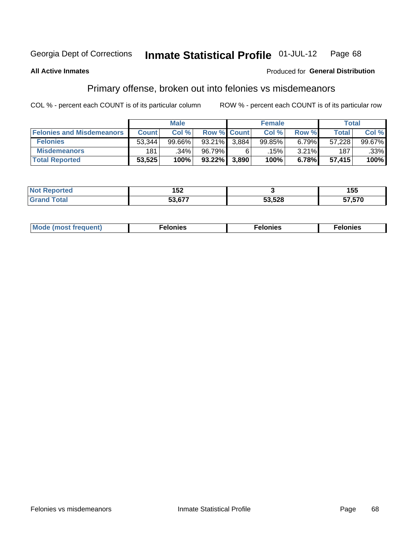#### Inmate Statistical Profile 01-JUL-12 Page 68

### **All Active Inmates**

### **Produced for General Distribution**

## Primary offense, broken out into felonies vs misdemeanors

COL % - percent each COUNT is of its particular column

|                                  |              | <b>Male</b> |                    |       | <b>Female</b> |       | Total        |                 |
|----------------------------------|--------------|-------------|--------------------|-------|---------------|-------|--------------|-----------------|
| <b>Felonies and Misdemeanors</b> | <b>Count</b> | Col %       | <b>Row % Count</b> |       | Col %         | Row % | <b>Total</b> | Col %           |
| <b>Felonies</b>                  | 53,344       | 99.66%      | $93.21\%$          | 3.884 | 99.85%        | 6.79% | 57,228       | 99.67% <b>I</b> |
| <b>Misdemeanors</b>              | 181          | .34%        | 96.79%             | 6     | .15% '        | 3.21% | 187          | .33%            |
| <b>Total Reported</b>            | 53,525       | 100%        | $93.22\%$          | 3,890 | 100%          | 6.78% | 57.415       | 100%            |

| ec:  | $\sim$ $\sim$<br>אטו |        | 1 55<br>ט ט |
|------|----------------------|--------|-------------|
| ota. | -^ ^--               | 53,528 | 57,570      |

| Mo | ____ | 11 C.S<br>. | onies<br>. |
|----|------|-------------|------------|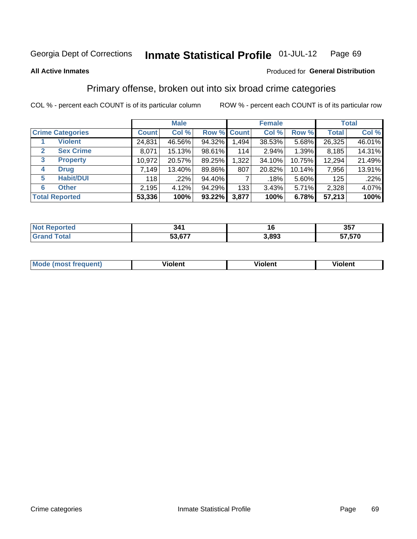### **All Active Inmates**

## Produced for **General Distribution**

## Primary offense, broken out into six broad crime categories

|                                 |              | <b>Male</b> |           |             | <b>Female</b> |        |              | <b>Total</b> |  |  |
|---------------------------------|--------------|-------------|-----------|-------------|---------------|--------|--------------|--------------|--|--|
| <b>Crime Categories</b>         | <b>Count</b> | Col %       |           | Row % Count | Col %         | Row %  | <b>Total</b> | Col %        |  |  |
| <b>Violent</b>                  | 24,831       | 46.56%      | 94.32%    | 1,494       | 38.53%        | 5.68%  | 26,325       | 46.01%       |  |  |
| <b>Sex Crime</b><br>2           | 8,071        | 15.13%      | 98.61%    | 114         | 2.94%         | 1.39%  | 8,185        | 14.31%       |  |  |
| $\mathbf{3}$<br><b>Property</b> | 10,972       | 20.57%      | 89.25%    | 1,322       | 34.10%        | 10.75% | 12,294       | 21.49%       |  |  |
| <b>Drug</b><br>4                | 7,149        | 13.40%      | 89.86%    | 807         | 20.82%        | 10.14% | 7,956        | 13.91%       |  |  |
| <b>Habit/DUI</b><br>5           | 118          | .22%        | 94.40%    |             | .18%          | 5.60%  | 125          | .22%         |  |  |
| <b>Other</b><br>6               | 2,195        | 4.12%       | 94.29%    | 133         | 3.43%         | 5.71%  | 2,328        | 4.07%        |  |  |
| <b>Total Reported</b>           | 53,336       | 100%        | $93.22\%$ | 3,877       | 100%          | 6.78%  | 57,213       | 100%         |  |  |

| тео<br>m. | 341    |       | 357    |
|-----------|--------|-------|--------|
|           | $\sim$ | , റോ  | 57 570 |
|           | г^     | ,,,,, | ט וט י |

| <b>Mode (most frequent)</b> | .<br>ïolent | 'iolent | ---<br>Violent |
|-----------------------------|-------------|---------|----------------|
|                             |             |         |                |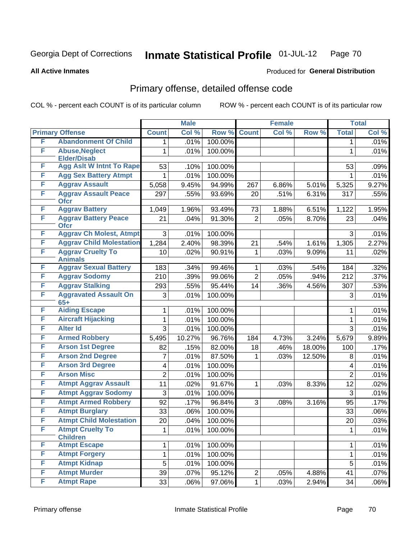### **All Active Inmates**

# Produced for **General Distribution**

# Primary offense, detailed offense code

|   |                                             |                 | <b>Male</b> |         |                | <b>Female</b> |        |                 | <b>Total</b> |
|---|---------------------------------------------|-----------------|-------------|---------|----------------|---------------|--------|-----------------|--------------|
|   | <b>Primary Offense</b>                      | <b>Count</b>    | Col %       | Row %   | <b>Count</b>   | Col %         | Row %  | <b>Total</b>    | Col %        |
| F | <b>Abandonment Of Child</b>                 | 1.              | .01%        | 100.00% |                |               |        | $\mathbf 1$     | .01%         |
| F | <b>Abuse, Neglect</b><br><b>Elder/Disab</b> | 1               | .01%        | 100.00% |                |               |        | $\mathbf{1}$    | .01%         |
| F | <b>Agg Aslt W Intnt To Rape</b>             | 53              | .10%        | 100.00% |                |               |        | 53              | .09%         |
| F | <b>Agg Sex Battery Atmpt</b>                | 1               | .01%        | 100.00% |                |               |        |                 | .01%         |
| F | <b>Aggrav Assault</b>                       | 5,058           | 9.45%       | 94.99%  | 267            | 6.86%         | 5.01%  | 5,325           | 9.27%        |
| F | <b>Aggrav Assault Peace</b><br><b>Ofcr</b>  | 297             | .55%        | 93.69%  | 20             | .51%          | 6.31%  | 317             | .55%         |
| F | <b>Aggrav Battery</b>                       | 1,049           | 1.96%       | 93.49%  | 73             | 1.88%         | 6.51%  | 1,122           | 1.95%        |
| F | <b>Aggrav Battery Peace</b><br><b>Ofcr</b>  | 21              | .04%        | 91.30%  | $\overline{2}$ | .05%          | 8.70%  | 23              | .04%         |
| F | <b>Aggrav Ch Molest, Atmpt</b>              | 3               | .01%        | 100.00% |                |               |        | 3               | .01%         |
| F | <b>Aggrav Child Molestation</b>             | 1,284           | 2.40%       | 98.39%  | 21             | .54%          | 1.61%  | 1,305           | 2.27%        |
| F | <b>Aggrav Cruelty To</b><br><b>Animals</b>  | 10              | .02%        | 90.91%  | 1              | .03%          | 9.09%  | 11              | .02%         |
| F | <b>Aggrav Sexual Battery</b>                | 183             | .34%        | 99.46%  | 1              | .03%          | .54%   | 184             | .32%         |
| F | <b>Aggrav Sodomy</b>                        | 210             | .39%        | 99.06%  | $\overline{2}$ | .05%          | .94%   | 212             | .37%         |
| F | <b>Aggrav Stalking</b>                      | 293             | .55%        | 95.44%  | 14             | .36%          | 4.56%  | 307             | .53%         |
| F | <b>Aggravated Assault On</b><br>$65+$       | 3               | .01%        | 100.00% |                |               |        | 3               | .01%         |
| F | <b>Aiding Escape</b>                        | 1               | .01%        | 100.00% |                |               |        | 1               | .01%         |
| F | <b>Aircraft Hijacking</b>                   | 1               | .01%        | 100.00% |                |               |        | $\mathbf 1$     | .01%         |
| F | <b>Alter Id</b>                             | 3               | .01%        | 100.00% |                |               |        | 3               | .01%         |
| F | <b>Armed Robbery</b>                        | 5,495           | 10.27%      | 96.76%  | 184            | 4.73%         | 3.24%  | 5,679           | 9.89%        |
| F | <b>Arson 1st Degree</b>                     | 82              | .15%        | 82.00%  | 18             | .46%          | 18.00% | 100             | .17%         |
| F | <b>Arson 2nd Degree</b>                     | 7               | .01%        | 87.50%  | 1              | .03%          | 12.50% | 8               | .01%         |
| F | <b>Arson 3rd Degree</b>                     | 4               | .01%        | 100.00% |                |               |        | 4               | .01%         |
| F | <b>Arson Misc</b>                           | $\overline{2}$  | .01%        | 100.00% |                |               |        | $\overline{2}$  | .01%         |
| F | <b>Atmpt Aggrav Assault</b>                 | 11              | .02%        | 91.67%  | $\mathbf{1}$   | .03%          | 8.33%  | $\overline{12}$ | .02%         |
| F | <b>Atmpt Aggrav Sodomy</b>                  | 3               | .01%        | 100.00% |                |               |        | 3               | .01%         |
| F | <b>Atmpt Armed Robbery</b>                  | 92              | .17%        | 96.84%  | 3              | .08%          | 3.16%  | 95              | .17%         |
| F | <b>Atmpt Burglary</b>                       | 33              | .06%        | 100.00% |                |               |        | 33              | .06%         |
| F | <b>Atmpt Child Molestation</b>              | 20              | .04%        | 100.00% |                |               |        | 20              | .03%         |
| F | <b>Atmpt Cruelty To</b><br><b>Children</b>  | 1               | .01%        | 100.00% |                |               |        | $\mathbf{1}$    | .01%         |
| F | <b>Atmpt Escape</b>                         | 1               | .01%        | 100.00% |                |               |        | $\mathbf{1}$    | .01%         |
| F | <b>Atmpt Forgery</b>                        | 1               | .01%        | 100.00% |                |               |        | 1               | .01%         |
| F | <b>Atmpt Kidnap</b>                         | 5               | .01%        | 100.00% |                |               |        | $\mathbf 5$     | .01%         |
| F | <b>Atmpt Murder</b>                         | 39              | .07%        | 95.12%  | $\overline{2}$ | .05%          | 4.88%  | 41              | .07%         |
| F | <b>Atmpt Rape</b>                           | $\overline{3}3$ | .06%        | 97.06%  | $\mathbf{1}$   | .03%          | 2.94%  | 34              | .06%         |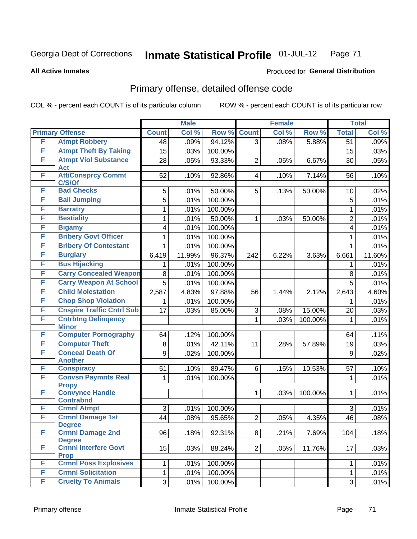### **All Active Inmates**

# Produced for **General Distribution**

# Primary offense, detailed offense code

| <b>Primary Offense</b><br>Col %<br>Col %<br>Row %<br><b>Count</b><br>Row %<br><b>Count</b><br><b>Total</b><br>F<br><b>Atmpt Robbery</b><br>.09%<br>94.12%<br>.08%<br>$\overline{48}$<br>$\overline{3}$<br>5.88%<br>$\overline{51}$<br><b>Atmpt Theft By Taking</b><br>F<br>15<br>.03%<br>100.00%<br>15<br><b>Atmpt Viol Substance</b><br>F<br>93.33%<br>28<br>.05%<br>$\overline{2}$<br>.05%<br>6.67%<br>30<br>Act<br>F<br><b>Att/Consprcy Commt</b><br>92.86%<br>7.14%<br>.10%<br>52<br>.10%<br>.10%<br>4<br>56<br>C/S/Of<br><b>Bad Checks</b><br>F<br>50.00%<br>.02%<br>5<br>.01%<br>5<br>.13%<br>50.00%<br>10<br>F<br><b>Bail Jumping</b><br>5<br>100.00%<br>.01%<br>5<br>F<br><b>Barratry</b><br>100.00%<br>.01%<br>$\mathbf{1}$<br>1<br>F<br><b>Bestiality</b><br>50.00%<br>.01%<br>$\overline{2}$<br>1<br>$\mathbf{1}$<br>.03%<br>50.00%<br>F<br><b>Bigamy</b><br>.01%<br>100.00%<br>4<br>$\overline{4}$<br><b>Bribery Govt Officer</b><br>F<br>100.00%<br>.01%<br>$\mathbf{1}$<br>1 |   |                              |   | <b>Male</b> |         | <b>Female</b> |             | <b>Total</b> |
|--------------------------------------------------------------------------------------------------------------------------------------------------------------------------------------------------------------------------------------------------------------------------------------------------------------------------------------------------------------------------------------------------------------------------------------------------------------------------------------------------------------------------------------------------------------------------------------------------------------------------------------------------------------------------------------------------------------------------------------------------------------------------------------------------------------------------------------------------------------------------------------------------------------------------------------------------------------------------------------------|---|------------------------------|---|-------------|---------|---------------|-------------|--------------|
| .09%<br>.03%<br>.05%<br>.01%<br>.01%<br>.01%<br>.01%<br>.01%                                                                                                                                                                                                                                                                                                                                                                                                                                                                                                                                                                                                                                                                                                                                                                                                                                                                                                                               |   |                              |   |             |         |               |             | Col %        |
|                                                                                                                                                                                                                                                                                                                                                                                                                                                                                                                                                                                                                                                                                                                                                                                                                                                                                                                                                                                            |   |                              |   |             |         |               |             |              |
|                                                                                                                                                                                                                                                                                                                                                                                                                                                                                                                                                                                                                                                                                                                                                                                                                                                                                                                                                                                            |   |                              |   |             |         |               |             |              |
|                                                                                                                                                                                                                                                                                                                                                                                                                                                                                                                                                                                                                                                                                                                                                                                                                                                                                                                                                                                            |   |                              |   |             |         |               |             |              |
|                                                                                                                                                                                                                                                                                                                                                                                                                                                                                                                                                                                                                                                                                                                                                                                                                                                                                                                                                                                            |   |                              |   |             |         |               |             |              |
|                                                                                                                                                                                                                                                                                                                                                                                                                                                                                                                                                                                                                                                                                                                                                                                                                                                                                                                                                                                            |   |                              |   |             |         |               |             |              |
|                                                                                                                                                                                                                                                                                                                                                                                                                                                                                                                                                                                                                                                                                                                                                                                                                                                                                                                                                                                            |   |                              |   |             |         |               |             |              |
|                                                                                                                                                                                                                                                                                                                                                                                                                                                                                                                                                                                                                                                                                                                                                                                                                                                                                                                                                                                            |   |                              |   |             |         |               |             |              |
|                                                                                                                                                                                                                                                                                                                                                                                                                                                                                                                                                                                                                                                                                                                                                                                                                                                                                                                                                                                            |   |                              |   |             |         |               |             |              |
|                                                                                                                                                                                                                                                                                                                                                                                                                                                                                                                                                                                                                                                                                                                                                                                                                                                                                                                                                                                            |   |                              |   |             |         |               |             |              |
|                                                                                                                                                                                                                                                                                                                                                                                                                                                                                                                                                                                                                                                                                                                                                                                                                                                                                                                                                                                            |   |                              |   |             |         |               |             |              |
|                                                                                                                                                                                                                                                                                                                                                                                                                                                                                                                                                                                                                                                                                                                                                                                                                                                                                                                                                                                            |   |                              |   |             |         |               |             |              |
|                                                                                                                                                                                                                                                                                                                                                                                                                                                                                                                                                                                                                                                                                                                                                                                                                                                                                                                                                                                            | F | <b>Bribery Of Contestant</b> | 1 | .01%        | 100.00% |               | $\mathbf 1$ | .01%         |
| F<br><b>Burglary</b><br>96.37%<br>11.60%<br>11.99%<br>6.22%<br>6,419<br>242<br>3.63%<br>6,661                                                                                                                                                                                                                                                                                                                                                                                                                                                                                                                                                                                                                                                                                                                                                                                                                                                                                              |   |                              |   |             |         |               |             |              |
| <b>Bus Hijacking</b><br>F<br>100.00%<br>.01%<br>.01%<br>1.<br>1                                                                                                                                                                                                                                                                                                                                                                                                                                                                                                                                                                                                                                                                                                                                                                                                                                                                                                                            |   |                              |   |             |         |               |             |              |
| <b>Carry Concealed Weapon</b><br>F<br>100.00%<br>8<br>.01%<br>.01%<br>8                                                                                                                                                                                                                                                                                                                                                                                                                                                                                                                                                                                                                                                                                                                                                                                                                                                                                                                    |   |                              |   |             |         |               |             |              |
| F<br><b>Carry Weapon At School</b><br>$\overline{5}$<br>100.00%<br>5<br>.01%<br>.01%                                                                                                                                                                                                                                                                                                                                                                                                                                                                                                                                                                                                                                                                                                                                                                                                                                                                                                       |   |                              |   |             |         |               |             |              |
| F<br><b>Child Molestation</b><br>4.83%<br>97.88%<br>2.12%<br>4.60%<br>2,587<br>56<br>1.44%<br>2,643                                                                                                                                                                                                                                                                                                                                                                                                                                                                                                                                                                                                                                                                                                                                                                                                                                                                                        |   |                              |   |             |         |               |             |              |
| <b>Chop Shop Violation</b><br>F<br>100.00%<br>.01%<br>.01%<br>1<br>1.                                                                                                                                                                                                                                                                                                                                                                                                                                                                                                                                                                                                                                                                                                                                                                                                                                                                                                                      |   |                              |   |             |         |               |             |              |
| <b>Cnspire Traffic Cntrl Sub</b><br>F<br>3<br>17<br>.03%<br>85.00%<br>15.00%<br>.03%<br>.08%<br>20                                                                                                                                                                                                                                                                                                                                                                                                                                                                                                                                                                                                                                                                                                                                                                                                                                                                                         |   |                              |   |             |         |               |             |              |
| <b>Cntrbtng Delingency</b><br>F<br>$\mathbf 1$<br>.03%<br>100.00%<br>.01%<br>1                                                                                                                                                                                                                                                                                                                                                                                                                                                                                                                                                                                                                                                                                                                                                                                                                                                                                                             |   |                              |   |             |         |               |             |              |
| <b>Minor</b>                                                                                                                                                                                                                                                                                                                                                                                                                                                                                                                                                                                                                                                                                                                                                                                                                                                                                                                                                                               |   |                              |   |             |         |               |             |              |
| <b>Computer Pornography</b><br>F<br>100.00%<br>64<br>.12%<br>.11%<br>64<br>F                                                                                                                                                                                                                                                                                                                                                                                                                                                                                                                                                                                                                                                                                                                                                                                                                                                                                                               |   |                              |   |             |         |               |             |              |
| <b>Computer Theft</b><br>42.11%<br>.03%<br>.01%<br>11<br>8<br>.28%<br>57.89%<br>19<br><b>Conceal Death Of</b><br>F                                                                                                                                                                                                                                                                                                                                                                                                                                                                                                                                                                                                                                                                                                                                                                                                                                                                         |   |                              |   |             |         |               |             |              |
| 9<br>.02%<br>100.00%<br>.02%<br>9<br><b>Another</b>                                                                                                                                                                                                                                                                                                                                                                                                                                                                                                                                                                                                                                                                                                                                                                                                                                                                                                                                        |   |                              |   |             |         |               |             |              |
| F<br><b>Conspiracy</b><br>89.47%<br>51<br>6<br>.15%<br>.10%<br>.10%<br>10.53%<br>57                                                                                                                                                                                                                                                                                                                                                                                                                                                                                                                                                                                                                                                                                                                                                                                                                                                                                                        |   |                              |   |             |         |               |             |              |
| F<br><b>Convsn Paymnts Real</b><br>.01%<br>100.00%<br>.01%<br>$\mathbf{1}$<br>$\mathbf{1}$                                                                                                                                                                                                                                                                                                                                                                                                                                                                                                                                                                                                                                                                                                                                                                                                                                                                                                 |   |                              |   |             |         |               |             |              |
| <b>Propy</b>                                                                                                                                                                                                                                                                                                                                                                                                                                                                                                                                                                                                                                                                                                                                                                                                                                                                                                                                                                               |   |                              |   |             |         |               |             |              |
| <b>Convynce Handle</b><br>F<br>$\mathbf{1}$<br>.01%<br>.03%<br>100.00%<br>$\mathbf 1$<br><b>Contrabnd</b>                                                                                                                                                                                                                                                                                                                                                                                                                                                                                                                                                                                                                                                                                                                                                                                                                                                                                  |   |                              |   |             |         |               |             |              |
| F<br><b>Crmnl Atmpt</b><br>3<br>.01%<br>100.00%<br>3<br>.01%                                                                                                                                                                                                                                                                                                                                                                                                                                                                                                                                                                                                                                                                                                                                                                                                                                                                                                                               |   |                              |   |             |         |               |             |              |
| F<br><b>Crmnl Damage 1st</b><br>.08%<br>95.65%<br>$\overline{2}$<br>44<br>4.35%<br>46<br>.08%<br>.05%                                                                                                                                                                                                                                                                                                                                                                                                                                                                                                                                                                                                                                                                                                                                                                                                                                                                                      |   |                              |   |             |         |               |             |              |
| <b>Degree</b>                                                                                                                                                                                                                                                                                                                                                                                                                                                                                                                                                                                                                                                                                                                                                                                                                                                                                                                                                                              |   |                              |   |             |         |               |             |              |
| F<br><b>Crmnl Damage 2nd</b><br>92.31%<br>.18%<br>96<br>.18%<br>8 <sup>1</sup><br>.21%<br>7.69%<br>104                                                                                                                                                                                                                                                                                                                                                                                                                                                                                                                                                                                                                                                                                                                                                                                                                                                                                     |   |                              |   |             |         |               |             |              |
| <b>Degree</b>                                                                                                                                                                                                                                                                                                                                                                                                                                                                                                                                                                                                                                                                                                                                                                                                                                                                                                                                                                              |   |                              |   |             |         |               |             |              |
| F<br><b>Crmnl Interfere Govt</b><br>15<br>.03%<br>88.24%<br>.03%<br>2 <sup>1</sup><br>.05%<br>11.76%<br>17<br><b>Prop</b>                                                                                                                                                                                                                                                                                                                                                                                                                                                                                                                                                                                                                                                                                                                                                                                                                                                                  |   |                              |   |             |         |               |             |              |
| <b>Crmnl Poss Explosives</b><br>F<br>100.00%<br>.01%<br>$\mathbf{1}$<br>.01%<br>$\mathbf 1$                                                                                                                                                                                                                                                                                                                                                                                                                                                                                                                                                                                                                                                                                                                                                                                                                                                                                                |   |                              |   |             |         |               |             |              |
| <b>Crmnl Solicitation</b><br>F<br>$\mathbf{1}$<br>.01%<br>100.00%<br>$\mathbf{1}$<br>.01%                                                                                                                                                                                                                                                                                                                                                                                                                                                                                                                                                                                                                                                                                                                                                                                                                                                                                                  |   |                              |   |             |         |               |             |              |
| <b>Cruelty To Animals</b><br>F<br>3 <br>100.00%<br>3<br>.01%<br>.01%                                                                                                                                                                                                                                                                                                                                                                                                                                                                                                                                                                                                                                                                                                                                                                                                                                                                                                                       |   |                              |   |             |         |               |             |              |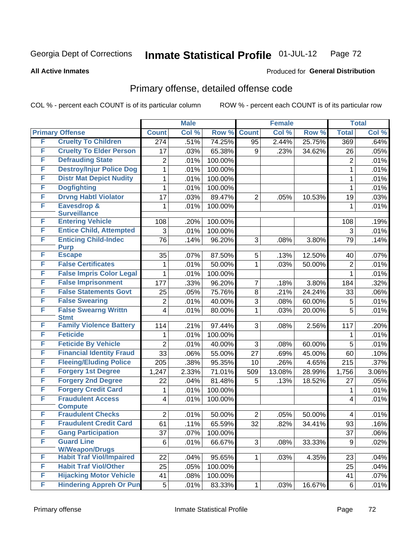**All Active Inmates**

## Produced for **General Distribution**

# Primary offense, detailed offense code

|   |                                                          |                 | <b>Male</b> |         |                 | <b>Female</b> |        |                 | <b>Total</b> |
|---|----------------------------------------------------------|-----------------|-------------|---------|-----------------|---------------|--------|-----------------|--------------|
|   | <b>Primary Offense</b>                                   | <b>Count</b>    | Col %       | Row %   | <b>Count</b>    | Col %         | Row %  | <b>Total</b>    | Col %        |
| F | <b>Cruelty To Children</b>                               | 274             | .51%        | 74.25%  | 95              | 2.44%         | 25.75% | 369             | .64%         |
| F | <b>Cruelty To Elder Person</b>                           | 17              | .03%        | 65.38%  | 9               | .23%          | 34.62% | 26              | .05%         |
| F | <b>Defrauding State</b>                                  | $\overline{2}$  | .01%        | 100.00% |                 |               |        | $\overline{2}$  | .01%         |
| F | <b>Destroy/Injur Police Dog</b>                          | 1               | .01%        | 100.00% |                 |               |        | 1               | .01%         |
| F | <b>Distr Mat Depict Nudity</b>                           | 1               | .01%        | 100.00% |                 |               |        | $\mathbf{1}$    | .01%         |
| F | <b>Dogfighting</b>                                       | 1               | .01%        | 100.00% |                 |               |        | 1               | .01%         |
| F | <b>Drvng Habtl Violator</b>                              | 17              | .03%        | 89.47%  | 2               | .05%          | 10.53% | 19              | .03%         |
| F | Eavesdrop &                                              | 1               | .01%        | 100.00% |                 |               |        | 1               | .01%         |
| F | <b>Surveillance</b><br><b>Entering Vehicle</b>           | 108             | .20%        | 100.00% |                 |               |        | 108             | .19%         |
| F | <b>Entice Child, Attempted</b>                           | 3               | .01%        | 100.00% |                 |               |        | 3               | .01%         |
| F | <b>Enticing Child-Indec</b>                              | 76              | .14%        | 96.20%  | 3               | .08%          | 3.80%  | 79              | .14%         |
|   | <b>Purp</b>                                              |                 |             |         |                 |               |        |                 |              |
| F | <b>Escape</b>                                            | 35              | .07%        | 87.50%  | 5               | .13%          | 12.50% | 40              | .07%         |
| F | <b>False Certificates</b>                                | 1               | .01%        | 50.00%  | 1               | .03%          | 50.00% | $\overline{2}$  | .01%         |
| F | <b>False Impris Color Legal</b>                          | 1               | .01%        | 100.00% |                 |               |        | 1               | .01%         |
| F | <b>False Imprisonment</b>                                | 177             | .33%        | 96.20%  | 7               | .18%          | 3.80%  | 184             | .32%         |
| F | <b>False Statements Govt</b>                             | 25              | .05%        | 75.76%  | 8               | .21%          | 24.24% | 33              | .06%         |
| F | <b>False Swearing</b>                                    | $\overline{2}$  | .01%        | 40.00%  | 3               | .08%          | 60.00% | 5               | .01%         |
| F | <b>False Swearng Writtn</b>                              | 4               | .01%        | 80.00%  | 1               | .03%          | 20.00% | 5               | .01%         |
| F | <b>Stmt</b><br><b>Family Violence Battery</b>            |                 |             |         | 3               |               |        |                 |              |
| F | <b>Feticide</b>                                          | 114             | .21%        | 97.44%  |                 | .08%          | 2.56%  | 117             | .20%         |
| F | <b>Feticide By Vehicle</b>                               | 1               | .01%        | 100.00% |                 |               |        | 1               | .01%         |
| F | <b>Financial Identity Fraud</b>                          | $\overline{2}$  | .01%        | 40.00%  | 3               | .08%          | 60.00% | 5               | .01%         |
| F | <b>Fleeing/Eluding Police</b>                            | 33              | .06%        | 55.00%  | 27              | .69%          | 45.00% | 60              | .10%         |
| F |                                                          | 205             | .38%        | 95.35%  | 10              | .26%          | 4.65%  | 215             | .37%         |
| F | <b>Forgery 1st Degree</b>                                | 1,247           | 2.33%       | 71.01%  | 509             | 13.08%        | 28.99% | 1,756           | 3.06%        |
| F | <b>Forgery 2nd Degree</b><br><b>Forgery Credit Card</b>  | 22              | .04%        | 81.48%  | 5               | .13%          | 18.52% | 27              | .05%         |
| F | <b>Fraudulent Access</b>                                 | 1               | .01%        | 100.00% |                 |               |        | 1               | .01%         |
|   | <b>Compute</b>                                           | 4               | .01%        | 100.00% |                 |               |        | 4               | .01%         |
| F | <b>Fraudulent Checks</b>                                 | $\overline{2}$  | .01%        | 50.00%  | $\overline{2}$  | .05%          | 50.00% | 4               | .01%         |
| F | <b>Fraudulent Credit Card</b>                            | $\overline{61}$ | .11%        | 65.59%  | $\overline{32}$ | .82%          | 34.41% | $\overline{93}$ | .16%         |
| F | <b>Gang Participation</b>                                | 37              | .07%        | 100.00% |                 |               |        | 37              | .06%         |
| F | <b>Guard Line</b>                                        | 6               | .01%        | 66.67%  | 3               | .08%          | 33.33% | 9               | .02%         |
| F | <b>W/Weapon/Drugs</b><br><b>Habit Traf Viol/Impaired</b> | 22              | .04%        | 95.65%  | 1               | .03%          | 4.35%  | 23              | .04%         |
| F | <b>Habit Traf Viol/Other</b>                             | 25              | .05%        | 100.00% |                 |               |        | 25              | .04%         |
| F | <b>Hijacking Motor Vehicle</b>                           | 41              | .08%        | 100.00% |                 |               |        | 41              | .07%         |
| F | <b>Hindering Appreh Or Pun</b>                           | 5               | .01%        | 83.33%  | 1               | .03%          | 16.67% | 6               | .01%         |
|   |                                                          |                 |             |         |                 |               |        |                 |              |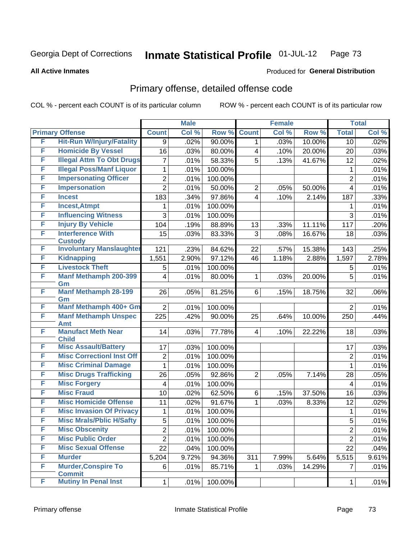**All Active Inmates**

#### Produced for **General Distribution**

## Primary offense, detailed offense code

|        |                                             |                 | <b>Male</b> |         |                         | <b>Female</b> |        |                | <b>Total</b> |
|--------|---------------------------------------------|-----------------|-------------|---------|-------------------------|---------------|--------|----------------|--------------|
|        | <b>Primary Offense</b>                      | <b>Count</b>    | Col %       | Row %   | <b>Count</b>            | Col %         | Row %  | <b>Total</b>   | Col %        |
| F      | <b>Hit-Run W/Injury/Fatality</b>            | 9               | .02%        | 90.00%  | 1                       | .03%          | 10.00% | 10             | .02%         |
| F      | <b>Homicide By Vessel</b>                   | 16              | .03%        | 80.00%  | 4                       | .10%          | 20.00% | 20             | .03%         |
| F      | <b>Illegal Attm To Obt Drugs</b>            | 7               | .01%        | 58.33%  | 5                       | .13%          | 41.67% | 12             | .02%         |
| F      | <b>Illegal Poss/Manf Liquor</b>             | 1               | .01%        | 100.00% |                         |               |        | 1              | .01%         |
| F      | <b>Impersonating Officer</b>                | $\overline{2}$  | .01%        | 100.00% |                         |               |        | $\overline{2}$ | .01%         |
| F      | <b>Impersonation</b>                        | $\overline{2}$  | .01%        | 50.00%  | 2                       | .05%          | 50.00% | 4              | .01%         |
| F      | <b>Incest</b>                               | 183             | .34%        | 97.86%  | 4                       | .10%          | 2.14%  | 187            | .33%         |
| F      | <b>Incest, Atmpt</b>                        |                 | .01%        | 100.00% |                         |               |        | 1              | .01%         |
| F      | <b>Influencing Witness</b>                  | 3               | .01%        | 100.00% |                         |               |        | 3              | .01%         |
| F      | <b>Injury By Vehicle</b>                    | 104             | .19%        | 88.89%  | 13                      | .33%          | 11.11% | 117            | .20%         |
| F      | <b>Interference With</b>                    | 15              | .03%        | 83.33%  | 3                       | .08%          | 16.67% | 18             | .03%         |
|        | <b>Custody</b>                              |                 |             |         |                         |               |        |                |              |
| F<br>F | <b>Involuntary Manslaughter</b>             | 121             | .23%        | 84.62%  | 22                      | .57%          | 15.38% | 143            | .25%         |
| F      | <b>Kidnapping</b><br><b>Livestock Theft</b> | 1,551           | 2.90%       | 97.12%  | 46                      | 1.18%         | 2.88%  | 1,597          | 2.78%        |
| F      |                                             | 5               | .01%        | 100.00% |                         |               |        | 5              | .01%         |
|        | <b>Manf Methamph 200-399</b><br>Gm          | 4               | .01%        | 80.00%  | 1                       | .03%          | 20.00% | 5              | .01%         |
| F      | <b>Manf Methamph 28-199</b>                 | 26              | .05%        | 81.25%  | 6                       | .15%          | 18.75% | 32             | .06%         |
|        | Gm                                          |                 |             |         |                         |               |        |                |              |
| F      | Manf Methamph 400+ Gm                       | $\overline{2}$  | .01%        | 100.00% |                         |               |        | $\overline{2}$ | .01%         |
| F      | <b>Manf Methamph Unspec</b>                 | 225             | .42%        | 90.00%  | 25                      | .64%          | 10.00% | 250            | .44%         |
| F      | Amt<br><b>Manufact Meth Near</b>            | 14              |             |         | $\overline{\mathbf{4}}$ |               |        |                |              |
|        | <b>Child</b>                                |                 | .03%        | 77.78%  |                         | .10%          | 22.22% | 18             | .03%         |
| F      | <b>Misc Assault/Battery</b>                 | 17              | .03%        | 100.00% |                         |               |        | 17             | .03%         |
| F      | <b>Misc CorrectionI Inst Off</b>            | $\overline{2}$  | .01%        | 100.00% |                         |               |        | $\overline{2}$ | .01%         |
| F      | <b>Misc Criminal Damage</b>                 | $\mathbf{1}$    | .01%        | 100.00% |                         |               |        | 1              | .01%         |
| F      | <b>Misc Drugs Trafficking</b>               | 26              | .05%        | 92.86%  | $\overline{2}$          | .05%          | 7.14%  | 28             | .05%         |
| F      | <b>Misc Forgery</b>                         | 4               | .01%        | 100.00% |                         |               |        | 4              | .01%         |
| F      | <b>Misc Fraud</b>                           | 10              | .02%        | 62.50%  | 6                       | .15%          | 37.50% | 16             | .03%         |
| F      | <b>Misc Homicide Offense</b>                | 11              | .02%        | 91.67%  | 1                       | .03%          | 8.33%  | 12             | .02%         |
| F      | <b>Misc Invasion Of Privacy</b>             | 1               | .01%        | 100.00% |                         |               |        | 1              | .01%         |
| F      | <b>Misc Mrals/Pblic H/Safty</b>             | 5               | .01%        | 100.00% |                         |               |        | $\overline{5}$ | .01%         |
| F      | <b>Misc Obscenity</b>                       | $\overline{2}$  | .01%        | 100.00% |                         |               |        | $\overline{2}$ | .01%         |
| F      | <b>Misc Public Order</b>                    | $\overline{2}$  | .01%        | 100.00% |                         |               |        | $\overline{2}$ | .01%         |
| F      | <b>Misc Sexual Offense</b>                  | $\overline{22}$ | .04%        | 100.00% |                         |               |        | 22             | .04%         |
| F      | <b>Murder</b>                               | 5,204           | 9.72%       | 94.36%  | 311                     | 7.99%         | 5.64%  | 5,515          | 9.61%        |
| F      | <b>Murder, Conspire To</b>                  | 6               | .01%        | 85.71%  | 1                       | .03%          | 14.29% | $\overline{7}$ | .01%         |
|        | <b>Commit</b>                               |                 |             |         |                         |               |        |                |              |
| F      | <b>Mutiny In Penal Inst</b>                 | $\mathbf{1}$    | .01%        | 100.00% |                         |               |        | 1              | .01%         |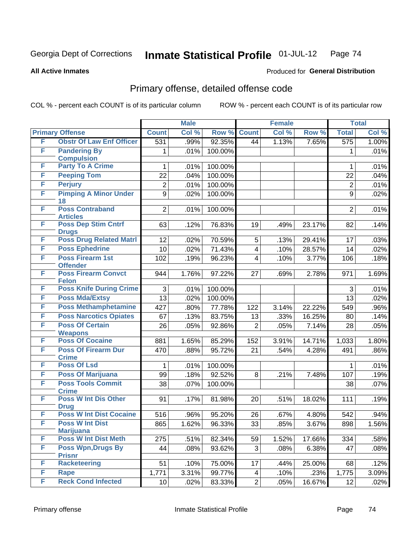#### **All Active Inmates**

# Produced for **General Distribution**

## Primary offense, detailed offense code

|   |                                            |                  | <b>Male</b> |         |                 | <b>Female</b> |        |                  | <b>Total</b> |
|---|--------------------------------------------|------------------|-------------|---------|-----------------|---------------|--------|------------------|--------------|
|   | <b>Primary Offense</b>                     | <b>Count</b>     | Col %       | Row %   | <b>Count</b>    | Col %         | Row %  | <b>Total</b>     | Col %        |
| F | <b>Obstr Of Law Enf Officer</b>            | $\overline{531}$ | .99%        | 92.35%  | 44              | 1.13%         | 7.65%  | $\overline{575}$ | 1.00%        |
| F | <b>Pandering By</b><br><b>Compulsion</b>   | 1                | .01%        | 100.00% |                 |               |        | 1                | .01%         |
| F | <b>Party To A Crime</b>                    | 1                | .01%        | 100.00% |                 |               |        | 1                | .01%         |
| F | <b>Peeping Tom</b>                         | 22               | .04%        | 100.00% |                 |               |        | 22               | .04%         |
| F | <b>Perjury</b>                             | $\overline{2}$   | .01%        | 100.00% |                 |               |        | $\overline{2}$   | .01%         |
| F | <b>Pimping A Minor Under</b><br>18         | 9                | .02%        | 100.00% |                 |               |        | 9                | .02%         |
| F | <b>Poss Contraband</b><br><b>Articles</b>  | $\overline{2}$   | .01%        | 100.00% |                 |               |        | $\overline{2}$   | .01%         |
| F | <b>Poss Dep Stim Cntrf</b><br><b>Drugs</b> | 63               | .12%        | 76.83%  | 19              | .49%          | 23.17% | 82               | .14%         |
| F | <b>Poss Drug Related Matri</b>             | 12               | .02%        | 70.59%  | 5               | .13%          | 29.41% | 17               | .03%         |
| F | <b>Poss Ephedrine</b>                      | 10               | .02%        | 71.43%  | 4               | .10%          | 28.57% | 14               | .02%         |
| F | <b>Poss Firearm 1st</b><br><b>Offender</b> | 102              | .19%        | 96.23%  | 4               | .10%          | 3.77%  | 106              | .18%         |
| F | <b>Poss Firearm Convct</b><br><b>Felon</b> | 944              | 1.76%       | 97.22%  | 27              | .69%          | 2.78%  | 971              | 1.69%        |
| F | <b>Poss Knife During Crime</b>             | 3                | .01%        | 100.00% |                 |               |        | 3                | .01%         |
| F | <b>Poss Mda/Extsy</b>                      | 13               | .02%        | 100.00% |                 |               |        | 13               | .02%         |
| F | <b>Poss Methamphetamine</b>                | 427              | .80%        | 77.78%  | 122             | 3.14%         | 22.22% | 549              | .96%         |
| F | <b>Poss Narcotics Opiates</b>              | 67               | .13%        | 83.75%  | 13              | .33%          | 16.25% | 80               | .14%         |
| F | <b>Poss Of Certain</b>                     | 26               | .05%        | 92.86%  | $\overline{2}$  | .05%          | 7.14%  | 28               | .05%         |
|   | <b>Weapons</b>                             |                  |             |         |                 |               |        |                  |              |
| F | <b>Poss Of Cocaine</b>                     | 881              | 1.65%       | 85.29%  | 152             | 3.91%         | 14.71% | 1,033            | 1.80%        |
| F | <b>Poss Of Firearm Dur</b><br><b>Crime</b> | 470              | .88%        | 95.72%  | 21              | .54%          | 4.28%  | 491              | .86%         |
| F | <b>Poss Of Lsd</b>                         | 1                | .01%        | 100.00% |                 |               |        | 1                | .01%         |
| F | <b>Poss Of Marijuana</b>                   | 99               | .18%        | 92.52%  | 8               | .21%          | 7.48%  | 107              | .19%         |
| F | <b>Poss Tools Commit</b><br><b>Crime</b>   | 38               | .07%        | 100.00% |                 |               |        | 38               | .07%         |
| F | <b>Poss W Int Dis Other</b><br><b>Drug</b> | 91               | .17%        | 81.98%  | 20              | .51%          | 18.02% | 111              | .19%         |
| F | <b>Poss W Int Dist Cocaine</b>             | 516              | .96%        | 95.20%  | 26              | .67%          | 4.80%  | 542              | .94%         |
| F | <b>Poss W Int Dist</b><br><b>Marijuana</b> | 865              | 1.62%       | 96.33%  | $\overline{33}$ | .85%          | 3.67%  | 898              | 1.56%        |
| F | <b>Poss W Int Dist Meth</b>                | 275              | .51%        | 82.34%  | 59              | 1.52%         | 17.66% | 334              | .58%         |
| F | <b>Poss Wpn, Drugs By</b><br><b>Prisnr</b> | 44               | .08%        | 93.62%  | 3               | .08%          | 6.38%  | 47               | .08%         |
| F | <b>Racketeering</b>                        | 51               | .10%        | 75.00%  | 17              | .44%          | 25.00% | 68               | .12%         |
| F | Rape                                       | 1,771            | 3.31%       | 99.77%  | 4               | .10%          | .23%   | 1,775            | 3.09%        |
| F | <b>Reck Cond Infected</b>                  | 10               | .02%        | 83.33%  | $\overline{2}$  | .05%          | 16.67% | 12               | .02%         |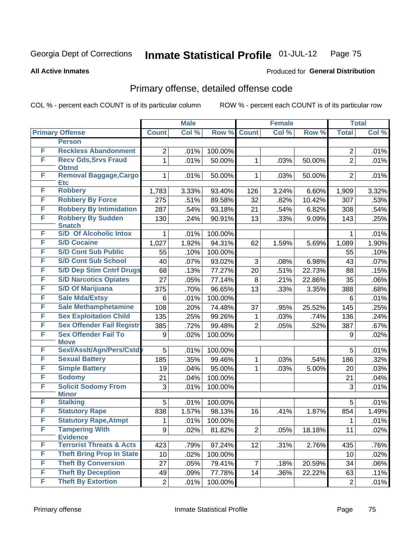#### **All Active Inmates**

## Produced for **General Distribution**

## Primary offense, detailed offense code

|   |                                                        |                | <b>Male</b> |         | <b>Female</b>  |       |        |                | <b>Total</b> |
|---|--------------------------------------------------------|----------------|-------------|---------|----------------|-------|--------|----------------|--------------|
|   | <b>Primary Offense</b>                                 | <b>Count</b>   | Col %       | Row %   | <b>Count</b>   | Col % | Row %  | <b>Total</b>   | Col %        |
|   | <b>Person</b>                                          |                |             |         |                |       |        |                |              |
| F | <b>Reckless Abandonment</b>                            | $\overline{2}$ | .01%        | 100.00% |                |       |        | $\overline{2}$ | .01%         |
| F | <b>Recv Gds, Srvs Fraud</b><br><b>Obtnd</b>            | $\mathbf{1}$   | .01%        | 50.00%  | $\mathbf 1$    | .03%  | 50.00% | $\overline{2}$ | .01%         |
| F | Removal Baggage, Cargo                                 | $\mathbf{1}$   | .01%        | 50.00%  | $\mathbf{1}$   | .03%  | 50.00% | $\overline{2}$ | .01%         |
|   | <b>Etc</b>                                             |                |             |         |                |       |        |                |              |
| F | <b>Robbery</b>                                         | 1,783          | 3.33%       | 93.40%  | 126            | 3.24% | 6.60%  | 1,909          | 3.32%        |
| F | <b>Robbery By Force</b>                                | 275            | .51%        | 89.58%  | 32             | .82%  | 10.42% | 307            | .53%         |
| F | <b>Robbery By Intimidation</b>                         | 287            | .54%        | 93.18%  | 21             | .54%  | 6.82%  | 308            | .54%         |
| F | <b>Robbery By Sudden</b>                               | 130            | .24%        | 90.91%  | 13             | .33%  | 9.09%  | 143            | .25%         |
| F | <b>Snatch</b><br><b>S/D Of Alcoholic Intox</b>         |                |             |         |                |       |        |                |              |
| F | <b>S/D Cocaine</b>                                     | $\mathbf{1}$   | .01%        | 100.00% |                |       |        | $\mathbf 1$    | .01%         |
| F | <b>S/D Cont Sub Public</b>                             | 1,027          | 1.92%       | 94.31%  | 62             | 1.59% | 5.69%  | 1,089          | 1.90%        |
| F |                                                        | 55             | .10%        | 100.00% |                |       |        | 55             | .10%         |
|   | <b>S/D Cont Sub School</b>                             | 40             | .07%        | 93.02%  | 3              | .08%  | 6.98%  | 43             | .07%         |
| F | <b>S/D Dep Stim Cntrf Drugs</b>                        | 68             | .13%        | 77.27%  | 20             | .51%  | 22.73% | 88             | .15%         |
| F | <b>S/D Narcotics Opiates</b>                           | 27             | .05%        | 77.14%  | 8              | .21%  | 22.86% | 35             | .06%         |
| F | <b>S/D Of Marijuana</b>                                | 375            | .70%        | 96.65%  | 13             | .33%  | 3.35%  | 388            | .68%         |
| F | <b>Sale Mda/Extsy</b>                                  | 6              | .01%        | 100.00% |                |       |        | 6              | .01%         |
| F | <b>Sale Methamphetamine</b>                            | 108            | .20%        | 74.48%  | 37             | .95%  | 25.52% | 145            | .25%         |
| F | <b>Sex Exploitation Child</b>                          | 135            | .25%        | 99.26%  | $\mathbf{1}$   | .03%  | .74%   | 136            | .24%         |
| F | <b>Sex Offender Fail Registr</b>                       | 385            | .72%        | 99.48%  | $\overline{2}$ | .05%  | .52%   | 387            | .67%         |
| F | <b>Sex Offender Fail To</b><br><b>Move</b>             | 9              | .02%        | 100.00% |                |       |        | 9              | .02%         |
| F | Sexl/Asslt/Agn/Pers/Cstd                               | 5              | .01%        | 100.00% |                |       |        | 5              | .01%         |
| F | <b>Sexual Battery</b>                                  | 185            | .35%        | 99.46%  | $\mathbf{1}$   | .03%  | .54%   | 186            | .32%         |
| F | <b>Simple Battery</b>                                  | 19             | .04%        | 95.00%  | $\mathbf{1}$   | .03%  | 5.00%  | 20             | .03%         |
| F | <b>Sodomy</b>                                          | 21             | .04%        | 100.00% |                |       |        | 21             | .04%         |
| F | <b>Solicit Sodomy From</b>                             | 3              | .01%        | 100.00% |                |       |        | 3              | .01%         |
|   | <b>Minor</b>                                           |                |             |         |                |       |        |                |              |
| F | <b>Stalking</b>                                        | 5              | .01%        | 100.00% |                |       |        | 5              | .01%         |
| F | <b>Statutory Rape</b>                                  | 838            | 1.57%       | 98.13%  | 16             | .41%  | 1.87%  | 854            | 1.49%        |
| F | <b>Statutory Rape, Atmpt</b>                           | $\mathbf{1}$   | .01%        | 100.00% |                |       |        | 1              | .01%         |
| F | <b>Tampering With</b>                                  | 9              | .02%        | 81.82%  | 2              | .05%  | 18.18% | 11             | .02%         |
| F | <b>Evidence</b><br><b>Terrorist Threats &amp; Acts</b> | 423            | .79%        | 97.24%  | 12             | .31%  | 2.76%  | 435            | .76%         |
| F | <b>Theft Bring Prop In State</b>                       | 10             | .02%        | 100.00% |                |       |        | 10             | .02%         |
| F | <b>Theft By Conversion</b>                             | 27             | .05%        | 79.41%  | $\overline{7}$ | .18%  | 20.59% | 34             | .06%         |
| F | <b>Theft By Deception</b>                              | 49             | .09%        | 77.78%  | 14             | .36%  | 22.22% | 63             | .11%         |
| F | <b>Theft By Extortion</b>                              | $\overline{2}$ | .01%        | 100.00% |                |       |        | $\overline{2}$ | .01%         |
|   |                                                        |                |             |         |                |       |        |                |              |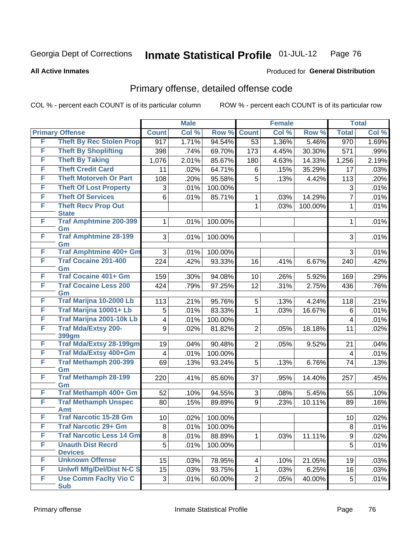**All Active Inmates**

#### Produced for **General Distribution**

## Primary offense, detailed offense code

|   |                                             |                         | <b>Male</b> |         |                | <b>Female</b> |         |                  | <b>Total</b> |
|---|---------------------------------------------|-------------------------|-------------|---------|----------------|---------------|---------|------------------|--------------|
|   | <b>Primary Offense</b>                      | <b>Count</b>            | Col %       | Row %   | <b>Count</b>   | Col %         | Row %   | <b>Total</b>     | Col %        |
| F | <b>Theft By Rec Stolen Prop</b>             | $\overline{917}$        | 1.71%       | 94.54%  | 53             | 1.36%         | 5.46%   | $\overline{970}$ | 1.69%        |
| F | <b>Theft By Shoplifting</b>                 | 398                     | .74%        | 69.70%  | 173            | 4.45%         | 30.30%  | 571              | .99%         |
| F | <b>Theft By Taking</b>                      | 1,076                   | 2.01%       | 85.67%  | 180            | 4.63%         | 14.33%  | 1,256            | 2.19%        |
| F | <b>Theft Credit Card</b>                    | 11                      | .02%        | 64.71%  | 6              | .15%          | 35.29%  | 17               | .03%         |
| F | <b>Theft Motorveh Or Part</b>               | 108                     | .20%        | 95.58%  | 5              | .13%          | 4.42%   | 113              | .20%         |
| F | <b>Theft Of Lost Property</b>               | 3                       | .01%        | 100.00% |                |               |         | 3                | .01%         |
| F | <b>Theft Of Services</b>                    | 6                       | .01%        | 85.71%  | 1              | .03%          | 14.29%  | $\overline{7}$   | .01%         |
| F | <b>Theft Recv Prop Out</b><br><b>State</b>  |                         |             |         | $\mathbf{1}$   | .03%          | 100.00% | $\mathbf{1}$     | .01%         |
| F | <b>Traf Amphtmine 200-399</b><br>Gm         | 1                       | .01%        | 100.00% |                |               |         | 1                | .01%         |
| F | <b>Traf Amphtmine 28-199</b><br>Gm          | 3                       | .01%        | 100.00% |                |               |         | 3                | .01%         |
| F | <b>Traf Amphtmine 400+ Gm</b>               | 3                       | .01%        | 100.00% |                |               |         | 3                | .01%         |
| F | <b>Traf Cocaine 201-400</b><br>Gm           | 224                     | .42%        | 93.33%  | 16             | .41%          | 6.67%   | 240              | .42%         |
| F | <b>Traf Cocaine 401+ Gm</b>                 | 159                     | .30%        | 94.08%  | 10             | .26%          | 5.92%   | 169              | .29%         |
| F | <b>Traf Cocaine Less 200</b>                | 424                     | .79%        | 97.25%  | 12             | .31%          | 2.75%   | 436              | .76%         |
|   | Gm                                          |                         |             |         |                |               |         |                  |              |
| F | Traf Marijna 10-2000 Lb                     | 113                     | .21%        | 95.76%  | 5              | .13%          | 4.24%   | 118              | .21%         |
| F | Traf Marijna 10001+ Lb                      | 5                       | .01%        | 83.33%  | 1              | .03%          | 16.67%  | 6                | .01%         |
| F | Traf Marijna 2001-10k Lb                    | 4                       | .01%        | 100.00% |                |               |         | 4                | .01%         |
| F | <b>Traf Mda/Extsy 200-</b><br>399gm         | 9                       | .02%        | 81.82%  | $\overline{2}$ | .05%          | 18.18%  | 11               | .02%         |
| F | <b>Traf Mda/Extsy 28-199gm</b>              | 19                      | .04%        | 90.48%  | $\overline{2}$ | .05%          | 9.52%   | 21               | .04%         |
| F | Traf Mda/Extsy 400+Gm                       | $\overline{\mathbf{4}}$ | .01%        | 100.00% |                |               |         | 4                | .01%         |
| F | <b>Traf Methamph 200-399</b><br>Gm          | 69                      | .13%        | 93.24%  | 5              | .13%          | 6.76%   | 74               | .13%         |
| F | <b>Traf Methamph 28-199</b><br>Gm           | 220                     | .41%        | 85.60%  | 37             | .95%          | 14.40%  | 257              | .45%         |
| F | Traf Methamph 400+ Gm                       | 52                      | .10%        | 94.55%  | 3              | .08%          | 5.45%   | 55               | .10%         |
| F | <b>Traf Methamph Unspec</b>                 | 80                      | .15%        | 89.89%  | 9              | .23%          | 10.11%  | 89               | .16%         |
| F | <b>Amt</b><br><b>Traf Narcotic 15-28 Gm</b> | 10                      | .02%        | 100.00% |                |               |         | 10               | .02%         |
| F | <b>Traf Narcotic 29+ Gm</b>                 | 8                       | .01%        | 100.00% |                |               |         | 8                | .01%         |
| F | <b>Traf Narcotic Less 14 Gm</b>             | 8                       | .01%        | 88.89%  | 1              | .03%          | 11.11%  | 9                | .02%         |
| F | <b>Unauth Dist Recrd</b>                    | 5                       | .01%        | 100.00% |                |               |         | 5                | .01%         |
|   | <b>Devices</b>                              |                         |             |         |                |               |         |                  |              |
| F | <b>Unknown Offense</b>                      | 15                      | .03%        | 78.95%  | 4              | .10%          | 21.05%  | 19               | .03%         |
| F | <b>Uniwfl Mfg/Del/Dist N-C S</b>            | 15                      | .03%        | 93.75%  | 1              | .03%          | 6.25%   | 16               | .03%         |
| F | <b>Use Comm Facity Vio C</b>                | 3                       | .01%        | 60.00%  | $\overline{2}$ | .05%          | 40.00%  | 5                | .01%         |
|   | <b>Sub</b>                                  |                         |             |         |                |               |         |                  |              |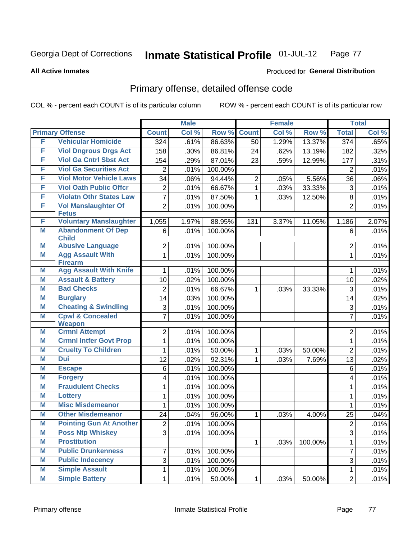**All Active Inmates**

#### Produced for **General Distribution**

## Primary offense, detailed offense code

|        |                                                    |                     | <b>Male</b> |         |                | <b>Female</b> |         |                     | <b>Total</b> |
|--------|----------------------------------------------------|---------------------|-------------|---------|----------------|---------------|---------|---------------------|--------------|
|        | <b>Primary Offense</b>                             | <b>Count</b>        | Col %       | Row %   | <b>Count</b>   | Col %         | Row %   | <b>Total</b>        | Col %        |
| F      | <b>Vehicular Homicide</b>                          | 324                 | .61%        | 86.63%  | 50             | 1.29%         | 13.37%  | $\overline{374}$    | .65%         |
| F      | <b>Viol Dngrous Drgs Act</b>                       | 158                 | .30%        | 86.81%  | 24             | .62%          | 13.19%  | 182                 | .32%         |
| F      | <b>Viol Ga Cntrl Sbst Act</b>                      | 154                 | .29%        | 87.01%  | 23             | .59%          | 12.99%  | 177                 | .31%         |
| F      | <b>Viol Ga Securities Act</b>                      | 2                   | .01%        | 100.00% |                |               |         | $\overline{2}$      | .01%         |
| F      | <b>Viol Motor Vehicle Laws</b>                     | 34                  | .06%        | 94.44%  | $\overline{2}$ | .05%          | 5.56%   | 36                  | .06%         |
| F      | <b>Viol Oath Public Offcr</b>                      | 2                   | .01%        | 66.67%  | 1              | .03%          | 33.33%  | 3                   | .01%         |
| F      | <b>Violatn Othr States Law</b>                     | 7                   | .01%        | 87.50%  | 1              | .03%          | 12.50%  | 8                   | .01%         |
| F      | <b>Vol Manslaughter Of</b><br><b>Fetus</b>         | $\overline{2}$      | .01%        | 100.00% |                |               |         | $\overline{2}$      | .01%         |
| F      | <b>Voluntary Manslaughter</b>                      | 1,055               | 1.97%       | 88.95%  | 131            | 3.37%         | 11.05%  | 1,186               | 2.07%        |
| Μ      | <b>Abandonment Of Dep</b><br><b>Child</b>          | 6                   | .01%        | 100.00% |                |               |         | 6                   | .01%         |
| Μ      | <b>Abusive Language</b>                            | $\overline{2}$      | .01%        | 100.00% |                |               |         | 2                   | .01%         |
| M      | <b>Agg Assault With</b>                            | $\mathbf{1}$        | .01%        | 100.00% |                |               |         | $\mathbf{1}$        | .01%         |
|        | <b>Firearm</b>                                     |                     |             |         |                |               |         |                     |              |
| Μ      | <b>Agg Assault With Knife</b>                      | 1                   | .01%        | 100.00% |                |               |         | 1                   | .01%         |
| Μ<br>Μ | <b>Assault &amp; Battery</b><br><b>Bad Checks</b>  | 10                  | .02%        | 100.00% |                |               |         | 10                  | .02%         |
|        |                                                    | $\overline{2}$      | .01%        | 66.67%  | 1              | .03%          | 33.33%  | 3                   | .01%         |
| Μ<br>Μ | <b>Burglary</b><br><b>Cheating &amp; Swindling</b> | 14                  | .03%        | 100.00% |                |               |         | 14                  | .02%         |
| M      | <b>Cpwl &amp; Concealed</b>                        | 3<br>$\overline{7}$ | .01%        | 100.00% |                |               |         | 3<br>$\overline{7}$ | .01%         |
|        | <b>Weapon</b>                                      |                     | .01%        | 100.00% |                |               |         |                     | .01%         |
| Μ      | <b>Crmnl Attempt</b>                               | $\overline{2}$      | .01%        | 100.00% |                |               |         | $\overline{2}$      | .01%         |
| M      | <b>Crmnl Intfer Govt Prop</b>                      | 1                   | .01%        | 100.00% |                |               |         | $\mathbf{1}$        | .01%         |
| M      | <b>Cruelty To Children</b>                         | 1                   | .01%        | 50.00%  | 1              | .03%          | 50.00%  | $\overline{2}$      | .01%         |
| M      | Dui                                                | 12                  | .02%        | 92.31%  | 1              | .03%          | 7.69%   | 13                  | .02%         |
| M      | <b>Escape</b>                                      | 6                   | .01%        | 100.00% |                |               |         | 6                   | .01%         |
| Μ      | <b>Forgery</b>                                     | 4                   | .01%        | 100.00% |                |               |         | 4                   | .01%         |
| M      | <b>Fraudulent Checks</b>                           | 1                   | .01%        | 100.00% |                |               |         | $\mathbf{1}$        | .01%         |
| M      | <b>Lottery</b>                                     | 1                   | .01%        | 100.00% |                |               |         | $\mathbf{1}$        | .01%         |
| M      | <b>Misc Misdemeanor</b>                            | 1                   | .01%        | 100.00% |                |               |         | 1                   | .01%         |
| M      | <b>Other Misdemeanor</b>                           | 24                  | .04%        | 96.00%  | 1              | .03%          | 4.00%   | 25                  | .04%         |
| M      | <b>Pointing Gun At Another</b>                     | $\overline{2}$      | .01%        | 100.00% |                |               |         | $\overline{2}$      | .01%         |
| M      | <b>Poss Ntp Whiskey</b>                            | 3                   | .01%        | 100.00% |                |               |         | $\overline{3}$      | .01%         |
| M      | <b>Prostitution</b>                                |                     |             |         | $\mathbf{1}$   | .03%          | 100.00% | 1                   | .01%         |
| M      | <b>Public Drunkenness</b>                          | 7                   | .01%        | 100.00% |                |               |         | $\overline{7}$      | .01%         |
| M      | <b>Public Indecency</b>                            | $\overline{3}$      | .01%        | 100.00% |                |               |         | $\overline{3}$      | .01%         |
| M      | <b>Simple Assault</b>                              | $\mathbf 1$         | .01%        | 100.00% |                |               |         | 1                   | .01%         |
| M      | <b>Simple Battery</b>                              | $\mathbf 1$         | .01%        | 50.00%  | $\mathbf{1}$   | .03%          | 50.00%  | $\overline{2}$      | .01%         |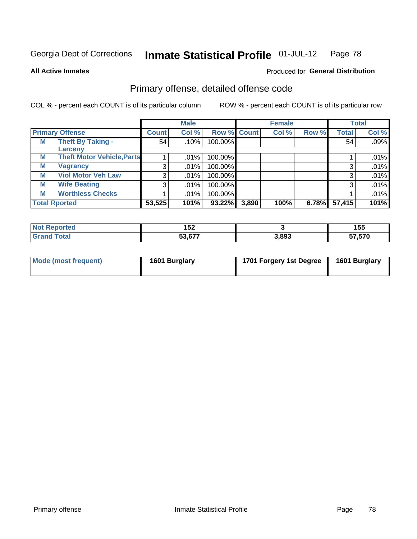**All Active Inmates**

#### Produced for **General Distribution**

## Primary offense, detailed offense code

|   |                                   |                | <b>Male</b> |         |             | <b>Female</b> |       |              | <b>Total</b> |
|---|-----------------------------------|----------------|-------------|---------|-------------|---------------|-------|--------------|--------------|
|   | <b>Primary Offense</b>            | <b>Count</b>   | Col %       |         | Row % Count | Col %         | Row % | <b>Total</b> | Col %        |
| M | <b>Theft By Taking -</b>          | 54             | $.10\%$     | 100.00% |             |               |       | 54           | .09%         |
|   | Larceny                           |                |             |         |             |               |       |              |              |
| M | <b>Theft Motor Vehicle, Parts</b> |                | $.01\%$     | 100.00% |             |               |       |              | .01%         |
| Μ | <b>Vagrancy</b>                   | 3 <sub>1</sub> | $.01\%$     | 100.00% |             |               |       | 3            | .01%         |
| М | <b>Viol Motor Veh Law</b>         | 3              | $.01\%$     | 100.00% |             |               |       | 3            | .01%         |
| M | <b>Wife Beating</b>               | 3              | $.01\%$     | 100.00% |             |               |       | 3            | .01%         |
| М | <b>Worthless Checks</b>           |                | $.01\%$     | 100.00% |             |               |       |              | .01%         |
|   | <b>Total Rported</b>              | 53,525         | 101%        | 93.22%  | 3,890       | 100%          | 6.78% | 57,415       | 101%         |

| е | .<br>IJŁ |       | 1 E E<br>יי<br>- -    |
|---|----------|-------|-----------------------|
|   | こつ ビフフ   | 3,893 | $F = F = 0$<br>7.57 U |

| Mode (most frequent) | 1601 Burglary | 1701 Forgery 1st Degree | 1601 Burglary |
|----------------------|---------------|-------------------------|---------------|
|----------------------|---------------|-------------------------|---------------|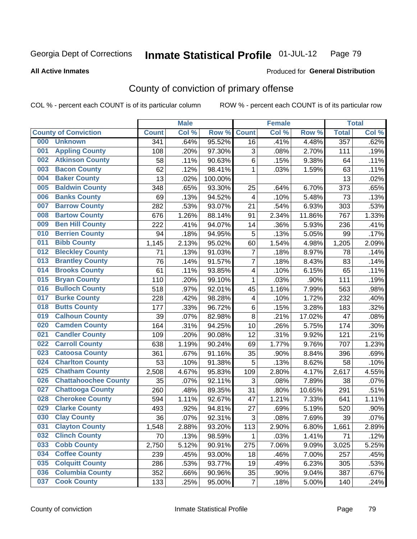**All Active Inmates**

#### Produced for **General Distribution**

## County of conviction of primary offense

|     |                             |              | <b>Male</b> |         |                | <b>Female</b> |        |              | <b>Total</b> |
|-----|-----------------------------|--------------|-------------|---------|----------------|---------------|--------|--------------|--------------|
|     | <b>County of Conviction</b> | <b>Count</b> | Col %       | Row %   | <b>Count</b>   | Col %         | Row %  | <b>Total</b> | Col %        |
| 000 | <b>Unknown</b>              | 341          | .64%        | 95.52%  | 16             | .41%          | 4.48%  | 357          | .62%         |
| 001 | <b>Appling County</b>       | 108          | .20%        | 97.30%  | 3              | .08%          | 2.70%  | 111          | .19%         |
| 002 | <b>Atkinson County</b>      | 58           | .11%        | 90.63%  | 6              | .15%          | 9.38%  | 64           | .11%         |
| 003 | <b>Bacon County</b>         | 62           | .12%        | 98.41%  | 1              | .03%          | 1.59%  | 63           | .11%         |
| 004 | <b>Baker County</b>         | 13           | .02%        | 100.00% |                |               |        | 13           | .02%         |
| 005 | <b>Baldwin County</b>       | 348          | .65%        | 93.30%  | 25             | .64%          | 6.70%  | 373          | .65%         |
| 006 | <b>Banks County</b>         | 69           | .13%        | 94.52%  | $\overline{4}$ | .10%          | 5.48%  | 73           | .13%         |
| 007 | <b>Barrow County</b>        | 282          | .53%        | 93.07%  | 21             | .54%          | 6.93%  | 303          | .53%         |
| 008 | <b>Bartow County</b>        | 676          | 1.26%       | 88.14%  | 91             | 2.34%         | 11.86% | 767          | 1.33%        |
| 009 | <b>Ben Hill County</b>      | 222          | .41%        | 94.07%  | 14             | .36%          | 5.93%  | 236          | .41%         |
| 010 | <b>Berrien County</b>       | 94           | .18%        | 94.95%  | 5              | .13%          | 5.05%  | 99           | .17%         |
| 011 | <b>Bibb County</b>          | 1,145        | 2.13%       | 95.02%  | 60             | 1.54%         | 4.98%  | 1,205        | 2.09%        |
| 012 | <b>Bleckley County</b>      | 71           | .13%        | 91.03%  | $\overline{7}$ | .18%          | 8.97%  | 78           | .14%         |
| 013 | <b>Brantley County</b>      | 76           | .14%        | 91.57%  | $\overline{7}$ | .18%          | 8.43%  | 83           | .14%         |
| 014 | <b>Brooks County</b>        | 61           | .11%        | 93.85%  | 4              | .10%          | 6.15%  | 65           | .11%         |
| 015 | <b>Bryan County</b>         | 110          | .20%        | 99.10%  | 1              | .03%          | .90%   | 111          | .19%         |
| 016 | <b>Bulloch County</b>       | 518          | .97%        | 92.01%  | 45             | 1.16%         | 7.99%  | 563          | .98%         |
| 017 | <b>Burke County</b>         | 228          | .42%        | 98.28%  | 4              | .10%          | 1.72%  | 232          | .40%         |
| 018 | <b>Butts County</b>         | 177          | .33%        | 96.72%  | 6              | .15%          | 3.28%  | 183          | .32%         |
| 019 | <b>Calhoun County</b>       | 39           | .07%        | 82.98%  | $\, 8$         | .21%          | 17.02% | 47           | .08%         |
| 020 | <b>Camden County</b>        | 164          | .31%        | 94.25%  | 10             | .26%          | 5.75%  | 174          | .30%         |
| 021 | <b>Candler County</b>       | 109          | .20%        | 90.08%  | 12             | .31%          | 9.92%  | 121          | .21%         |
| 022 | <b>Carroll County</b>       | 638          | 1.19%       | 90.24%  | 69             | 1.77%         | 9.76%  | 707          | 1.23%        |
| 023 | <b>Catoosa County</b>       | 361          | .67%        | 91.16%  | 35             | .90%          | 8.84%  | 396          | .69%         |
| 024 | <b>Charlton County</b>      | 53           | .10%        | 91.38%  | 5              | .13%          | 8.62%  | 58           | .10%         |
| 025 | <b>Chatham County</b>       | 2,508        | 4.67%       | 95.83%  | 109            | 2.80%         | 4.17%  | 2,617        | 4.55%        |
| 026 | <b>Chattahoochee County</b> | 35           | .07%        | 92.11%  | 3              | .08%          | 7.89%  | 38           | .07%         |
| 027 | <b>Chattooga County</b>     | 260          | .48%        | 89.35%  | 31             | .80%          | 10.65% | 291          | .51%         |
| 028 | <b>Cherokee County</b>      | 594          | 1.11%       | 92.67%  | 47             | 1.21%         | 7.33%  | 641          | 1.11%        |
| 029 | <b>Clarke County</b>        | 493          | .92%        | 94.81%  | 27             | .69%          | 5.19%  | 520          | .90%         |
| 030 | <b>Clay County</b>          | 36           | .07%        | 92.31%  | 3              | .08%          | 7.69%  | 39           | .07%         |
| 031 | <b>Clayton County</b>       | 1,548        | 2.88%       | 93.20%  | 113            | 2.90%         | 6.80%  | 1,661        | 2.89%        |
| 032 | <b>Clinch County</b>        | 70           | .13%        | 98.59%  | 1              | .03%          | 1.41%  | 71           | .12%         |
| 033 | <b>Cobb County</b>          | 2,750        | 5.12%       | 90.91%  | 275            | 7.06%         | 9.09%  | 3,025        | 5.25%        |
| 034 | <b>Coffee County</b>        | 239          | .45%        | 93.00%  | 18             | .46%          | 7.00%  | 257          | .45%         |
| 035 | <b>Colquitt County</b>      | 286          | .53%        | 93.77%  | 19             | .49%          | 6.23%  | 305          | .53%         |
| 036 | <b>Columbia County</b>      | 352          | .66%        | 90.96%  | 35             | .90%          | 9.04%  | 387          | .67%         |
| 037 | <b>Cook County</b>          | 133          | .25%        | 95.00%  | $\overline{7}$ | .18%          | 5.00%  | 140          | .24%         |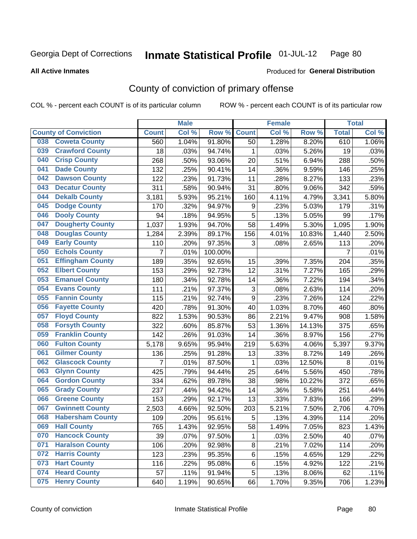#### **All Active Inmates**

#### Produced for **General Distribution**

## County of conviction of primary offense

|                                |              | <b>Male</b> |         |              | <b>Female</b> |        |                | <b>Total</b> |
|--------------------------------|--------------|-------------|---------|--------------|---------------|--------|----------------|--------------|
| <b>County of Conviction</b>    | <b>Count</b> | Col %       | Row %   | <b>Count</b> | Col %         | Row %  | <b>Total</b>   | Col %        |
| <b>Coweta County</b><br>038    | 560          | 1.04%       | 91.80%  | 50           | 1.28%         | 8.20%  | 610            | 1.06%        |
| <b>Crawford County</b><br>039  | 18           | .03%        | 94.74%  | 1            | .03%          | 5.26%  | 19             | .03%         |
| <b>Crisp County</b><br>040     | 268          | .50%        | 93.06%  | 20           | .51%          | 6.94%  | 288            | .50%         |
| <b>Dade County</b><br>041      | 132          | .25%        | 90.41%  | 14           | .36%          | 9.59%  | 146            | .25%         |
| <b>Dawson County</b><br>042    | 122          | .23%        | 91.73%  | 11           | .28%          | 8.27%  | 133            | .23%         |
| 043<br><b>Decatur County</b>   | 311          | .58%        | 90.94%  | 31           | .80%          | 9.06%  | 342            | .59%         |
| <b>Dekalb County</b><br>044    | 3,181        | 5.93%       | 95.21%  | 160          | 4.11%         | 4.79%  | 3,341          | 5.80%        |
| <b>Dodge County</b><br>045     | 170          | .32%        | 94.97%  | 9            | .23%          | 5.03%  | 179            | .31%         |
| <b>Dooly County</b><br>046     | 94           | .18%        | 94.95%  | 5            | .13%          | 5.05%  | 99             | .17%         |
| <b>Dougherty County</b><br>047 | 1,037        | 1.93%       | 94.70%  | 58           | 1.49%         | 5.30%  | 1,095          | 1.90%        |
| <b>Douglas County</b><br>048   | 1,284        | 2.39%       | 89.17%  | 156          | 4.01%         | 10.83% | 1,440          | 2.50%        |
| <b>Early County</b><br>049     | 110          | .20%        | 97.35%  | 3            | .08%          | 2.65%  | 113            | .20%         |
| <b>Echols County</b><br>050    | 7            | .01%        | 100.00% |              |               |        | $\overline{7}$ | .01%         |
| <b>Effingham County</b><br>051 | 189          | .35%        | 92.65%  | 15           | .39%          | 7.35%  | 204            | .35%         |
| <b>Elbert County</b><br>052    | 153          | .29%        | 92.73%  | 12           | .31%          | 7.27%  | 165            | .29%         |
| <b>Emanuel County</b><br>053   | 180          | .34%        | 92.78%  | 14           | .36%          | 7.22%  | 194            | .34%         |
| <b>Evans County</b><br>054     | 111          | .21%        | 97.37%  | 3            | .08%          | 2.63%  | 114            | .20%         |
| <b>Fannin County</b><br>055    | 115          | .21%        | 92.74%  | 9            | .23%          | 7.26%  | 124            | .22%         |
| <b>Fayette County</b><br>056   | 420          | .78%        | 91.30%  | 40           | 1.03%         | 8.70%  | 460            | .80%         |
| <b>Floyd County</b><br>057     | 822          | 1.53%       | 90.53%  | 86           | 2.21%         | 9.47%  | 908            | 1.58%        |
| <b>Forsyth County</b><br>058   | 322          | .60%        | 85.87%  | 53           | 1.36%         | 14.13% | 375            | .65%         |
| <b>Franklin County</b><br>059  | 142          | .26%        | 91.03%  | 14           | .36%          | 8.97%  | 156            | .27%         |
| <b>Fulton County</b><br>060    | 5,178        | 9.65%       | 95.94%  | 219          | 5.63%         | 4.06%  | 5,397          | 9.37%        |
| <b>Gilmer County</b><br>061    | 136          | .25%        | 91.28%  | 13           | .33%          | 8.72%  | 149            | .26%         |
| <b>Glascock County</b><br>062  | 7            | .01%        | 87.50%  | $\mathbf{1}$ | .03%          | 12.50% | 8              | .01%         |
| <b>Glynn County</b><br>063     | 425          | .79%        | 94.44%  | 25           | .64%          | 5.56%  | 450            | .78%         |
| <b>Gordon County</b><br>064    | 334          | .62%        | 89.78%  | 38           | .98%          | 10.22% | 372            | .65%         |
| 065<br><b>Grady County</b>     | 237          | .44%        | 94.42%  | 14           | .36%          | 5.58%  | 251            | .44%         |
| <b>Greene County</b><br>066    | 153          | .29%        | 92.17%  | 13           | .33%          | 7.83%  | 166            | .29%         |
| <b>Gwinnett County</b><br>067  | 2,503        | 4.66%       | 92.50%  | 203          | 5.21%         | 7.50%  | 2,706          | 4.70%        |
| <b>Habersham County</b><br>068 | 109          | .20%        | 95.61%  | 5            | .13%          | 4.39%  | 114            | .20%         |
| <b>Hall County</b><br>069      | 765          | 1.43%       | 92.95%  | 58           | 1.49%         | 7.05%  | 823            | 1.43%        |
| <b>Hancock County</b><br>070   | 39           | .07%        | 97.50%  | 1            | .03%          | 2.50%  | 40             | .07%         |
| <b>Haralson County</b><br>071  | 106          | .20%        | 92.98%  | 8            | .21%          | 7.02%  | 114            | .20%         |
| <b>Harris County</b><br>072    | 123          | .23%        | 95.35%  | 6            | .15%          | 4.65%  | 129            | .22%         |
| <b>Hart County</b><br>073      | 116          | .22%        | 95.08%  | 6            | .15%          | 4.92%  | 122            | .21%         |
| <b>Heard County</b><br>074     | 57           | .11%        | 91.94%  | 5            | .13%          | 8.06%  | 62             | .11%         |
| <b>Henry County</b><br>075     | 640          | 1.19%       | 90.65%  | 66           | 1.70%         | 9.35%  | 706            | 1.23%        |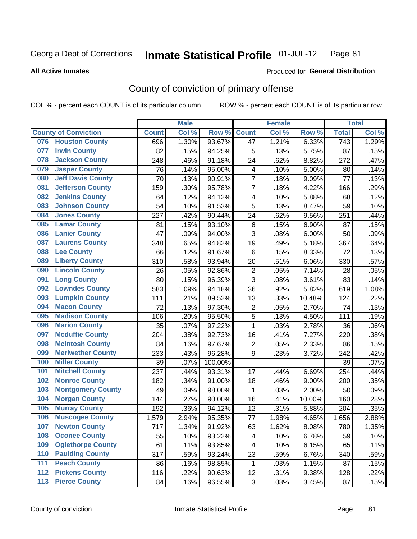#### **All Active Inmates**

#### Produced for **General Distribution**

## County of conviction of primary offense

|                                 |              | <b>Male</b> |         |                         | <b>Female</b> |        |                  | <b>Total</b> |
|---------------------------------|--------------|-------------|---------|-------------------------|---------------|--------|------------------|--------------|
| <b>County of Conviction</b>     | <b>Count</b> | Col %       | Row %   | <b>Count</b>            | Col %         | Row %  | <b>Total</b>     | Col %        |
| <b>Houston County</b><br>076    | 696          | 1.30%       | 93.67%  | 47                      | 1.21%         | 6.33%  | $\overline{743}$ | 1.29%        |
| <b>Irwin County</b><br>077      | 82           | .15%        | 94.25%  | 5                       | .13%          | 5.75%  | 87               | .15%         |
| <b>Jackson County</b><br>078    | 248          | .46%        | 91.18%  | 24                      | .62%          | 8.82%  | 272              | .47%         |
| <b>Jasper County</b><br>079     | 76           | .14%        | 95.00%  | $\overline{\mathbf{4}}$ | .10%          | 5.00%  | 80               | .14%         |
| <b>Jeff Davis County</b><br>080 | 70           | .13%        | 90.91%  | $\overline{7}$          | .18%          | 9.09%  | 77               | .13%         |
| <b>Jefferson County</b><br>081  | 159          | .30%        | 95.78%  | $\overline{7}$          | .18%          | 4.22%  | 166              | .29%         |
| <b>Jenkins County</b><br>082    | 64           | .12%        | 94.12%  | 4                       | .10%          | 5.88%  | 68               | .12%         |
| <b>Johnson County</b><br>083    | 54           | .10%        | 91.53%  | 5                       | .13%          | 8.47%  | 59               | .10%         |
| <b>Jones County</b><br>084      | 227          | .42%        | 90.44%  | 24                      | .62%          | 9.56%  | 251              | .44%         |
| <b>Lamar County</b><br>085      | 81           | .15%        | 93.10%  | 6                       | .15%          | 6.90%  | 87               | .15%         |
| <b>Lanier County</b><br>086     | 47           | .09%        | 94.00%  | 3                       | .08%          | 6.00%  | 50               | .09%         |
| <b>Laurens County</b><br>087    | 348          | .65%        | 94.82%  | 19                      | .49%          | 5.18%  | 367              | .64%         |
| <b>Lee County</b><br>088        | 66           | .12%        | 91.67%  | 6                       | .15%          | 8.33%  | 72               | .13%         |
| <b>Liberty County</b><br>089    | 310          | .58%        | 93.94%  | 20                      | .51%          | 6.06%  | 330              | .57%         |
| <b>Lincoln County</b><br>090    | 26           | .05%        | 92.86%  | $\mathbf 2$             | .05%          | 7.14%  | 28               | .05%         |
| <b>Long County</b><br>091       | 80           | .15%        | 96.39%  | 3                       | .08%          | 3.61%  | 83               | .14%         |
| <b>Lowndes County</b><br>092    | 583          | 1.09%       | 94.18%  | 36                      | .92%          | 5.82%  | 619              | 1.08%        |
| <b>Lumpkin County</b><br>093    | 111          | .21%        | 89.52%  | 13                      | .33%          | 10.48% | 124              | .22%         |
| <b>Macon County</b><br>094      | 72           | .13%        | 97.30%  | $\overline{2}$          | .05%          | 2.70%  | 74               | .13%         |
| <b>Madison County</b><br>095    | 106          | .20%        | 95.50%  | 5                       | .13%          | 4.50%  | 111              | .19%         |
| <b>Marion County</b><br>096     | 35           | .07%        | 97.22%  | $\mathbf{1}$            | .03%          | 2.78%  | 36               | .06%         |
| <b>Mcduffie County</b><br>097   | 204          | .38%        | 92.73%  | 16                      | .41%          | 7.27%  | 220              | .38%         |
| <b>Mcintosh County</b><br>098   | 84           | .16%        | 97.67%  | $\overline{2}$          | .05%          | 2.33%  | 86               | .15%         |
| <b>Meriwether County</b><br>099 | 233          | .43%        | 96.28%  | 9                       | .23%          | 3.72%  | 242              | .42%         |
| <b>Miller County</b><br>100     | 39           | .07%        | 100.00% |                         |               |        | 39               | .07%         |
| <b>Mitchell County</b><br>101   | 237          | .44%        | 93.31%  | 17                      | .44%          | 6.69%  | 254              | .44%         |
| <b>Monroe County</b><br>102     | 182          | .34%        | 91.00%  | 18                      | .46%          | 9.00%  | 200              | .35%         |
| <b>Montgomery County</b><br>103 | 49           | .09%        | 98.00%  | 1                       | .03%          | 2.00%  | 50               | .09%         |
| <b>Morgan County</b><br>104     | 144          | .27%        | 90.00%  | 16                      | .41%          | 10.00% | 160              | .28%         |
| <b>Murray County</b><br>105     | 192          | .36%        | 94.12%  | 12                      | .31%          | 5.88%  | 204              | .35%         |
| <b>Muscogee County</b><br>106   | 1,579        | 2.94%       | 95.35%  | 77                      | 1.98%         | 4.65%  | 1,656            | 2.88%        |
| 107<br><b>Newton County</b>     | 717          | 1.34%       | 91.92%  | 63                      | 1.62%         | 8.08%  | 780              | 1.35%        |
| <b>Oconee County</b><br>108     | 55           | .10%        | 93.22%  | 4                       | .10%          | 6.78%  | 59               | .10%         |
| <b>Oglethorpe County</b><br>109 | 61           | .11%        | 93.85%  | 4                       | .10%          | 6.15%  | 65               | .11%         |
| <b>Paulding County</b><br>110   | 317          | .59%        | 93.24%  | 23                      | .59%          | 6.76%  | 340              | .59%         |
| <b>Peach County</b><br>111      | 86           | .16%        | 98.85%  | 1                       | .03%          | 1.15%  | 87               | .15%         |
| <b>Pickens County</b><br>$112$  | 116          | .22%        | 90.63%  | 12                      | .31%          | 9.38%  | 128              | .22%         |
| <b>Pierce County</b><br>$113$   | 84           | .16%        | 96.55%  | 3                       | .08%          | 3.45%  | 87               | .15%         |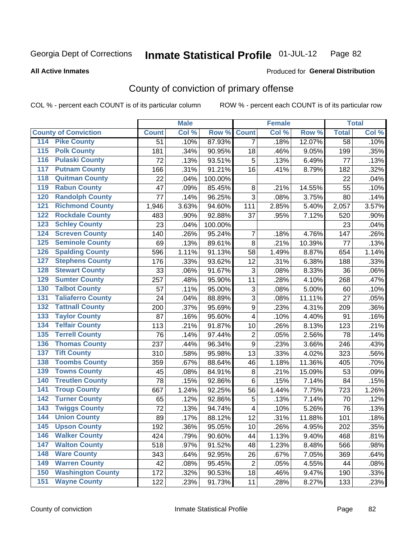**All Active Inmates**

#### Produced for **General Distribution**

## County of conviction of primary offense

|                                          |                 | <b>Male</b> |         |                         | <b>Female</b> |        |              | <b>Total</b> |
|------------------------------------------|-----------------|-------------|---------|-------------------------|---------------|--------|--------------|--------------|
| <b>County of Conviction</b>              | <b>Count</b>    | Col %       | Row %   | <b>Count</b>            | Col %         | Row %  | <b>Total</b> | Col %        |
| 114 Pike County                          | $\overline{51}$ | .10%        | 87.93%  | $\overline{7}$          | .18%          | 12.07% | 58           | .10%         |
| <b>Polk County</b><br>$\overline{115}$   | 181             | .34%        | 90.95%  | 18                      | .46%          | 9.05%  | 199          | .35%         |
| <b>Pulaski County</b><br>116             | 72              | .13%        | 93.51%  | 5                       | .13%          | 6.49%  | 77           | .13%         |
| 117<br><b>Putnam County</b>              | 166             | .31%        | 91.21%  | 16                      | .41%          | 8.79%  | 182          | .32%         |
| <b>Quitman County</b><br>118             | 22              | .04%        | 100.00% |                         |               |        | 22           | .04%         |
| <b>Rabun County</b><br>119               | 47              | .09%        | 85.45%  | 8                       | .21%          | 14.55% | 55           | .10%         |
| <b>Randolph County</b><br>120            | 77              | .14%        | 96.25%  | 3                       | .08%          | 3.75%  | 80           | .14%         |
| <b>Richmond County</b><br>121            | 1,946           | 3.63%       | 94.60%  | 111                     | 2.85%         | 5.40%  | 2,057        | 3.57%        |
| <b>Rockdale County</b><br>122            | 483             | .90%        | 92.88%  | 37                      | .95%          | 7.12%  | 520          | .90%         |
| <b>Schley County</b><br>123              | 23              | .04%        | 100.00% |                         |               |        | 23           | .04%         |
| <b>Screven County</b><br>124             | 140             | .26%        | 95.24%  | 7                       | .18%          | 4.76%  | 147          | .26%         |
| <b>Seminole County</b><br>125            | 69              | .13%        | 89.61%  | 8                       | .21%          | 10.39% | 77           | .13%         |
| <b>Spalding County</b><br>126            | 596             | 1.11%       | 91.13%  | 58                      | 1.49%         | 8.87%  | 654          | 1.14%        |
| <b>Stephens County</b><br>127            | 176             | .33%        | 93.62%  | 12                      | .31%          | 6.38%  | 188          | .33%         |
| <b>Stewart County</b><br>128             | 33              | .06%        | 91.67%  | 3                       | .08%          | 8.33%  | 36           | .06%         |
| <b>Sumter County</b><br>129              | 257             | .48%        | 95.90%  | 11                      | .28%          | 4.10%  | 268          | .47%         |
| <b>Talbot County</b><br>130              | 57              | .11%        | 95.00%  | 3                       | .08%          | 5.00%  | 60           | .10%         |
| <b>Taliaferro County</b><br>131          | 24              | .04%        | 88.89%  | 3                       | .08%          | 11.11% | 27           | .05%         |
| <b>Tattnall County</b><br>132            | 200             | .37%        | 95.69%  | 9                       | .23%          | 4.31%  | 209          | .36%         |
| <b>Taylor County</b><br>133              | 87              | .16%        | 95.60%  | 4                       | .10%          | 4.40%  | 91           | .16%         |
| <b>Telfair County</b><br>134             | 113             | .21%        | 91.87%  | 10                      | .26%          | 8.13%  | 123          | .21%         |
| <b>Terrell County</b><br>135             | 76              | .14%        | 97.44%  | $\overline{2}$          | .05%          | 2.56%  | 78           | .14%         |
| <b>Thomas County</b><br>136              | 237             | .44%        | 96.34%  | 9                       | .23%          | 3.66%  | 246          | .43%         |
| <b>Tift County</b><br>137                | 310             | .58%        | 95.98%  | 13                      | .33%          | 4.02%  | 323          | .56%         |
| <b>Toombs County</b><br>138              | 359             | .67%        | 88.64%  | 46                      | 1.18%         | 11.36% | 405          | .70%         |
| <b>Towns County</b><br>139               | 45              | .08%        | 84.91%  | $\, 8$                  | .21%          | 15.09% | 53           | .09%         |
| <b>Treutlen County</b><br>140            | 78              | .15%        | 92.86%  | 6                       | .15%          | 7.14%  | 84           | .15%         |
| <b>Troup County</b><br>141               | 667             | 1.24%       | 92.25%  | 56                      | 1.44%         | 7.75%  | 723          | 1.26%        |
| <b>Turner County</b><br>142              | 65              | .12%        | 92.86%  | 5                       | .13%          | 7.14%  | 70           | .12%         |
| <b>Twiggs County</b><br>$\overline{143}$ | 72              | .13%        | 94.74%  | $\overline{\mathbf{4}}$ | .10%          | 5.26%  | 76           | .13%         |
| <b>Union County</b><br>144               | 89              | .17%        | 88.12%  | 12                      | .31%          | 11.88% | 101          | .18%         |
| 145<br><b>Upson County</b>               | 192             | .36%        | 95.05%  | 10                      | .26%          | 4.95%  | 202          | .35%         |
| <b>Walker County</b><br>146              | 424             | .79%        | 90.60%  | 44                      | 1.13%         | 9.40%  | 468          | .81%         |
| <b>Walton County</b><br>147              | 518             | .97%        | 91.52%  | 48                      | 1.23%         | 8.48%  | 566          | .98%         |
| <b>Ware County</b><br>148                | 343             | .64%        | 92.95%  | 26                      | .67%          | 7.05%  | 369          | .64%         |
| <b>Warren County</b><br>149              | 42              | .08%        | 95.45%  | $\overline{2}$          | .05%          | 4.55%  | 44           | .08%         |
| <b>Washington County</b><br>150          | 172             | .32%        | 90.53%  | 18                      | .46%          | 9.47%  | 190          | .33%         |
| <b>Wayne County</b><br>151               | 122             | .23%        | 91.73%  | 11                      | .28%          | 8.27%  | 133          | .23%         |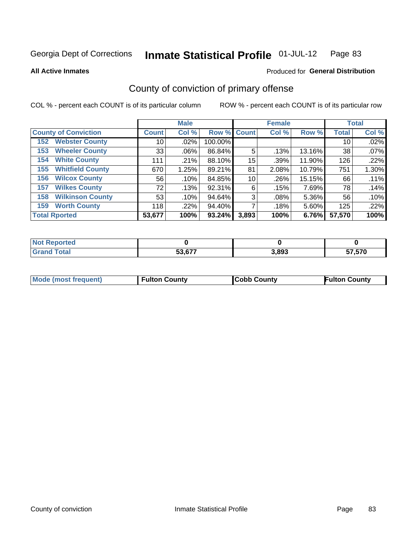#### **All Active Inmates**

#### Produced for **General Distribution**

## County of conviction of primary offense

|                                |              | <b>Male</b> |             |       | <b>Female</b> |        |              | <b>Total</b> |
|--------------------------------|--------------|-------------|-------------|-------|---------------|--------|--------------|--------------|
| <b>County of Conviction</b>    | <b>Count</b> | Col %       | Row % Count |       | Col %         | Row %  | <b>Total</b> | Col %        |
| <b>Webster County</b><br>152   | 10           | $.02\%$     | 100.00%     |       |               |        | 10           | .02%         |
| <b>Wheeler County</b><br>153   | 33           | $.06\%$     | 86.84%      | 5     | .13%          | 13.16% | 38           | .07%         |
| <b>White County</b><br>154     | 111          | .21%        | 88.10%      | 15    | .39%          | 11.90% | 126          | .22%         |
| <b>Whitfield County</b><br>155 | 670          | 1.25%       | 89.21%      | 81    | 2.08%         | 10.79% | 751          | 1.30%        |
| <b>Wilcox County</b><br>156    | 56           | .10%        | 84.85%      | 10    | .26%          | 15.15% | 66           | .11%         |
| <b>Wilkes County</b><br>157    | 72           | .13%        | 92.31%      | 6     | .15%          | 7.69%  | 78           | .14%         |
| <b>Wilkinson County</b><br>158 | 53           | .10%        | 94.64%      | 3     | .08%          | 5.36%  | 56           | .10%         |
| <b>Worth County</b><br>159     | 118          | .22%        | 94.40%      |       | .18%          | 5.60%  | 125          | .22%         |
| <b>Total Rported</b>           | 53,677       | 100%        | 93.24%      | 3,893 | 100%          | 6.76%  | 57,570       | 100%         |

| 'Not<br>: Reported |        |       |        |
|--------------------|--------|-------|--------|
| <sup>-</sup> otal  | 53,677 | 3,893 | 57,570 |

| Mode (most frequent) | <b>Fulton County</b> | <b>Cobb County</b> | <b>Fulton County</b> |
|----------------------|----------------------|--------------------|----------------------|
|                      |                      |                    |                      |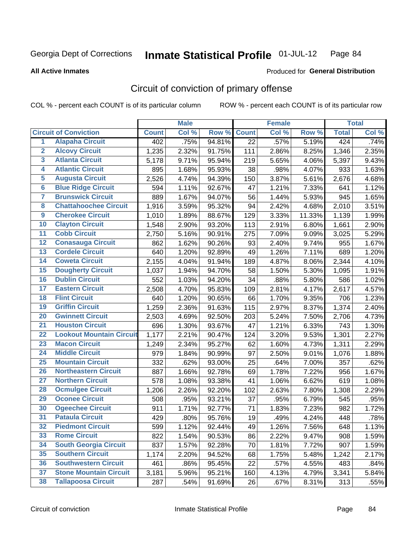**All Active Inmates**

#### Produced for **General Distribution**

## Circuit of conviction of primary offense

|                         |                                 |              | <b>Male</b> |        |              | <b>Female</b> |        |              | <b>Total</b> |
|-------------------------|---------------------------------|--------------|-------------|--------|--------------|---------------|--------|--------------|--------------|
|                         | <b>Circuit of Conviction</b>    | <b>Count</b> | Col %       | Row %  | <b>Count</b> | Col %         | Row %  | <b>Total</b> | Col %        |
| $\overline{1}$          | <b>Alapaha Circuit</b>          | 402          | .75%        | 94.81% | 22           | .57%          | 5.19%  | 424          | .74%         |
| $\overline{2}$          | <b>Alcovy Circuit</b>           | 1,235        | 2.32%       | 91.75% | 111          | 2.86%         | 8.25%  | 1,346        | 2.35%        |
| $\overline{\mathbf{3}}$ | <b>Atlanta Circuit</b>          | 5,178        | 9.71%       | 95.94% | 219          | 5.65%         | 4.06%  | 5,397        | 9.43%        |
| 4                       | <b>Atlantic Circuit</b>         | 895          | 1.68%       | 95.93% | 38           | .98%          | 4.07%  | 933          | 1.63%        |
| 5                       | <b>Augusta Circuit</b>          | 2,526        | 4.74%       | 94.39% | 150          | 3.87%         | 5.61%  | 2,676        | 4.68%        |
| $\overline{\mathbf{6}}$ | <b>Blue Ridge Circuit</b>       | 594          | 1.11%       | 92.67% | 47           | 1.21%         | 7.33%  | 641          | 1.12%        |
| $\overline{\mathbf{7}}$ | <b>Brunswick Circuit</b>        | 889          | 1.67%       | 94.07% | 56           | 1.44%         | 5.93%  | 945          | 1.65%        |
| 8                       | <b>Chattahoochee Circuit</b>    | 1,916        | 3.59%       | 95.32% | 94           | 2.42%         | 4.68%  | 2,010        | 3.51%        |
| $\overline{9}$          | <b>Cherokee Circuit</b>         | 1,010        | 1.89%       | 88.67% | 129          | 3.33%         | 11.33% | 1,139        | 1.99%        |
| 10                      | <b>Clayton Circuit</b>          | 1,548        | 2.90%       | 93.20% | 113          | 2.91%         | 6.80%  | 1,661        | 2.90%        |
| 11                      | <b>Cobb Circuit</b>             | 2,750        | 5.16%       | 90.91% | 275          | 7.09%         | 9.09%  | 3,025        | 5.29%        |
| 12                      | <b>Conasauga Circuit</b>        | 862          | 1.62%       | 90.26% | 93           | 2.40%         | 9.74%  | 955          | 1.67%        |
| 13                      | <b>Cordele Circuit</b>          | 640          | 1.20%       | 92.89% | 49           | 1.26%         | 7.11%  | 689          | 1.20%        |
| 14                      | <b>Coweta Circuit</b>           | 2,155        | 4.04%       | 91.94% | 189          | 4.87%         | 8.06%  | 2,344        | 4.10%        |
| 15                      | <b>Dougherty Circuit</b>        | 1,037        | 1.94%       | 94.70% | 58           | 1.50%         | 5.30%  | 1,095        | 1.91%        |
| 16                      | <b>Dublin Circuit</b>           | 552          | 1.03%       | 94.20% | 34           | .88%          | 5.80%  | 586          | 1.02%        |
| 17                      | <b>Eastern Circuit</b>          | 2,508        | 4.70%       | 95.83% | 109          | 2.81%         | 4.17%  | 2,617        | 4.57%        |
| 18                      | <b>Flint Circuit</b>            | 640          | 1.20%       | 90.65% | 66           | 1.70%         | 9.35%  | 706          | 1.23%        |
| 19                      | <b>Griffin Circuit</b>          | 1,259        | 2.36%       | 91.63% | 115          | 2.97%         | 8.37%  | 1,374        | 2.40%        |
| 20                      | <b>Gwinnett Circuit</b>         | 2,503        | 4.69%       | 92.50% | 203          | 5.24%         | 7.50%  | 2,706        | 4.73%        |
| $\overline{21}$         | <b>Houston Circuit</b>          | 696          | 1.30%       | 93.67% | 47           | 1.21%         | 6.33%  | 743          | 1.30%        |
| $\overline{22}$         | <b>Lookout Mountain Circuit</b> | 1,177        | 2.21%       | 90.47% | 124          | 3.20%         | 9.53%  | 1,301        | 2.27%        |
| 23                      | <b>Macon Circuit</b>            | 1,249        | 2.34%       | 95.27% | 62           | 1.60%         | 4.73%  | 1,311        | 2.29%        |
| 24                      | <b>Middle Circuit</b>           | 979          | 1.84%       | 90.99% | 97           | 2.50%         | 9.01%  | 1,076        | 1.88%        |
| 25                      | <b>Mountain Circuit</b>         | 332          | .62%        | 93.00% | 25           | .64%          | 7.00%  | 357          | .62%         |
| 26                      | <b>Northeastern Circuit</b>     | 887          | 1.66%       | 92.78% | 69           | 1.78%         | 7.22%  | 956          | 1.67%        |
| $\overline{27}$         | <b>Northern Circuit</b>         | 578          | 1.08%       | 93.38% | 41           | 1.06%         | 6.62%  | 619          | 1.08%        |
| 28                      | <b>Ocmulgee Circuit</b>         | 1,206        | 2.26%       | 92.20% | 102          | 2.63%         | 7.80%  | 1,308        | 2.29%        |
| 29                      | <b>Oconee Circuit</b>           | 508          | .95%        | 93.21% | 37           | .95%          | 6.79%  | 545          | .95%         |
| 30                      | <b>Ogeechee Circuit</b>         | 911          | 1.71%       | 92.77% | 71           | 1.83%         | 7.23%  | 982          | 1.72%        |
| $\overline{31}$         | <b>Pataula Circuit</b>          | 429          | .80%        | 95.76% | 19           | .49%          | 4.24%  | 448          | .78%         |
| 32                      | <b>Piedmont Circuit</b>         | 599          | 1.12%       | 92.44% | 49           | 1.26%         | 7.56%  | 648          | 1.13%        |
| 33                      | <b>Rome Circuit</b>             | 822          | 1.54%       | 90.53% | 86           | 2.22%         | 9.47%  | 908          | 1.59%        |
| 34                      | <b>South Georgia Circuit</b>    | 837          | 1.57%       | 92.28% | 70           | 1.81%         | 7.72%  | 907          | 1.59%        |
| 35                      | <b>Southern Circuit</b>         | 1,174        | 2.20%       | 94.52% | 68           | 1.75%         | 5.48%  | 1,242        | 2.17%        |
| 36                      | <b>Southwestern Circuit</b>     | 461          | .86%        | 95.45% | 22           | .57%          | 4.55%  | 483          | .84%         |
| 37                      | <b>Stone Mountain Circuit</b>   | 3,181        | 5.96%       | 95.21% | 160          | 4.13%         | 4.79%  | 3,341        | 5.84%        |
| 38                      | <b>Tallapoosa Circuit</b>       | 287          | .54%        | 91.69% | 26           | .67%          | 8.31%  | 313          | .55%         |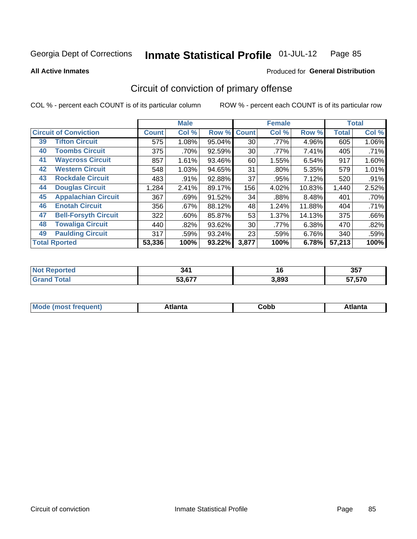Produced for **General Distribution**

#### **All Active Inmates**

# Circuit of conviction of primary offense

|                                   |              | <b>Male</b> |        |              | <b>Female</b> |        |              | <b>Total</b> |
|-----------------------------------|--------------|-------------|--------|--------------|---------------|--------|--------------|--------------|
| <b>Circuit of Conviction</b>      | <b>Count</b> | Col %       | Row %  | <b>Count</b> | Col %         | Row %  | <b>Total</b> | Col %        |
| <b>Tifton Circuit</b><br>39       | 575          | 1.08%       | 95.04% | 30           | .77%          | 4.96%  | 605          | $1.06\%$     |
| <b>Toombs Circuit</b><br>40       | 375          | .70%        | 92.59% | 30           | .77%          | 7.41%  | 405          | .71%         |
| <b>Waycross Circuit</b><br>41     | 857          | 1.61%       | 93.46% | 60           | 1.55%         | 6.54%  | 917          | 1.60%        |
| <b>Western Circuit</b><br>42      | 548          | 1.03%       | 94.65% | 31           | $.80\%$       | 5.35%  | 579          | 1.01%        |
| <b>Rockdale Circuit</b><br>43     | 483          | $.91\%$     | 92.88% | 37           | .95%          | 7.12%  | 520          | .91%         |
| <b>Douglas Circuit</b><br>44      | 1,284        | 2.41%       | 89.17% | 156          | 4.02%         | 10.83% | 1,440        | 2.52%        |
| <b>Appalachian Circuit</b><br>45  | 367          | .69%        | 91.52% | 34           | .88%          | 8.48%  | 401          | .70%         |
| <b>Enotah Circuit</b><br>46       | 356          | .67%        | 88.12% | 48           | 1.24%         | 11.88% | 404          | .71%         |
| <b>Bell-Forsyth Circuit</b><br>47 | 322          | $.60\%$     | 85.87% | 53           | 1.37%         | 14.13% | 375          | .66%         |
| <b>Towaliga Circuit</b><br>48     | 440          | .82%        | 93.62% | 30           | .77%          | 6.38%  | 470          | .82%         |
| <b>Paulding Circuit</b><br>49     | 317          | .59%        | 93.24% | 23           | .59%          | 6.76%  | 340          | .59%         |
| <b>Total Rported</b>              | 53,336       | 100%        | 93.22% | 3,877        | 100%          | 6.78%  | 57,213       | 100%         |

| eс | . .<br>- 34 .<br>$\sim$ | <u>, u</u> | $\sim$ $ -$<br>35. |
|----|-------------------------|------------|--------------------|
|    | E9.677                  | 3.893      | F7F20<br>. u       |

| M<br>- - -<br>.<br>.<br>∪opp<br>нс |
|------------------------------------|
|------------------------------------|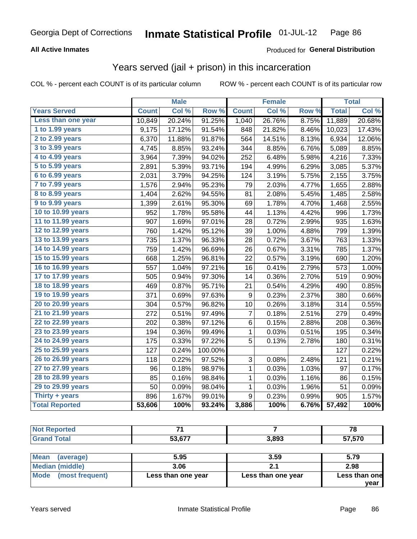#### **All Active Inmates**

#### Produced for **General Distribution**

#### Years served (jail + prison) in this incarceration

|                       |              | <b>Male</b> |         |                  | <b>Female</b> |       |              | <b>Total</b> |
|-----------------------|--------------|-------------|---------|------------------|---------------|-------|--------------|--------------|
| <b>Years Served</b>   | <b>Count</b> | Col %       | Row %   | <b>Count</b>     | Col %         | Row % | <b>Total</b> | Col %        |
| Less than one year    | 10,849       | 20.24%      | 91.25%  | 1,040            | 26.76%        | 8.75% | 11,889       | 20.68%       |
| 1 to 1.99 years       | 9,175        | 17.12%      | 91.54%  | 848              | 21.82%        | 8.46% | 10,023       | 17.43%       |
| 2 to 2.99 years       | 6,370        | 11.88%      | 91.87%  | 564              | 14.51%        | 8.13% | 6,934        | 12.06%       |
| 3 to 3.99 years       | 4,745        | 8.85%       | 93.24%  | 344              | 8.85%         | 6.76% | 5,089        | 8.85%        |
| 4 to 4.99 years       | 3,964        | 7.39%       | 94.02%  | 252              | 6.48%         | 5.98% | 4,216        | 7.33%        |
| 5 to 5.99 years       | 2,891        | 5.39%       | 93.71%  | 194              | 4.99%         | 6.29% | 3,085        | 5.37%        |
| $6$ to $6.99$ years   | 2,031        | 3.79%       | 94.25%  | 124              | 3.19%         | 5.75% | 2,155        | 3.75%        |
| 7 to 7.99 years       | 1,576        | 2.94%       | 95.23%  | 79               | 2.03%         | 4.77% | 1,655        | 2.88%        |
| 8 to 8.99 years       | 1,404        | 2.62%       | 94.55%  | 81               | 2.08%         | 5.45% | 1,485        | 2.58%        |
| 9 to 9.99 years       | 1,399        | 2.61%       | 95.30%  | 69               | 1.78%         | 4.70% | 1,468        | 2.55%        |
| 10 to 10.99 years     | 952          | 1.78%       | 95.58%  | 44               | 1.13%         | 4.42% | 996          | 1.73%        |
| 11 to 11.99 years     | 907          | 1.69%       | 97.01%  | 28               | 0.72%         | 2.99% | 935          | 1.63%        |
| 12 to 12.99 years     | 760          | 1.42%       | 95.12%  | 39               | 1.00%         | 4.88% | 799          | 1.39%        |
| 13 to 13.99 years     | 735          | 1.37%       | 96.33%  | 28               | 0.72%         | 3.67% | 763          | 1.33%        |
| 14 to 14.99 years     | 759          | 1.42%       | 96.69%  | 26               | 0.67%         | 3.31% | 785          | 1.37%        |
| 15 to 15.99 years     | 668          | 1.25%       | 96.81%  | 22               | 0.57%         | 3.19% | 690          | 1.20%        |
| 16 to 16.99 years     | 557          | 1.04%       | 97.21%  | 16               | 0.41%         | 2.79% | 573          | 1.00%        |
| 17 to 17.99 years     | 505          | 0.94%       | 97.30%  | 14               | 0.36%         | 2.70% | 519          | 0.90%        |
| 18 to 18.99 years     | 469          | 0.87%       | 95.71%  | 21               | 0.54%         | 4.29% | 490          | 0.85%        |
| 19 to 19.99 years     | 371          | 0.69%       | 97.63%  | $\boldsymbol{9}$ | 0.23%         | 2.37% | 380          | 0.66%        |
| 20 to 20.99 years     | 304          | 0.57%       | 96.82%  | 10               | 0.26%         | 3.18% | 314          | 0.55%        |
| 21 to 21.99 years     | 272          | 0.51%       | 97.49%  | $\overline{7}$   | 0.18%         | 2.51% | 279          | 0.49%        |
| 22 to 22.99 years     | 202          | 0.38%       | 97.12%  | $\,6$            | 0.15%         | 2.88% | 208          | 0.36%        |
| 23 to 23.99 years     | 194          | 0.36%       | 99.49%  | 1                | 0.03%         | 0.51% | 195          | 0.34%        |
| 24 to 24.99 years     | 175          | 0.33%       | 97.22%  | 5                | 0.13%         | 2.78% | 180          | 0.31%        |
| 25 to 25.99 years     | 127          | 0.24%       | 100.00% |                  |               |       | 127          | 0.22%        |
| 26 to 26.99 years     | 118          | 0.22%       | 97.52%  | 3                | 0.08%         | 2.48% | 121          | 0.21%        |
| 27 to 27.99 years     | 96           | 0.18%       | 98.97%  | $\mathbf{1}$     | 0.03%         | 1.03% | 97           | 0.17%        |
| 28 to 28.99 years     | 85           | 0.16%       | 98.84%  | $\mathbf 1$      | 0.03%         | 1.16% | 86           | 0.15%        |
| 29 to 29.99 years     | 50           | 0.09%       | 98.04%  | $\mathbf 1$      | 0.03%         | 1.96% | 51           | 0.09%        |
| Thirty + years        | 896          | 1.67%       | 99.01%  | $\boldsymbol{9}$ | 0.23%         | 0.99% | 905          | 1.57%        |
| <b>Total Reported</b> | 53,606       | 100%        | 93.24%  | 3,886            | 100%          | 6.76% | 57,492       | 100%         |

| <b>Not Reported</b>   | ۰.     |       | 78     |
|-----------------------|--------|-------|--------|
| <b>Grand Total</b>    | 53,677 | 3,893 | 57,570 |
|                       |        |       |        |
| $R = 1$<br>$\sqrt{2}$ | E OF   | n En  | E, 70  |

| <b>Mean</b><br>(average) | 5.95               | 3.59               | 5.79          |
|--------------------------|--------------------|--------------------|---------------|
| Median (middle)          | 3.06               | .                  | 2.98          |
| Mode (most frequent)     | Less than one year | Less than one year | Less than one |
|                          |                    |                    | vear          |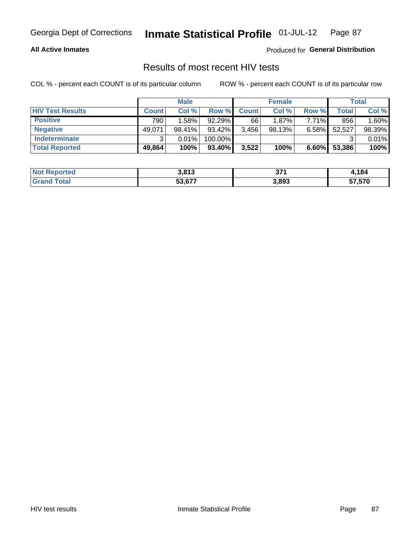#### **All Active Inmates**

Produced for **General Distribution**

## Results of most recent HIV tests

|                         |              | <b>Male</b> |         |              | <b>Female</b> |          |        | <b>Total</b> |
|-------------------------|--------------|-------------|---------|--------------|---------------|----------|--------|--------------|
| <b>HIV Test Results</b> | <b>Count</b> | Col %       | Row %I  | <b>Count</b> | Col %         | Row %    | Total  | Col %        |
| <b>Positive</b>         | 790          | 1.58%       | 92.29%  | 66           | $1.87\%$      | $7.71\%$ | 856    | 1.60%        |
| <b>Negative</b>         | 49,071       | 98.41%      | 93.42%  | 3,456        | 98.13%        | $6.58\%$ | 52,527 | 98.39%       |
| <b>Indeterminate</b>    | ີ            | 0.01%       | 100.00% |              |               |          |        | 0.01%        |
| <b>Total Reported</b>   | 49,864       | 100%        | 93.40%  | 3,522        | 100%          | $6.60\%$ | 53,386 | 100%         |

| <b>Not Reported</b> | 3,813  | 274<br>J1 1 | 1,184  |
|---------------------|--------|-------------|--------|
| Total<br>Gran       | 53,677 | 3,893       | 57,570 |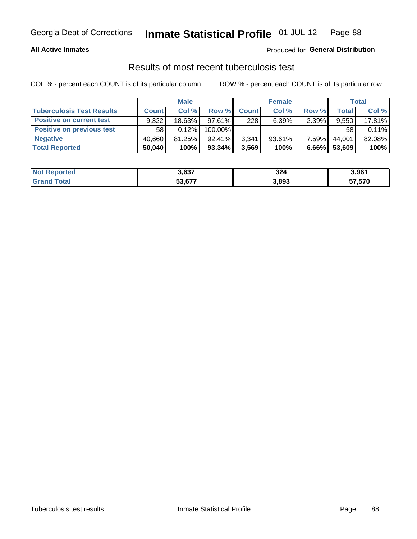#### **All Active Inmates**

#### Produced for **General Distribution**

#### Results of most recent tuberculosis test

|                                  | <b>Male</b>  |           |           | <b>Female</b> |           |          | Total        |        |
|----------------------------------|--------------|-----------|-----------|---------------|-----------|----------|--------------|--------|
| <b>Tuberculosis Test Results</b> | <b>Count</b> | Col%      | Row %     | <b>Count</b>  | Col %     | Row %    | <b>Total</b> | Col %  |
| <b>Positive on current test</b>  | 9.322        | $18.63\%$ | $97.61\%$ | 2281          | 6.39%     | 2.39%    | 9.550        | 17.81% |
| <b>Positive on previous test</b> | 58           | $0.12\%$  | 100.00%   |               |           |          | 58           | 0.11%  |
| <b>Negative</b>                  | 40.660       | 81.25%    | $92.41\%$ | 3,341         | $93.61\%$ | 7.59%    | 44.001       | 82.08% |
| <b>Total Reported</b>            | 50,040       | 100%      | $93.34\%$ | 3,569         | 100%      | $6.66\%$ | 53,609       | 100%   |

| <b>Not Reported</b> | 3,637  | 324   | 3,961  |
|---------------------|--------|-------|--------|
| Total<br>Gran       | 53,677 | 3,893 | 57,570 |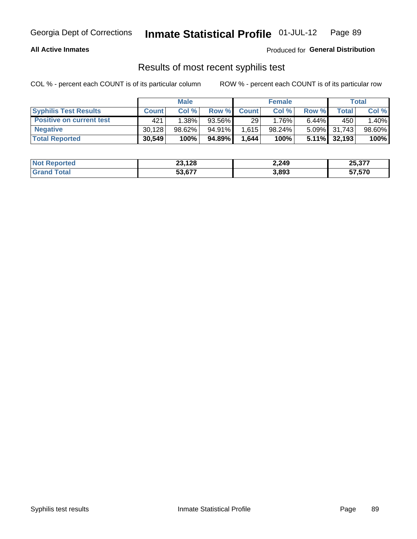#### **All Active Inmates**

Produced for **General Distribution**

#### Results of most recent syphilis test

|                                 | <b>Male</b>  |          |           | <b>Female</b> |           |          | Total           |        |
|---------------------------------|--------------|----------|-----------|---------------|-----------|----------|-----------------|--------|
| <b>Syphilis Test Results</b>    | <b>Count</b> | Col%     | Row %     | <b>Count</b>  | Col %     | Row %    | Total I         | Col %  |
| <b>Positive on current test</b> | 421          | $1.38\%$ | $93.56\%$ | 29            | $1.76\%$  | $6.44\%$ | 450             | 1.40%  |
| <b>Negative</b>                 | 30.128       | 98.62%   | $94.91\%$ | 1,615         | $98.24\%$ |          | 5.09% 31,743    | 98.60% |
| <b>Total Reported</b>           | 30,549       | 100%     | 94.89%    | 1.644         | 100%      |          | $5.11\%$ 32,193 | 100%   |

| <b>Not Reported</b> | 23,128 | 2,249 | 25,377 |
|---------------------|--------|-------|--------|
| <b>Grand Total</b>  | 53.677 | 3,893 | 57,570 |